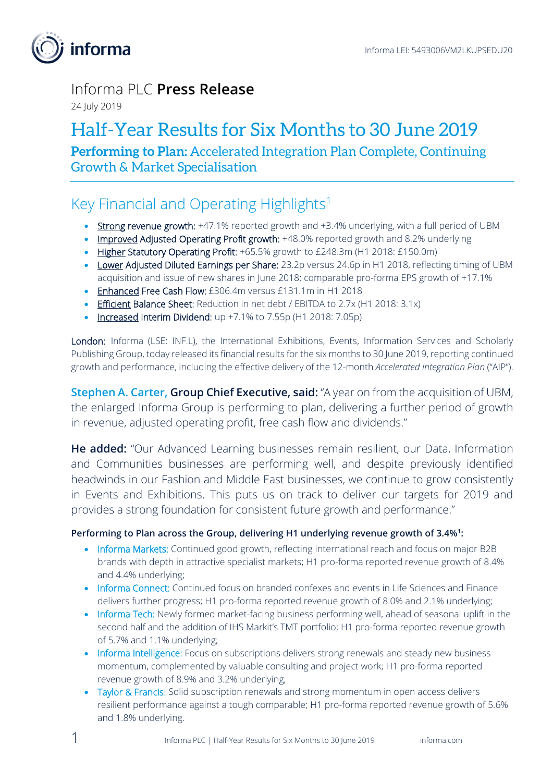

# Informa PLC **Press Release**

24 July 2019

# Half-Year Results for Six Months to 30 June 2019

**Performing to Plan:** Accelerated Integration Plan Complete, Continuing Growth & Market Specialisation

# Key Financial and Operating Highlights<sup>1</sup>

- Strong revenue growth: +47.1% reported growth and +3.4% underlying, with a full period of UBM
- Improved Adjusted Operating Profit growth: +48.0% reported growth and 8.2% underlying
- Higher Statutory Operating Profit: +65.5% growth to £248.3m (H1 2018: £150.0m)
- Lower Adjusted Diluted Earnings per Share: 23.2p versus 24.6p in H1 2018, reflecting timing of UBM acquisition and issue of new shares in June 2018; comparable pro-forma EPS growth of +17.1%
- Enhanced Free Cash Flow: £306.4m versus £131.1m in H1 2018
- Efficient Balance Sheet: Reduction in net debt / EBITDA to 2.7x (H1 2018: 3.1x)
- Increased Interim Dividend:  $up +7.1\%$  to  $7.55p$  (H1 2018:  $7.05p$ )

London: Informa (LSE: INF.L), the International Exhibitions, Events, Information Services and Scholarly Publishing Group, today released its financial results for the six months to 30 June 2019, reporting continued growth and performance, including the effective delivery of the 12-month *Accelerated Integration Plan* ("AIP").

**Stephen A. Carter, Group Chief Executive, said:** "A year on from the acquisition of UBM, the enlarged Informa Group is performing to plan, delivering a further period of growth in revenue, adjusted operating profit, free cash flow and dividends."

**He added:** "Our Advanced Learning businesses remain resilient, our Data, Information and Communities businesses are performing well, and despite previously identified headwinds in our Fashion and Middle East businesses, we continue to grow consistently in Events and Exhibitions. This puts us on track to deliver our targets for 2019 and provides a strong foundation for consistent future growth and performance."

# **Performing to Plan across the Group, delivering H1 underlying revenue growth of 3.4%<sup>1</sup> :**

- Informa Markets: Continued good growth, reflecting international reach and focus on major B2B brands with depth in attractive specialist markets; H1 pro-forma reported revenue growth of 8.4% and 4.4% underlying;
- Informa Connect: Continued focus on branded confexes and events in Life Sciences and Finance delivers further progress; H1 pro-forma reported revenue growth of 8.0% and 2.1% underlying;
- Informa Tech: Newly formed market-facing business performing well, ahead of seasonal uplift in the second half and the addition of IHS Markit's TMT portfolio; H1 pro-forma reported revenue growth of 5.7% and 1.1% underlying;
- Informa Intelligence: Focus on subscriptions delivers strong renewals and steady new business momentum, complemented by valuable consulting and project work; H1 pro-forma reported revenue growth of 8.9% and 3.2% underlying;
- Taylor & Francis: Solid subscription renewals and strong momentum in open access delivers resilient performance against a tough comparable; H1 pro-forma reported revenue growth of 5.6% and 1.8% underlying.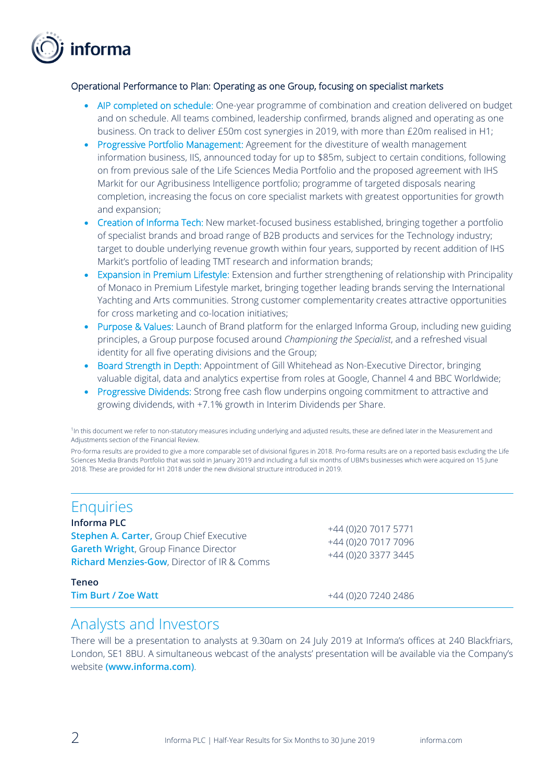

## Operational Performance to Plan: Operating as one Group, focusing on specialist markets

- AIP completed on schedule: One-year programme of combination and creation delivered on budget and on schedule. All teams combined, leadership confirmed, brands aligned and operating as one business. On track to deliver £50m cost synergies in 2019, with more than £20m realised in H1;
- Progressive Portfolio Management: Agreement for the divestiture of wealth management information business, IIS, announced today for up to \$85m, subject to certain conditions, following on from previous sale of the Life Sciences Media Portfolio and the proposed agreement with IHS Markit for our Agribusiness Intelligence portfolio; programme of targeted disposals nearing completion, increasing the focus on core specialist markets with greatest opportunities for growth and expansion;
- Creation of Informa Tech: New market-focused business established, bringing together a portfolio of specialist brands and broad range of B2B products and services for the Technology industry; target to double underlying revenue growth within four years, supported by recent addition of IHS Markit's portfolio of leading TMT research and information brands;
- Expansion in Premium Lifestyle: Extension and further strengthening of relationship with Principality of Monaco in Premium Lifestyle market, bringing together leading brands serving the International Yachting and Arts communities. Strong customer complementarity creates attractive opportunities for cross marketing and co-location initiatives;
- Purpose & Values: Launch of Brand platform for the enlarged Informa Group, including new guiding principles, a Group purpose focused around *Championing the Specialist*, and a refreshed visual identity for all five operating divisions and the Group;
- Board Strength in Depth: Appointment of Gill Whitehead as Non-Executive Director, bringing valuable digital, data and analytics expertise from roles at Google, Channel 4 and BBC Worldwide;
- Progressive Dividends: Strong free cash flow underpins ongoing commitment to attractive and growing dividends, with +7.1% growth in Interim Dividends per Share.

<sup>1</sup>In this document we refer to non-statutory measures including underlying and adjusted results, these are defined later in the Measurement and Adjustments section of the Financial Review.

Pro-forma results are provided to give a more comparable set of divisional figures in 2018. Pro-forma results are on a reported basis excluding the Life Sciences Media Brands Portfolio that was sold in January 2019 and including a full six months of UBM's businesses which were acquired on 15 June 2018. These are provided for H1 2018 under the new divisional structure introduced in 2019.

# **Enquiries**

**Informa PLC Stephen A. Carter,** Group Chief Executive **Gareth Wright**, Group Finance Director **Richard Menzies-Gow**, Director of IR & Comms

+44 (0)20 7017 5771 +44 (0)20 7017 7096 +44 (0)20 3377 3445

| <b>Teneo</b>        |                     |
|---------------------|---------------------|
| Tim Burt / Zoe Watt | +44 (0)20 7240 2486 |

# Analysts and Investors

There will be a presentation to analysts at 9.30am on 24 July 2019 at Informa's offices at 240 Blackfriars, London, SE1 8BU. A simultaneous webcast of the analysts' presentation will be available via the Company's website **(www.informa.com)**.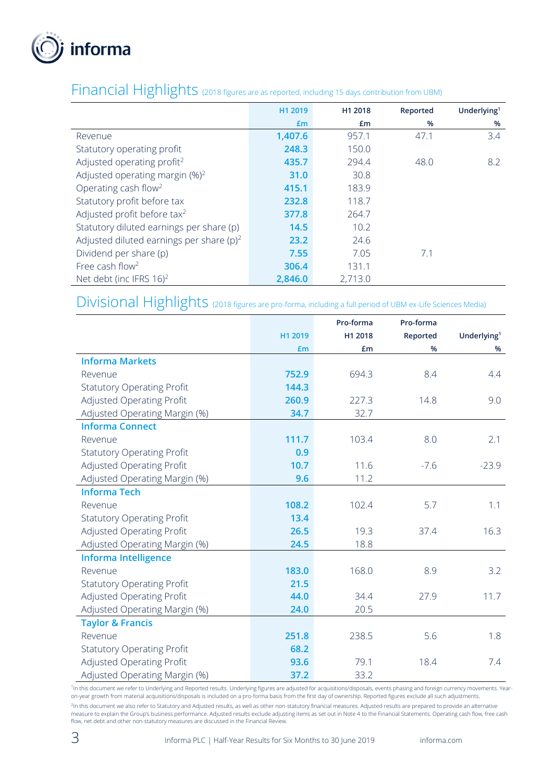

# **H1 2019 H1 2018 Reported Underlying<sup>1</sup> £m £m % %** Revenue **1,407.6** 957.1 47.1 3.4 Statutory operating profit **248.3** 150.0 Adjusted operating profit<sup>2</sup> 435.7 294.4 48.0 8.2 Adjusted operating margin (%)<sup>2</sup> **31.0** 30.8 Operating cash flow<sup>2</sup> **415.1** 183.9 Statutory profit before tax **232.8** 118.7 Adjusted profit before tax<sup>2</sup> **377.8** 264.7 Statutory diluted earnings per share (p) **14.5** 10.2 Adjusted diluted earnings per share (p)<sup>2</sup> **23.2** 24.6 Dividend per share (p) **7.55** 7.05 7.1 **Free cash flow<sup>2</sup> 131.1 306.4** 131.1 Net debt (inc IFRS 16)<sup>2</sup> **2,846.0** 2,713.0

# Financial Highlights (2018 figures are as reported, including 15 days contribution from UBM)

# Divisional Highlights (2018 figures are pro-forma, including a full period of UBM ex-Life Sciences Media)

|                                   |         | Pro-forma | Pro-forma |                         |
|-----------------------------------|---------|-----------|-----------|-------------------------|
|                                   | H1 2019 | H1 2018   | Reported  | Underlying <sup>1</sup> |
|                                   | Em      | £m        | %         | %                       |
| <b>Informa Markets</b>            |         |           |           |                         |
| Revenue                           | 752.9   | 694.3     | 8.4       | 4.4                     |
| <b>Statutory Operating Profit</b> | 144.3   |           |           |                         |
| <b>Adjusted Operating Profit</b>  | 260.9   | 227.3     | 14.8      | 9.0                     |
| Adjusted Operating Margin (%)     | 34.7    | 32.7      |           |                         |
| <b>Informa Connect</b>            |         |           |           |                         |
| Revenue                           | 111.7   | 103.4     | 8.0       | 2.1                     |
| <b>Statutory Operating Profit</b> | 0.9     |           |           |                         |
| <b>Adjusted Operating Profit</b>  | 10.7    | 11.6      | $-7.6$    | $-23.9$                 |
| Adjusted Operating Margin (%)     | 9.6     | 11.2      |           |                         |
| <b>Informa Tech</b>               |         |           |           |                         |
| Revenue                           | 108.2   | 102.4     | 5.7       | 1.1                     |
| <b>Statutory Operating Profit</b> | 13.4    |           |           |                         |
| Adjusted Operating Profit         | 26.5    | 19.3      | 37.4      | 16.3                    |
| Adjusted Operating Margin (%)     | 24.5    | 18.8      |           |                         |
| <b>Informa Intelligence</b>       |         |           |           |                         |
| Revenue                           | 183.0   | 168.0     | 8.9       | 3.2                     |
| <b>Statutory Operating Profit</b> | 21.5    |           |           |                         |
| Adjusted Operating Profit         | 44.0    | 34.4      | 27.9      | 11.7                    |
| Adjusted Operating Margin (%)     | 24.0    | 20.5      |           |                         |
| <b>Taylor &amp; Francis</b>       |         |           |           |                         |
| Revenue                           | 251.8   | 238.5     | 5.6       | 1.8                     |
| <b>Statutory Operating Profit</b> | 68.2    |           |           |                         |
| Adjusted Operating Profit         | 93.6    | 79.1      | 18.4      | 7.4                     |
| Adjusted Operating Margin (%)     | 37.2    | 33.2      |           |                         |

<sup>1</sup>In this document we refer to Underlying and Reported results. Underlying figures are adjusted for acquisitions/disposals, events phasing and foreign currency movements. Yearon-year growth from material acquisitions/disposals is included on a pro-forma basis from the first day of ownership. Reported figures exclude all such adjustments.

<sup>2</sup>In this document we also refer to Statutory and Adjusted results, as well as other non-statutory financial measures. Adjusted results are prepared to provide an alternative measure to explain the Group's business performance. Adjusted results exclude adjusting items as set out in Note 4 to the Financial Statements. Operating cash flow, free cash flow, net debt and other non-statutory measures are discussed in the Financial Review.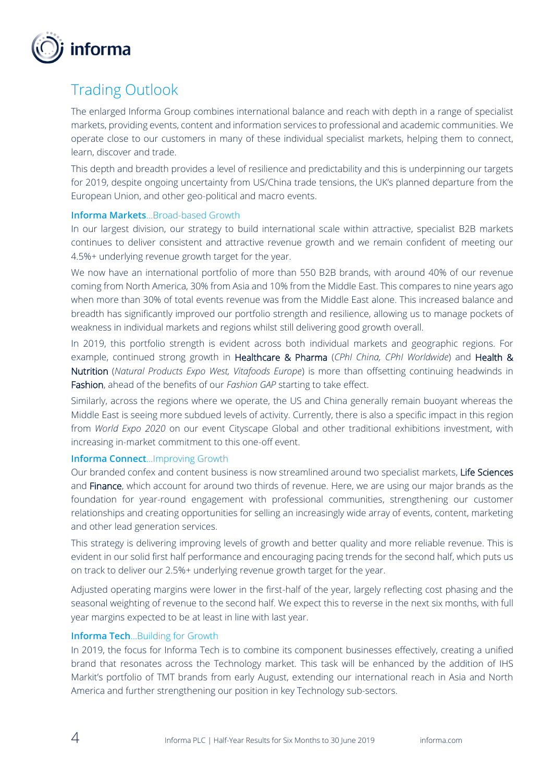

# Trading Outlook

The enlarged Informa Group combines international balance and reach with depth in a range of specialist markets, providing events, content and information services to professional and academic communities. We operate close to our customers in many of these individual specialist markets, helping them to connect, learn, discover and trade.

This depth and breadth provides a level of resilience and predictability and this is underpinning our targets for 2019, despite ongoing uncertainty from US/China trade tensions, the UK's planned departure from the European Union, and other geo-political and macro events.

## **Informa Markets**…Broad-based Growth

In our largest division, our strategy to build international scale within attractive, specialist B2B markets continues to deliver consistent and attractive revenue growth and we remain confident of meeting our 4.5%+ underlying revenue growth target for the year.

We now have an international portfolio of more than 550 B2B brands, with around 40% of our revenue coming from North America, 30% from Asia and 10% from the Middle East. This compares to nine years ago when more than 30% of total events revenue was from the Middle East alone. This increased balance and breadth has significantly improved our portfolio strength and resilience, allowing us to manage pockets of weakness in individual markets and regions whilst still delivering good growth overall.

In 2019, this portfolio strength is evident across both individual markets and geographic regions. For example, continued strong growth in Healthcare & Pharma (*CPhI China, CPhI Worldwide*) and Health & Nutrition (*Natural Products Expo West, Vitafoods Europe*) is more than offsetting continuing headwinds in Fashion, ahead of the benefits of our *Fashion GAP* starting to take effect.

Similarly, across the regions where we operate, the US and China generally remain buoyant whereas the Middle East is seeing more subdued levels of activity. Currently, there is also a specific impact in this region from *World Expo 2020* on our event Cityscape Global and other traditional exhibitions investment, with increasing in-market commitment to this one-off event.

# **Informa Connect**…Improving Growth

Our branded confex and content business is now streamlined around two specialist markets, Life Sciences and Finance, which account for around two thirds of revenue. Here, we are using our major brands as the foundation for year-round engagement with professional communities, strengthening our customer relationships and creating opportunities for selling an increasingly wide array of events, content, marketing and other lead generation services.

This strategy is delivering improving levels of growth and better quality and more reliable revenue. This is evident in our solid first half performance and encouraging pacing trends for the second half, which puts us on track to deliver our 2.5%+ underlying revenue growth target for the year.

Adjusted operating margins were lower in the first-half of the year, largely reflecting cost phasing and the seasonal weighting of revenue to the second half. We expect this to reverse in the next six months, with full year margins expected to be at least in line with last year.

# **Informa Tech**…Building for Growth

In 2019, the focus for Informa Tech is to combine its component businesses effectively, creating a unified brand that resonates across the Technology market. This task will be enhanced by the addition of IHS Markit's portfolio of TMT brands from early August, extending our international reach in Asia and North America and further strengthening our position in key Technology sub-sectors.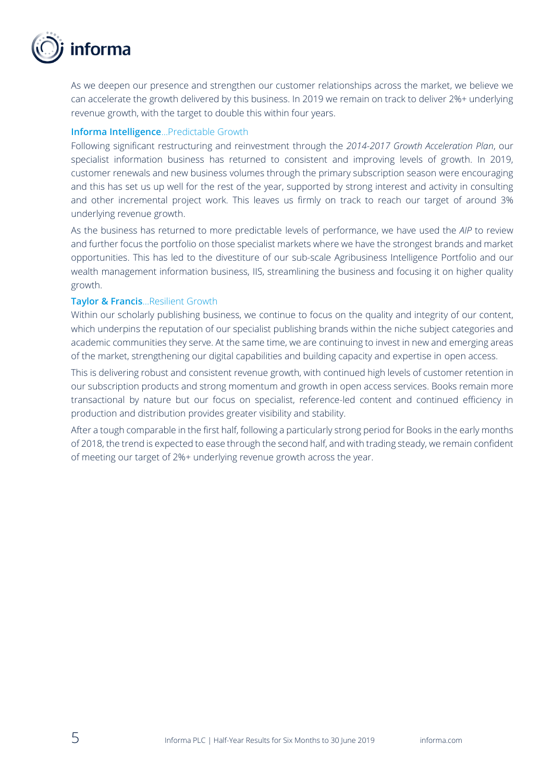

As we deepen our presence and strengthen our customer relationships across the market, we believe we can accelerate the growth delivered by this business. In 2019 we remain on track to deliver 2%+ underlying revenue growth, with the target to double this within four years.

## **Informa Intelligence**…Predictable Growth

Following significant restructuring and reinvestment through the *2014-2017 Growth Acceleration Plan*, our specialist information business has returned to consistent and improving levels of growth. In 2019, customer renewals and new business volumes through the primary subscription season were encouraging and this has set us up well for the rest of the year, supported by strong interest and activity in consulting and other incremental project work. This leaves us firmly on track to reach our target of around 3% underlying revenue growth.

As the business has returned to more predictable levels of performance, we have used the *AIP* to review and further focus the portfolio on those specialist markets where we have the strongest brands and market opportunities. This has led to the divestiture of our sub-scale Agribusiness Intelligence Portfolio and our wealth management information business, IIS, streamlining the business and focusing it on higher quality growth.

# **Taylor & Francis**…Resilient Growth

Within our scholarly publishing business, we continue to focus on the quality and integrity of our content, which underpins the reputation of our specialist publishing brands within the niche subject categories and academic communities they serve. At the same time, we are continuing to invest in new and emerging areas of the market, strengthening our digital capabilities and building capacity and expertise in open access.

This is delivering robust and consistent revenue growth, with continued high levels of customer retention in our subscription products and strong momentum and growth in open access services. Books remain more transactional by nature but our focus on specialist, reference-led content and continued efficiency in production and distribution provides greater visibility and stability.

After a tough comparable in the first half, following a particularly strong period for Books in the early months of 2018, the trend is expected to ease through the second half, and with trading steady, we remain confident of meeting our target of 2%+ underlying revenue growth across the year.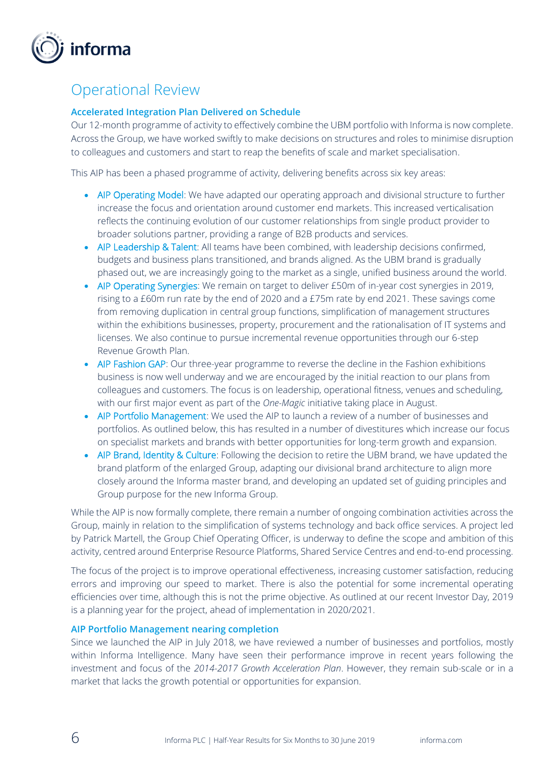

# Operational Review

# **Accelerated Integration Plan Delivered on Schedule**

Our 12-month programme of activity to effectively combine the UBM portfolio with Informa is now complete. Across the Group, we have worked swiftly to make decisions on structures and roles to minimise disruption to colleagues and customers and start to reap the benefits of scale and market specialisation.

This AIP has been a phased programme of activity, delivering benefits across six key areas:

- AIP Operating Model: We have adapted our operating approach and divisional structure to further increase the focus and orientation around customer end markets. This increased verticalisation reflects the continuing evolution of our customer relationships from single product provider to broader solutions partner, providing a range of B2B products and services.
- AIP Leadership & Talent: All teams have been combined, with leadership decisions confirmed, budgets and business plans transitioned, and brands aligned. As the UBM brand is gradually phased out, we are increasingly going to the market as a single, unified business around the world.
- AIP Operating Synergies: We remain on target to deliver £50m of in-year cost synergies in 2019, rising to a £60m run rate by the end of 2020 and a £75m rate by end 2021. These savings come from removing duplication in central group functions, simplification of management structures within the exhibitions businesses, property, procurement and the rationalisation of IT systems and licenses. We also continue to pursue incremental revenue opportunities through our 6-step Revenue Growth Plan.
- AIP Fashion GAP: Our three-year programme to reverse the decline in the Fashion exhibitions business is now well underway and we are encouraged by the initial reaction to our plans from colleagues and customers. The focus is on leadership, operational fitness, venues and scheduling, with our first major event as part of the *One-Magic* initiative taking place in August.
- AIP Portfolio Management: We used the AIP to launch a review of a number of businesses and portfolios. As outlined below, this has resulted in a number of divestitures which increase our focus on specialist markets and brands with better opportunities for long-term growth and expansion.
- AIP Brand, Identity & Culture: Following the decision to retire the UBM brand, we have updated the brand platform of the enlarged Group, adapting our divisional brand architecture to align more closely around the Informa master brand, and developing an updated set of guiding principles and Group purpose for the new Informa Group.

While the AIP is now formally complete, there remain a number of ongoing combination activities across the Group, mainly in relation to the simplification of systems technology and back office services. A project led by Patrick Martell, the Group Chief Operating Officer, is underway to define the scope and ambition of this activity, centred around Enterprise Resource Platforms, Shared Service Centres and end-to-end processing.

The focus of the project is to improve operational effectiveness, increasing customer satisfaction, reducing errors and improving our speed to market. There is also the potential for some incremental operating efficiencies over time, although this is not the prime objective. As outlined at our recent Investor Day, 2019 is a planning year for the project, ahead of implementation in 2020/2021.

#### **AIP Portfolio Management nearing completion**

Since we launched the AIP in July 2018, we have reviewed a number of businesses and portfolios, mostly within Informa Intelligence. Many have seen their performance improve in recent years following the investment and focus of the *2014-2017 Growth Acceleration Plan*. However, they remain sub-scale or in a market that lacks the growth potential or opportunities for expansion.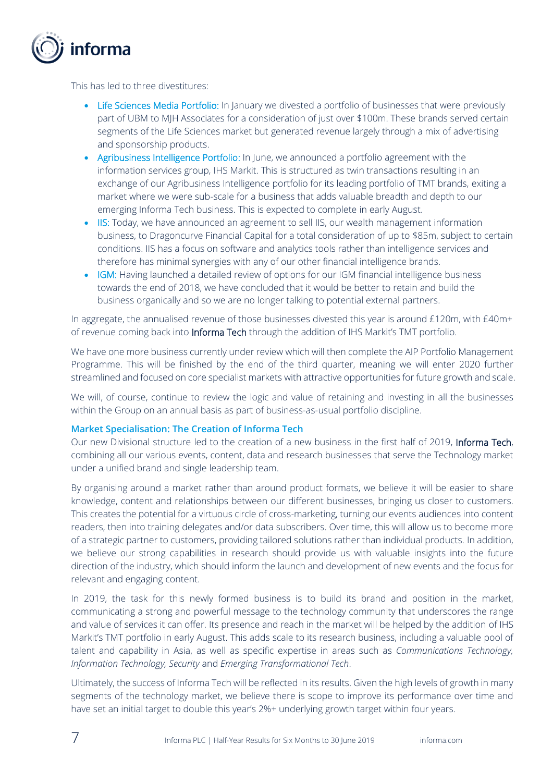

This has led to three divestitures:

- Life Sciences Media Portfolio: In January we divested a portfolio of businesses that were previously part of UBM to MJH Associates for a consideration of just over \$100m. These brands served certain segments of the Life Sciences market but generated revenue largely through a mix of advertising and sponsorship products.
- Agribusiness Intelligence Portfolio: In June, we announced a portfolio agreement with the information services group, IHS Markit. This is structured as twin transactions resulting in an exchange of our Agribusiness Intelligence portfolio for its leading portfolio of TMT brands, exiting a market where we were sub-scale for a business that adds valuable breadth and depth to our emerging Informa Tech business. This is expected to complete in early August.
- IIS: Today, we have announced an agreement to sell IIS, our wealth management information business, to Dragoncurve Financial Capital for a total consideration of up to \$85m, subject to certain conditions. IIS has a focus on software and analytics tools rather than intelligence services and therefore has minimal synergies with any of our other financial intelligence brands.
- IGM: Having launched a detailed review of options for our IGM financial intelligence business towards the end of 2018, we have concluded that it would be better to retain and build the business organically and so we are no longer talking to potential external partners.

In aggregate, the annualised revenue of those businesses divested this year is around £120m, with £40m+ of revenue coming back into Informa Tech through the addition of IHS Markit's TMT portfolio.

We have one more business currently under review which will then complete the AIP Portfolio Management Programme. This will be finished by the end of the third quarter, meaning we will enter 2020 further streamlined and focused on core specialist markets with attractive opportunities for future growth and scale.

We will, of course, continue to review the logic and value of retaining and investing in all the businesses within the Group on an annual basis as part of business-as-usual portfolio discipline.

#### **Market Specialisation: The Creation of Informa Tech**

Our new Divisional structure led to the creation of a new business in the first half of 2019, Informa Tech, combining all our various events, content, data and research businesses that serve the Technology market under a unified brand and single leadership team.

By organising around a market rather than around product formats, we believe it will be easier to share knowledge, content and relationships between our different businesses, bringing us closer to customers. This creates the potential for a virtuous circle of cross-marketing, turning our events audiences into content readers, then into training delegates and/or data subscribers. Over time, this will allow us to become more of a strategic partner to customers, providing tailored solutions rather than individual products. In addition, we believe our strong capabilities in research should provide us with valuable insights into the future direction of the industry, which should inform the launch and development of new events and the focus for relevant and engaging content.

In 2019, the task for this newly formed business is to build its brand and position in the market, communicating a strong and powerful message to the technology community that underscores the range and value of services it can offer. Its presence and reach in the market will be helped by the addition of IHS Markit's TMT portfolio in early August. This adds scale to its research business, including a valuable pool of talent and capability in Asia, as well as specific expertise in areas such as *Communications Technology, Information Technology, Security* and *Emerging Transformational Tech*.

Ultimately, the success of Informa Tech will be reflected in its results. Given the high levels of growth in many segments of the technology market, we believe there is scope to improve its performance over time and have set an initial target to double this year's 2%+ underlying growth target within four years.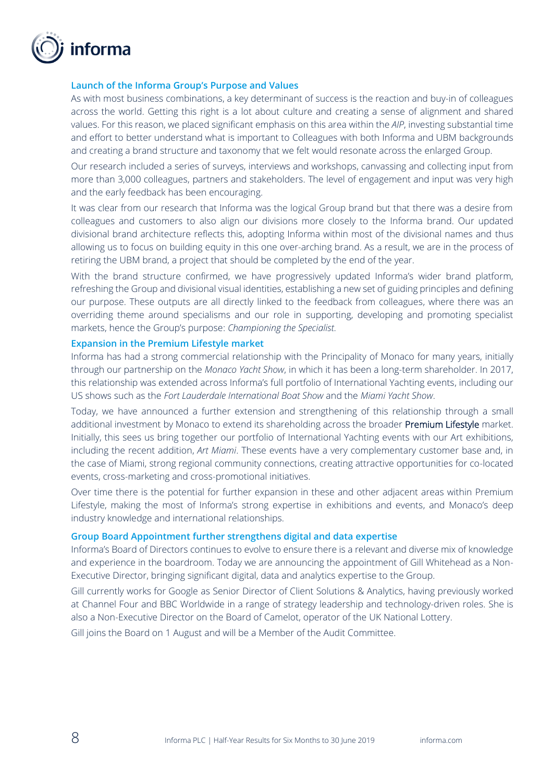

#### **Launch of the Informa Group's Purpose and Values**

As with most business combinations, a key determinant of success is the reaction and buy-in of colleagues across the world. Getting this right is a lot about culture and creating a sense of alignment and shared values. For this reason, we placed significant emphasis on this area within the *AIP*, investing substantial time and effort to better understand what is important to Colleagues with both Informa and UBM backgrounds and creating a brand structure and taxonomy that we felt would resonate across the enlarged Group.

Our research included a series of surveys, interviews and workshops, canvassing and collecting input from more than 3,000 colleagues, partners and stakeholders. The level of engagement and input was very high and the early feedback has been encouraging.

It was clear from our research that Informa was the logical Group brand but that there was a desire from colleagues and customers to also align our divisions more closely to the Informa brand. Our updated divisional brand architecture reflects this, adopting Informa within most of the divisional names and thus allowing us to focus on building equity in this one over-arching brand. As a result, we are in the process of retiring the UBM brand, a project that should be completed by the end of the year.

With the brand structure confirmed, we have progressively updated Informa's wider brand platform, refreshing the Group and divisional visual identities, establishing a new set of guiding principles and defining our purpose. These outputs are all directly linked to the feedback from colleagues, where there was an overriding theme around specialisms and our role in supporting, developing and promoting specialist markets, hence the Group's purpose: *Championing the Specialist.*

#### **Expansion in the Premium Lifestyle market**

Informa has had a strong commercial relationship with the Principality of Monaco for many years, initially through our partnership on the *Monaco Yacht Show*, in which it has been a long-term shareholder. In 2017, this relationship was extended across Informa's full portfolio of International Yachting events, including our US shows such as the *Fort Lauderdale International Boat Show* and the *Miami Yacht Show*.

Today, we have announced a further extension and strengthening of this relationship through a small additional investment by Monaco to extend its shareholding across the broader **Premium Lifestyle** market. Initially, this sees us bring together our portfolio of International Yachting events with our Art exhibitions, including the recent addition, *Art Miami*. These events have a very complementary customer base and, in the case of Miami, strong regional community connections, creating attractive opportunities for co-located events, cross-marketing and cross-promotional initiatives.

Over time there is the potential for further expansion in these and other adjacent areas within Premium Lifestyle, making the most of Informa's strong expertise in exhibitions and events, and Monaco's deep industry knowledge and international relationships.

#### **Group Board Appointment further strengthens digital and data expertise**

Informa's Board of Directors continues to evolve to ensure there is a relevant and diverse mix of knowledge and experience in the boardroom. Today we are announcing the appointment of Gill Whitehead as a Non-Executive Director, bringing significant digital, data and analytics expertise to the Group.

Gill currently works for Google as Senior Director of Client Solutions & Analytics, having previously worked at Channel Four and BBC Worldwide in a range of strategy leadership and technology-driven roles. She is also a Non-Executive Director on the Board of Camelot, operator of the UK National Lottery.

Gill joins the Board on 1 August and will be a Member of the Audit Committee.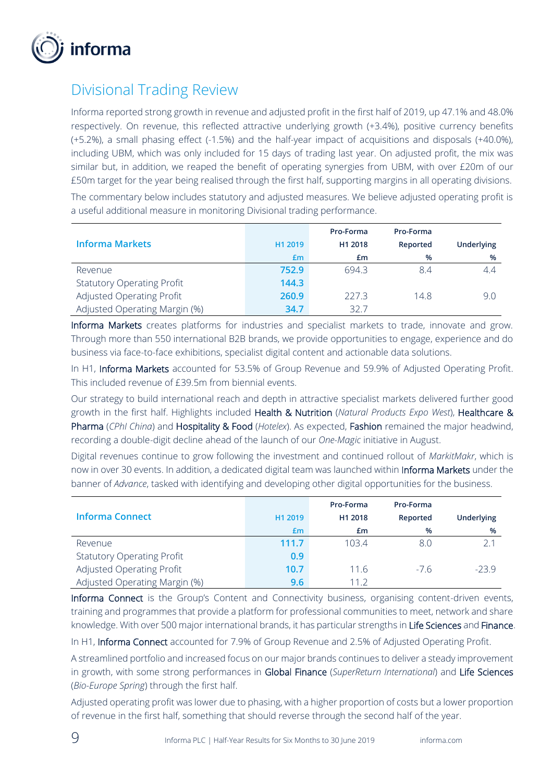

# Divisional Trading Review

Informa reported strong growth in revenue and adjusted profit in the first half of 2019, up 47.1% and 48.0% respectively. On revenue, this reflected attractive underlying growth (+3.4%), positive currency benefits (+5.2%), a small phasing effect (-1.5%) and the half-year impact of acquisitions and disposals (+40.0%), including UBM, which was only included for 15 days of trading last year. On adjusted profit, the mix was similar but, in addition, we reaped the benefit of operating synergies from UBM, with over £20m of our £50m target for the year being realised through the first half, supporting margins in all operating divisions.

The commentary below includes statutory and adjusted measures. We believe adjusted operating profit is a useful additional measure in monitoring Divisional trading performance.

|                                   |         | Pro-Forma | Pro-Forma |            |
|-----------------------------------|---------|-----------|-----------|------------|
| <b>Informa Markets</b>            | H1 2019 | H1 2018   | Reported  | Underlying |
|                                   | £m      | £m        | %         | %          |
| Revenue                           | 752.9   | 6943      | 8.4       | 4.4        |
| <b>Statutory Operating Profit</b> | 144.3   |           |           |            |
| <b>Adjusted Operating Profit</b>  | 260.9   | 227.3     | 14.8      | 9.0        |
| Adjusted Operating Margin (%)     | 34.7    | 32.7      |           |            |

Informa Markets creates platforms for industries and specialist markets to trade, innovate and grow. Through more than 550 international B2B brands, we provide opportunities to engage, experience and do business via face-to-face exhibitions, specialist digital content and actionable data solutions.

In H1, Informa Markets accounted for 53.5% of Group Revenue and 59.9% of Adjusted Operating Profit. This included revenue of £39.5m from biennial events.

Our strategy to build international reach and depth in attractive specialist markets delivered further good growth in the first half. Highlights included Health & Nutrition (*Natural Products Expo West*), Healthcare & Pharma (*CPhI China*) and Hospitality & Food (*Hotelex*). As expected, Fashion remained the major headwind, recording a double-digit decline ahead of the launch of our *One-Magic* initiative in August.

Digital revenues continue to grow following the investment and continued rollout of *MarkitMakr*, which is now in over 30 events. In addition, a dedicated digital team was launched within Informa Markets under the banner of *Advance*, tasked with identifying and developing other digital opportunities for the business.

|                                   |         | Pro-Forma | Pro-Forma |            |
|-----------------------------------|---------|-----------|-----------|------------|
| Informa Connect                   | H1 2019 | H1 2018   | Reported  | Underlying |
|                                   | £m      | £m        | %         | %          |
| Revenue                           | 111.7   | 103.4     | 80        | 2.1        |
| <b>Statutory Operating Profit</b> | 0.9     |           |           |            |
| Adjusted Operating Profit         | 10.7    | 11.6      | $-7.6$    | $-239$     |
| Adjusted Operating Margin (%)     | 9.6     | 11 2      |           |            |

Informa Connect is the Group's Content and Connectivity business, organising content-driven events, training and programmes that provide a platform for professional communities to meet, network and share knowledge. With over 500 major international brands, it has particular strengths in Life Sciences and Finance.

In H1, Informa Connect accounted for 7.9% of Group Revenue and 2.5% of Adjusted Operating Profit.

A streamlined portfolio and increased focus on our major brands continues to deliver a steady improvement in growth, with some strong performances in Global Finance (*SuperReturn International*) and Life Sciences (*Bio-Europe Spring*) through the first half.

Adjusted operating profit was lower due to phasing, with a higher proportion of costs but a lower proportion of revenue in the first half, something that should reverse through the second half of the year.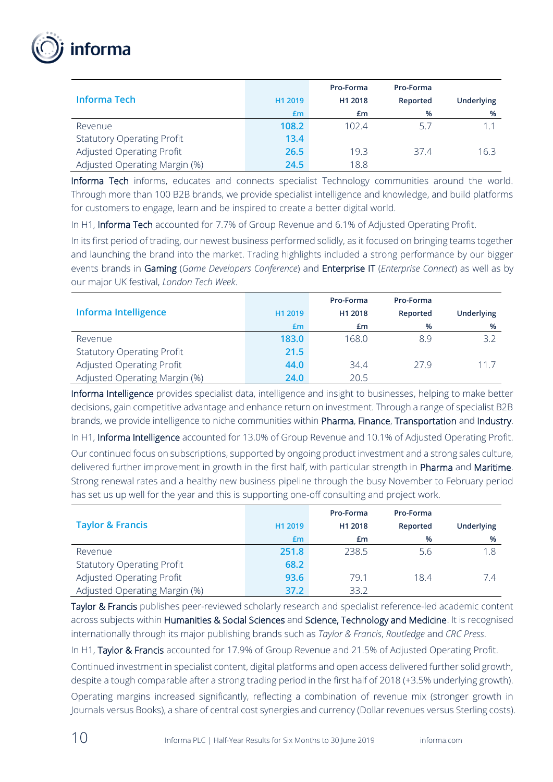

|                                   |         | Pro-Forma | Pro-Forma |            |
|-----------------------------------|---------|-----------|-----------|------------|
| <b>Informa Tech</b>               | H1 2019 | H1 2018   | Reported  | Underlying |
|                                   | £m      | £m        | %         | %          |
| Revenue                           | 108.2   | 1024      | 57        | 11         |
| <b>Statutory Operating Profit</b> | 13.4    |           |           |            |
| <b>Adjusted Operating Profit</b>  | 26.5    | 193       | 37.4      | 16.3       |
| Adjusted Operating Margin (%)     | 24.5    | 18.8      |           |            |

Informa Tech informs, educates and connects specialist Technology communities around the world. Through more than 100 B2B brands, we provide specialist intelligence and knowledge, and build platforms for customers to engage, learn and be inspired to create a better digital world.

In H1, Informa Tech accounted for 7.7% of Group Revenue and 6.1% of Adjusted Operating Profit.

In its first period of trading, our newest business performed solidly, as it focused on bringing teams together and launching the brand into the market. Trading highlights included a strong performance by our bigger events brands in Gaming (*Game Developers Conference*) and Enterprise IT (*Enterprise Connect*) as well as by our major UK festival, *London Tech Week*.

|                                   |         | Pro-Forma | Pro-Forma |            |
|-----------------------------------|---------|-----------|-----------|------------|
| Informa Intelligence              | H1 2019 | H1 2018   | Reported  | Underlying |
|                                   | £m      | £m        | %         | %          |
| Revenue                           | 183.0   | 168.0     | 89        | 3.2        |
| <b>Statutory Operating Profit</b> | 21.5    |           |           |            |
| <b>Adjusted Operating Profit</b>  | 44.0    | 34.4      | 27.9      | 11.7       |
| Adjusted Operating Margin (%)     | 24.0    | 20.5      |           |            |

Informa Intelligence provides specialist data, intelligence and insight to businesses, helping to make better decisions, gain competitive advantage and enhance return on investment. Through a range of specialist B2B brands, we provide intelligence to niche communities within Pharma, Finance, Transportation and Industry.

In H1, Informa Intelligence accounted for 13.0% of Group Revenue and 10.1% of Adjusted Operating Profit.

Our continued focus on subscriptions, supported by ongoing product investment and a strong sales culture, delivered further improvement in growth in the first half, with particular strength in Pharma and Maritime. Strong renewal rates and a healthy new business pipeline through the busy November to February period has set us up well for the year and this is supporting one-off consulting and project work.

|                                   |         | Pro-Forma | Pro-Forma |            |
|-----------------------------------|---------|-----------|-----------|------------|
| <b>Taylor &amp; Francis</b>       | H1 2019 | H1 2018   | Reported  | Underlying |
|                                   | £m      | £m        | %         | %          |
| Revenue                           | 251.8   | 238.5     | 5.6       | 1.8        |
| <b>Statutory Operating Profit</b> | 68.2    |           |           |            |
| <b>Adjusted Operating Profit</b>  | 93.6    | 79.1      | 184       | 74         |
| Adjusted Operating Margin (%)     | 37.2    | 33.2      |           |            |

Taylor & Francis publishes peer-reviewed scholarly research and specialist reference-led academic content across subjects within Humanities & Social Sciences and Science, Technology and Medicine. It is recognised internationally through its major publishing brands such as *Taylor & Francis*, *Routledge* and *CRC Press*.

In H1, Taylor & Francis accounted for 17.9% of Group Revenue and 21.5% of Adjusted Operating Profit.

Continued investment in specialist content, digital platforms and open access delivered further solid growth, despite a tough comparable after a strong trading period in the first half of 2018 (+3.5% underlying growth). Operating margins increased significantly, reflecting a combination of revenue mix (stronger growth in Journals versus Books), a share of central cost synergies and currency (Dollar revenues versus Sterling costs).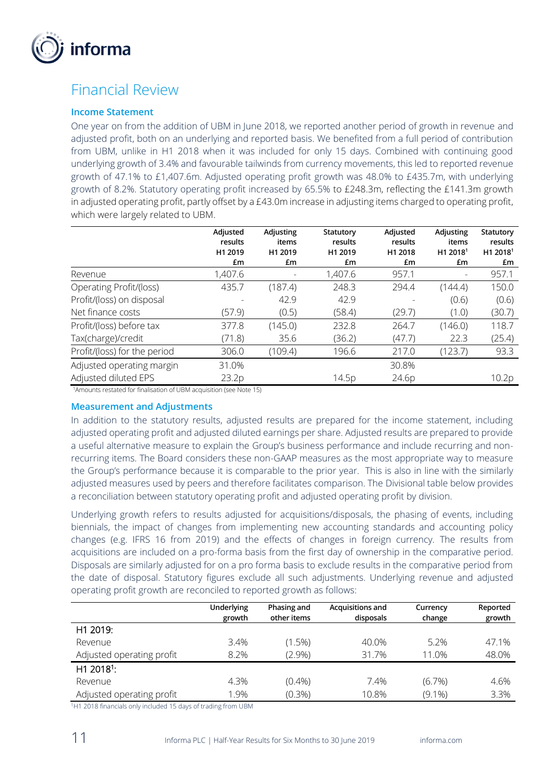

# Financial Review

# **Income Statement**

One year on from the addition of UBM in June 2018, we reported another period of growth in revenue and adjusted profit, both on an underlying and reported basis. We benefited from a full period of contribution from UBM, unlike in H1 2018 when it was included for only 15 days. Combined with continuing good underlying growth of 3.4% and favourable tailwinds from currency movements, this led to reported revenue growth of 47.1% to £1,407.6m. Adjusted operating profit growth was 48.0% to £435.7m, with underlying growth of 8.2%. Statutory operating profit increased by 65.5% to £248.3m, reflecting the £141.3m growth in adjusted operating profit, partly offset by a £43.0m increase in adjusting items charged to operating profit, which were largely related to UBM.

|                              | Adjusted<br>results<br>H1 2019<br>£m | Adjusting<br>items<br>H1 2019<br>£m | Statutory<br>results<br>H1 2019<br>£m | Adjusted<br>results<br>H1 2018<br>£m | Adjusting<br>items<br>H1 2018 <sup>1</sup><br>£m | Statutory<br>results<br>H1 2018 <sup>1</sup><br>£m |
|------------------------------|--------------------------------------|-------------------------------------|---------------------------------------|--------------------------------------|--------------------------------------------------|----------------------------------------------------|
| Revenue                      | 1,407.6                              |                                     | 1,407.6                               | 957.1                                |                                                  | 957.1                                              |
| Operating Profit/(loss)      | 435.7                                | (187.4)                             | 248.3                                 | 294.4                                | (144.4)                                          | 150.0                                              |
| Profit/(loss) on disposal    |                                      | 42.9                                | 42.9                                  |                                      | (0.6)                                            | (0.6)                                              |
| Net finance costs            | (57.9)                               | (0.5)                               | (58.4)                                | (29.7)                               | (1.0)                                            | (30.7)                                             |
| Profit/(loss) before tax     | 377.8                                | (145.0)                             | 232.8                                 | 264.7                                | (146.0)                                          | 118.7                                              |
| Tax(charge)/credit           | (71.8)                               | 35.6                                | (36.2)                                | (47.7)                               | 22.3                                             | (25.4)                                             |
| Profit/(loss) for the period | 306.0                                | (109.4)                             | 196.6                                 | 217.0                                | (123.7)                                          | 93.3                                               |
| Adjusted operating margin    | 31.0%                                |                                     |                                       | 30.8%                                |                                                  |                                                    |
| Adjusted diluted EPS         | 23.2p                                |                                     | 14.5p                                 | 24.6p                                |                                                  | 10.2p                                              |

<sup>1</sup>Amounts restated for finalisation of UBM acquisition (see Note 15)

#### **Measurement and Adjustments**

In addition to the statutory results, adjusted results are prepared for the income statement, including adjusted operating profit and adjusted diluted earnings per share. Adjusted results are prepared to provide a useful alternative measure to explain the Group's business performance and include recurring and nonrecurring items. The Board considers these non-GAAP measures as the most appropriate way to measure the Group's performance because it is comparable to the prior year. This is also in line with the similarly adjusted measures used by peers and therefore facilitates comparison. The Divisional table below provides a reconciliation between statutory operating profit and adjusted operating profit by division.

Underlying growth refers to results adjusted for acquisitions/disposals, the phasing of events, including biennials, the impact of changes from implementing new accounting standards and accounting policy changes (e.g. IFRS 16 from 2019) and the effects of changes in foreign currency. The results from acquisitions are included on a pro-forma basis from the first day of ownership in the comparative period. Disposals are similarly adjusted for on a pro forma basis to exclude results in the comparative period from the date of disposal. Statutory figures exclude all such adjustments. Underlying revenue and adjusted operating profit growth are reconciled to reported growth as follows:

|                           | Underlying<br>growth | Phasing and<br>other items | <b>Acquisitions and</b><br>disposals | Currency<br>change | Reported<br>growth |
|---------------------------|----------------------|----------------------------|--------------------------------------|--------------------|--------------------|
| H1 2019:                  |                      |                            |                                      |                    |                    |
| Revenue                   | 3.4%                 | $(1.5\%)$                  | 40.0%                                | 5.2%               | 47.1%              |
| Adjusted operating profit | 8.2%                 | $(2.9\%)$                  | 31.7%                                | 11.0%              | 48.0%              |
| H1 2018 <sup>1</sup> :    |                      |                            |                                      |                    |                    |
| Revenue                   | 4.3%                 | $(0.4\%)$                  | 7.4%                                 | $(6.7\%)$          | 4.6%               |
| Adjusted operating profit | 1.9%                 | $(0.3\%)$                  | 10.8%                                | $(9.1\%)$          | 3.3%               |

1H1 2018 financials only included 15 days of trading from UBM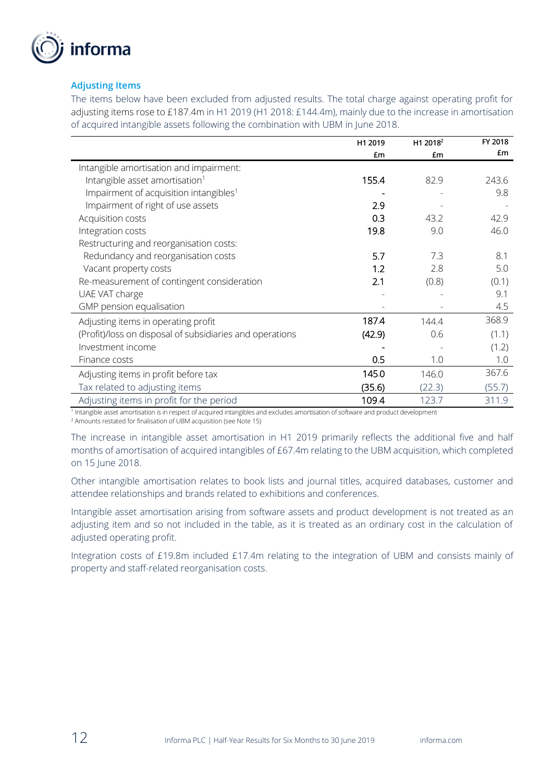

# **Adjusting Items**

The items below have been excluded from adjusted results. The total charge against operating profit for adjusting items rose to £187.4m in H1 2019 (H1 2018: £144.4m), mainly due to the increase in amortisation of acquired intangible assets following the combination with UBM in June 2018.

|                                                          | H1 2019 | H1 2018 <sup>2</sup> | FY 2018 |
|----------------------------------------------------------|---------|----------------------|---------|
|                                                          | £m      | £m                   | £m      |
| Intangible amortisation and impairment:                  |         |                      |         |
| Intangible asset amortisation <sup>1</sup>               | 155.4   | 82.9                 | 243.6   |
| Impairment of acquisition intangibles <sup>1</sup>       |         |                      | 9.8     |
| Impairment of right of use assets                        | 2.9     |                      |         |
| Acquisition costs                                        | 0.3     | 43.2                 | 42.9    |
| Integration costs                                        | 19.8    | 9.0                  | 46.0    |
| Restructuring and reorganisation costs:                  |         |                      |         |
| Redundancy and reorganisation costs                      | 5.7     | 7.3                  | 8.1     |
| Vacant property costs                                    | 1.2     | 2.8                  | 5.0     |
| Re-measurement of contingent consideration               | 2.1     | (0.8)                | (0.1)   |
| UAE VAT charge                                           |         |                      | 9.1     |
| GMP pension equalisation                                 |         |                      | 4.5     |
| Adjusting items in operating profit                      | 187.4   | 144.4                | 368.9   |
| (Profit)/loss on disposal of subsidiaries and operations | (42.9)  | 0.6                  | (1.1)   |
| Investment income                                        |         |                      | (1.2)   |
| Finance costs                                            | 0.5     | 1.0                  | 1.0     |
| Adjusting items in profit before tax                     | 145.0   | 146.0                | 367.6   |
| Tax related to adjusting items                           | (35.6)  | (22.3)               | (55.7)  |
| Adjusting items in profit for the period                 | 109.4   | 123.7                | 311.9   |

<sup>1</sup> Intangible asset amortisation is in respect of acquired intangibles and excludes amortisation of software and product development <sup>2</sup> Amounts restated for finalisation of UBM acquisition (see Note 15)

The increase in intangible asset amortisation in H1 2019 primarily reflects the additional five and half months of amortisation of acquired intangibles of £67.4m relating to the UBM acquisition, which completed on 15 June 2018.

Other intangible amortisation relates to book lists and journal titles, acquired databases, customer and attendee relationships and brands related to exhibitions and conferences.

Intangible asset amortisation arising from software assets and product development is not treated as an adjusting item and so not included in the table, as it is treated as an ordinary cost in the calculation of adjusted operating profit.

Integration costs of £19.8m included £17.4m relating to the integration of UBM and consists mainly of property and staff-related reorganisation costs.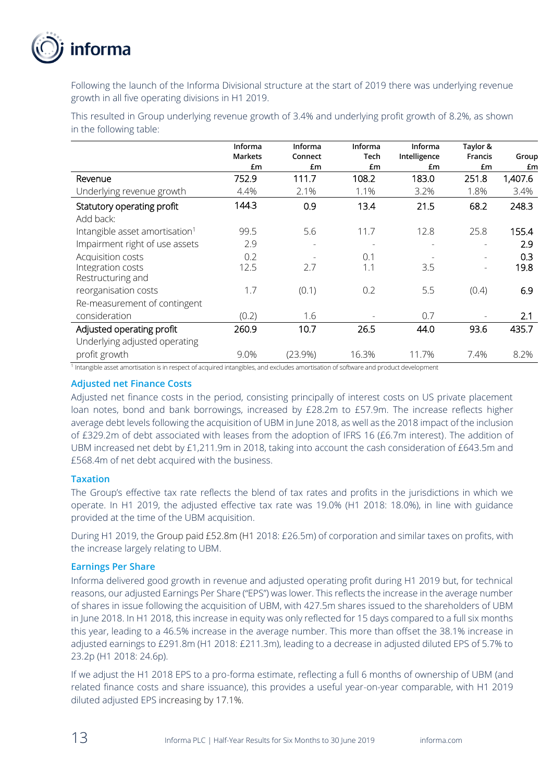

Following the launch of the Informa Divisional structure at the start of 2019 there was underlying revenue growth in all five operating divisions in H1 2019.

This resulted in Group underlying revenue growth of 3.4% and underlying profit growth of 8.2%, as shown in the following table:

|                                            | <b>Informa</b>       | <b>Informa</b> | Informa    | <b>Informa</b>     | Taylor &                 |             |
|--------------------------------------------|----------------------|----------------|------------|--------------------|--------------------------|-------------|
|                                            | <b>Markets</b><br>£m | Connect<br>£m  | Tech<br>£m | Intelligence<br>£m | Francis<br>£m            | Group<br>£m |
| Revenue                                    | 752.9                | 111.7          | 108.2      | 183.0              | 251.8                    | 1,407.6     |
| Underlying revenue growth                  | 4.4%                 | 2.1%           | 1.1%       | 3.2%               | 1.8%                     | 3.4%        |
| Statutory operating profit                 | 144.3                | 0.9            | 13.4       | 21.5               | 68.2                     | 248.3       |
| Add back:                                  |                      |                |            |                    |                          |             |
| Intangible asset amortisation <sup>1</sup> | 99.5                 | 5.6            | 11.7       | 12.8               | 25.8                     | 155.4       |
| Impairment right of use assets             | 2.9                  | $\equiv$       |            |                    | $\equiv$                 | 2.9         |
| Acquisition costs                          | 0.2                  |                | 0.1        |                    | $\overline{\phantom{a}}$ | 0.3         |
| Integration costs                          | 12.5                 | 2.7            | 1.1        | 3.5                |                          | 19.8        |
| Restructuring and                          |                      |                |            |                    |                          |             |
| reorganisation costs                       | 1.7                  | (0.1)          | 0.2        | 5.5                | (0.4)                    | 6.9         |
| Re-measurement of contingent               |                      |                |            |                    |                          |             |
| consideration                              | (0.2)                | 1.6            |            | 0.7                |                          | 2.1         |
| Adjusted operating profit                  | 260.9                | 10.7           | 26.5       | 44.0               | 93.6                     | 435.7       |
| Underlying adjusted operating              |                      |                |            |                    |                          |             |
| profit growth                              | 9.0%                 | $(23.9\%)$     | 16.3%      | 11.7%              | 7.4%                     | 8.2%        |

<sup>1</sup> Intangible asset amortisation is in respect of acquired intangibles, and excludes amortisation of software and product development

## **Adjusted net Finance Costs**

Adjusted net finance costs in the period, consisting principally of interest costs on US private placement loan notes, bond and bank borrowings, increased by £28.2m to £57.9m. The increase reflects higher average debt levels following the acquisition of UBM in June 2018, as well as the 2018 impact of the inclusion of £329.2m of debt associated with leases from the adoption of IFRS 16 (£6.7m interest). The addition of UBM increased net debt by £1,211.9m in 2018, taking into account the cash consideration of £643.5m and £568.4m of net debt acquired with the business.

#### **Taxation**

The Group's effective tax rate reflects the blend of tax rates and profits in the jurisdictions in which we operate. In H1 2019, the adjusted effective tax rate was 19.0% (H1 2018: 18.0%), in line with guidance provided at the time of the UBM acquisition.

During H1 2019, the Group paid £52.8m (H1 2018: £26.5m) of corporation and similar taxes on profits, with the increase largely relating to UBM.

#### **Earnings Per Share**

Informa delivered good growth in revenue and adjusted operating profit during H1 2019 but, for technical reasons, our adjusted Earnings Per Share ("EPS") was lower. This reflects the increase in the average number of shares in issue following the acquisition of UBM, with 427.5m shares issued to the shareholders of UBM in June 2018. In H1 2018, this increase in equity was only reflected for 15 days compared to a full six months this year, leading to a 46.5% increase in the average number. This more than offset the 38.1% increase in adjusted earnings to £291.8m (H1 2018: £211.3m), leading to a decrease in adjusted diluted EPS of 5.7% to 23.2p (H1 2018: 24.6p).

If we adjust the H1 2018 EPS to a pro-forma estimate, reflecting a full 6 months of ownership of UBM (and related finance costs and share issuance), this provides a useful year-on-year comparable, with H1 2019 diluted adjusted EPS increasing by 17.1%.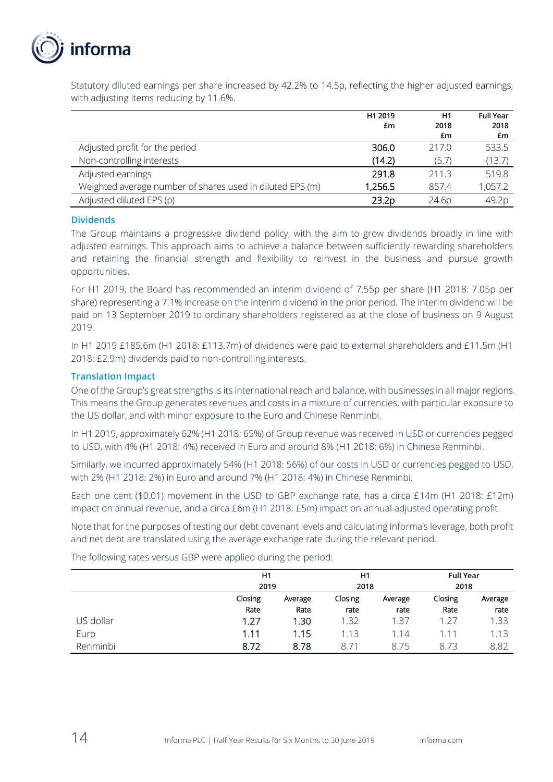

Statutory diluted earnings per share increased by 42.2% to 14.5p, reflecting the higher adjusted earnings, with adjusting items reducing by 11.6%.

|                                                           | H1 2019 | H1    | <b>Full Year</b> |
|-----------------------------------------------------------|---------|-------|------------------|
|                                                           | £m      | 2018  | 2018             |
|                                                           |         | £m    | £m               |
| Adjusted profit for the period                            | 306.0   | 217.0 | 533.5            |
| Non-controlling interests                                 | (14.2)  | (5.7) | (13.7)           |
| Adjusted earnings                                         | 291.8   | 211.3 | 519.8            |
| Weighted average number of shares used in diluted EPS (m) | 1,256.5 | 857.4 | 1,057.2          |
| Adjusted diluted EPS (p)                                  | 23.2p   | 24.6p | 49.2p            |

### **Dividends**

The Group maintains a progressive dividend policy, with the aim to grow dividends broadly in line with adjusted earnings. This approach aims to achieve a balance between sufficiently rewarding shareholders and retaining the financial strength and flexibility to reinvest in the business and pursue growth opportunities.

For H1 2019, the Board has recommended an interim dividend of 7.55p per share (H1 2018: 7.05p per share) representing a 7.1% increase on the interim dividend in the prior period. The interim dividend will be paid on 13 September 2019 to ordinary shareholders registered as at the close of business on 9 August 2019.

In H1 2019 £185.6m (H1 2018: £113.7m) of dividends were paid to external shareholders and £11.5m (H1 2018: £2.9m) dividends paid to non-controlling interests.

## **Translation Impact**

One of the Group's great strengths is its international reach and balance, with businesses in all major regions. This means the Group generates revenues and costs in a mixture of currencies, with particular exposure to the US dollar, and with minor exposure to the Euro and Chinese Renminbi.

In H1 2019, approximately 62% (H1 2018: 65%) of Group revenue was received in USD or currencies pegged to USD, with 4% (H1 2018: 4%) received in Euro and around 8% (H1 2018: 6%) in Chinese Renminbi.

Similarly, we incurred approximately 54% (H1 2018: 56%) of our costs in USD or currencies pegged to USD, with 2% (H1 2018: 2%) in Euro and around 7% (H1 2018: 4%) in Chinese Renminbi.

Each one cent (\$0.01) movement in the USD to GBP exchange rate, has a circa £14m (H1 2018: £12m) impact on annual revenue, and a circa £6m (H1 2018: £5m) impact on annual adjusted operating profit.

Note that for the purposes of testing our debt covenant levels and calculating Informa's leverage, both profit and net debt are translated using the average exchange rate during the relevant period.

The following rates versus GBP were applied during the period:

|           | H1      |         | H1      |         | <b>Full Year</b> |         |  |
|-----------|---------|---------|---------|---------|------------------|---------|--|
|           |         | 2019    |         | 2018    | 2018             |         |  |
|           | Closing | Average | Closing | Average | Closing          | Average |  |
|           | Rate    | Rate    | rate    | rate    | Rate             | rate    |  |
| US dollar | 1.27    | 1.30    | 1.32    | 1.37    | 1.27             | 1.33    |  |
| Euro      | 1.11    | 1.15    | 1.13    | l 14    | 1.11             | 1.13    |  |
| Renminbi  | 8.72    | 8.78    | 8.71    | 8.75    | 8.73             | 8.82    |  |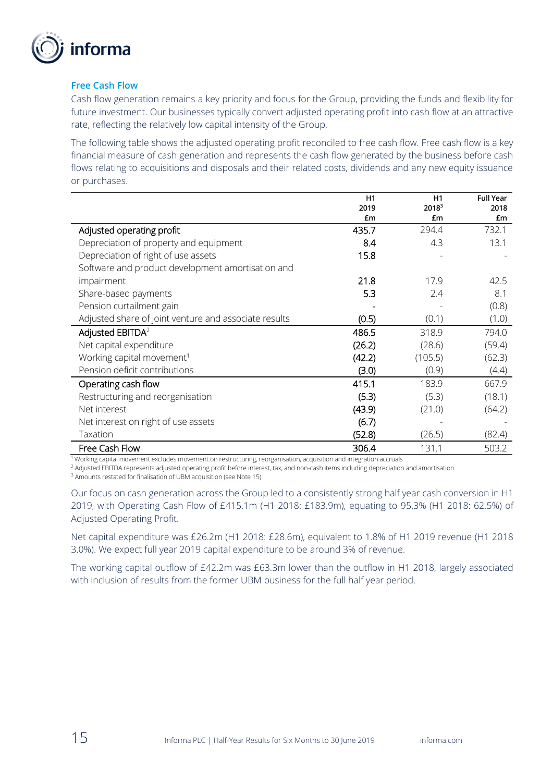

#### **Free Cash Flow**

Cash flow generation remains a key priority and focus for the Group, providing the funds and flexibility for future investment. Our businesses typically convert adjusted operating profit into cash flow at an attractive rate, reflecting the relatively low capital intensity of the Group.

The following table shows the adjusted operating profit reconciled to free cash flow. Free cash flow is a key financial measure of cash generation and represents the cash flow generated by the business before cash flows relating to acquisitions and disposals and their related costs, dividends and any new equity issuance or purchases.

|                                                       | H1     | H1       | <b>Full Year</b> |
|-------------------------------------------------------|--------|----------|------------------|
|                                                       | 2019   | $2018^3$ | 2018             |
|                                                       | £m     | £m       | £m               |
| Adjusted operating profit                             | 435.7  | 294.4    | 732.1            |
| Depreciation of property and equipment                | 8.4    | 4.3      | 13.1             |
| Depreciation of right of use assets                   | 15.8   |          |                  |
| Software and product development amortisation and     |        |          |                  |
| impairment                                            | 21.8   | 17.9     | 42.5             |
| Share-based payments                                  | 5.3    | 2.4      | 8.1              |
| Pension curtailment gain                              |        |          | (0.8)            |
| Adjusted share of joint venture and associate results | (0.5)  | (0.1)    | (1.0)            |
| Adjusted EBITDA <sup>2</sup>                          | 486.5  | 318.9    | 794.0            |
| Net capital expenditure                               | (26.2) | (28.6)   | (59.4)           |
| Working capital movement <sup>1</sup>                 | (42.2) | (105.5)  | (62.3)           |
| Pension deficit contributions                         | (3.0)  | (0.9)    | (4.4)            |
| Operating cash flow                                   | 415.1  | 183.9    | 667.9            |
| Restructuring and reorganisation                      | (5.3)  | (5.3)    | (18.1)           |
| Net interest                                          | (43.9) | (21.0)   | (64.2)           |
| Net interest on right of use assets                   | (6.7)  |          |                  |
| Taxation                                              | (52.8) | (26.5)   | (82.4)           |
| Free Cash Flow                                        | 306.4  | 131.1    | 503.2            |

<sup>1</sup>Working capital movement excludes movement on restructuring, reorganisation, acquisition and integration accruals

<sup>2</sup> Adjusted EBITDA represents adjusted operating profit before interest, tax, and non-cash items including depreciation and amortisation

<sup>3</sup> Amounts restated for finalisation of UBM acquisition (see Note 15)

Our focus on cash generation across the Group led to a consistently strong half year cash conversion in H1 2019, with Operating Cash Flow of £415.1m (H1 2018: £183.9m), equating to 95.3% (H1 2018: 62.5%) of Adjusted Operating Profit.

Net capital expenditure was £26.2m (H1 2018: £28.6m), equivalent to 1.8% of H1 2019 revenue (H1 2018 3.0%). We expect full year 2019 capital expenditure to be around 3% of revenue.

The working capital outflow of £42.2m was £63.3m lower than the outflow in H1 2018, largely associated with inclusion of results from the former UBM business for the full half year period.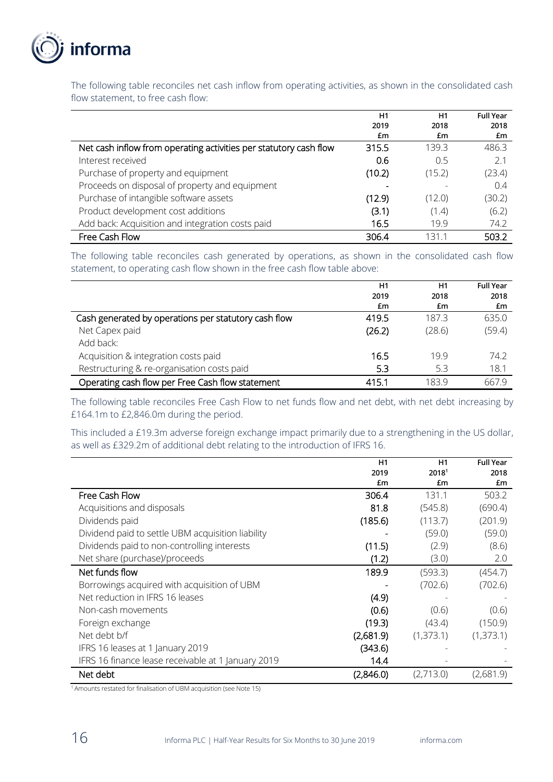

The following table reconciles net cash inflow from operating activities, as shown in the consolidated cash flow statement, to free cash flow:

|                                                                   | H1     | H1     | <b>Full Year</b> |
|-------------------------------------------------------------------|--------|--------|------------------|
|                                                                   | 2019   | 2018   | 2018             |
|                                                                   | £m     | £m     | £m               |
| Net cash inflow from operating activities per statutory cash flow | 315.5  | 139.3  | 486.3            |
| Interest received                                                 | 0.6    | 0.5    | 2.1              |
| Purchase of property and equipment                                | (10.2) | (15.2) | (23.4)           |
| Proceeds on disposal of property and equipment                    |        |        | 0.4              |
| Purchase of intangible software assets                            | (12.9) | (12.0) | (30.2)           |
| Product development cost additions                                | (3.1)  | (1.4)  | (6.2)            |
| Add back: Acquisition and integration costs paid                  | 16.5   | 19.9   | 74.2             |
| Free Cash Flow                                                    | 306.4  | 131 1  | 503.2            |

The following table reconciles cash generated by operations, as shown in the consolidated cash flow statement, to operating cash flow shown in the free cash flow table above:

|                                                      | H1<br>2019 | H1<br>2018 | <b>Full Year</b><br>2018 |
|------------------------------------------------------|------------|------------|--------------------------|
|                                                      | £m         | £m         | £m                       |
| Cash generated by operations per statutory cash flow | 419.5      | 187.3      | 635.0                    |
| Net Capex paid                                       | (26.2)     | (28.6)     | (59.4)                   |
| Add back:                                            |            |            |                          |
| Acquisition & integration costs paid                 | 16.5       | 19.9       | 74.2                     |
| Restructuring & re-organisation costs paid           | 5.3        | 5.3        | 18.1                     |
| Operating cash flow per Free Cash flow statement     | 415.1      | 1839       | 667.9                    |

The following table reconciles Free Cash Flow to net funds flow and net debt, with net debt increasing by £164.1m to £2,846.0m during the period.

This included a £19.3m adverse foreign exchange impact primarily due to a strengthening in the US dollar, as well as £329.2m of additional debt relating to the introduction of IFRS 16.

|                                                    | H1        | H1                | <b>Full Year</b> |
|----------------------------------------------------|-----------|-------------------|------------------|
|                                                    | 2019      | 2018 <sup>1</sup> | 2018             |
|                                                    | £m        | £m                | £m               |
| Free Cash Flow                                     | 306.4     | 131.1             | 503.2            |
| Acquisitions and disposals                         | 81.8      | (545.8)           | (690.4)          |
| Dividends paid                                     | (185.6)   | (113.7)           | (201.9)          |
| Dividend paid to settle UBM acquisition liability  |           | (59.0)            | (59.0)           |
| Dividends paid to non-controlling interests        | (11.5)    | (2.9)             | (8.6)            |
| Net share (purchase)/proceeds                      | (1.2)     | (3.0)             | 2.0              |
| Net funds flow                                     | 189.9     | (593.3)           | (454.7)          |
| Borrowings acquired with acquisition of UBM        |           | (702.6)           | (702.6)          |
| Net reduction in IFRS 16 leases                    | (4.9)     |                   |                  |
| Non-cash movements                                 | (0.6)     | (0.6)             | (0.6)            |
| Foreign exchange                                   | (19.3)    | (43.4)            | (150.9)          |
| Net debt b/f                                       | (2,681.9) | (1, 373.1)        | (1, 373.1)       |
| IFRS 16 leases at 1 January 2019                   | (343.6)   |                   |                  |
| IFRS 16 finance lease receivable at 1 January 2019 | 14.4      |                   |                  |
| Net debt                                           | (2,846.0) | (2,713.0)         | (2,681.9)        |

1Amounts restated for finalisation of UBM acquisition (see Note 15)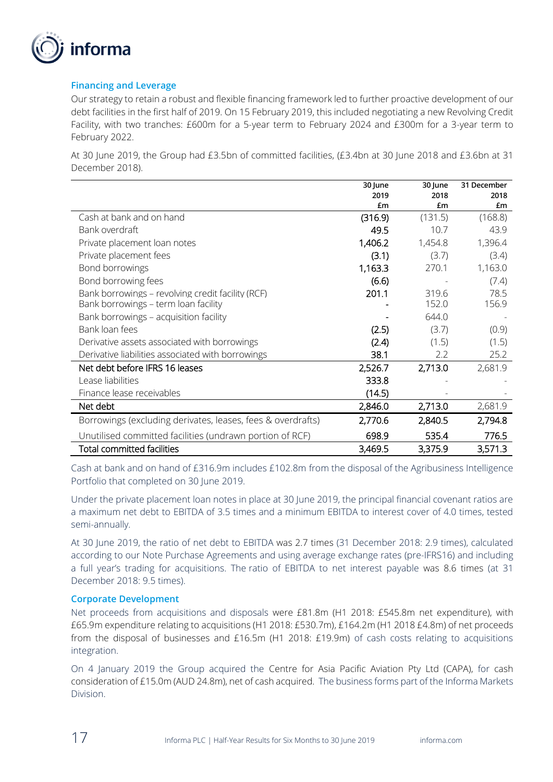

### **Financing and Leverage**

Our strategy to retain a robust and flexible financing framework led to further proactive development of our debt facilities in the first half of 2019. On 15 February 2019, this included negotiating a new Revolving Credit Facility, with two tranches: £600m for a 5-year term to February 2024 and £300m for a 3-year term to February 2022.

At 30 June 2019, the Group had £3.5bn of committed facilities, (£3.4bn at 30 June 2018 and £3.6bn at 31 December 2018).

|                                                             | 30 June | 30 June | 31 December |
|-------------------------------------------------------------|---------|---------|-------------|
|                                                             | 2019    | 2018    | 2018        |
|                                                             | £m      | £m      | £m          |
| Cash at bank and on hand                                    | (316.9) | (131.5) | (168.8)     |
| Bank overdraft                                              | 49.5    | 10.7    | 43.9        |
| Private placement loan notes                                | 1,406.2 | 1,454.8 | 1,396.4     |
| Private placement fees                                      | (3.1)   | (3.7)   | (3.4)       |
| Bond borrowings                                             | 1,163.3 | 270.1   | 1,163.0     |
| Bond borrowing fees                                         | (6.6)   |         | (7.4)       |
| Bank borrowings - revolving credit facility (RCF)           | 201.1   | 319.6   | 78.5        |
| Bank borrowings - term loan facility                        |         | 152.0   | 156.9       |
| Bank borrowings – acquisition facility                      |         | 644.0   |             |
| Bank loan fees                                              | (2.5)   | (3.7)   | (0.9)       |
| Derivative assets associated with borrowings                | (2.4)   | (1.5)   | (1.5)       |
| Derivative liabilities associated with borrowings           | 38.1    | 2.2     | 25.2        |
| Net debt before IFRS 16 leases                              | 2,526.7 | 2,713.0 | 2,681.9     |
| Lease liabilities                                           | 333.8   |         |             |
| Finance lease receivables                                   | (14.5)  |         |             |
| Net debt                                                    | 2,846.0 | 2,713.0 | 2,681.9     |
| Borrowings (excluding derivates, leases, fees & overdrafts) | 2,770.6 | 2,840.5 | 2,794.8     |
| Unutilised committed facilities (undrawn portion of RCF)    | 698.9   | 535.4   | 776.5       |
| <b>Total committed facilities</b>                           | 3,469.5 | 3,375.9 | 3,571.3     |

Cash at bank and on hand of £316.9m includes £102.8m from the disposal of the Agribusiness Intelligence Portfolio that completed on 30 June 2019.

Under the private placement loan notes in place at 30 June 2019, the principal financial covenant ratios are a maximum net debt to EBITDA of 3.5 times and a minimum EBITDA to interest cover of 4.0 times, tested semi-annually.

At 30 June 2019, the ratio of net debt to EBITDA was 2.7 times (31 December 2018: 2.9 times), calculated according to our Note Purchase Agreements and using average exchange rates (pre-IFRS16) and including a full year's trading for acquisitions. The ratio of EBITDA to net interest payable was 8.6 times (at 31 December 2018: 9.5 times).

#### **Corporate Development**

Net proceeds from acquisitions and disposals were £81.8m (H1 2018: £545.8m net expenditure), with £65.9m expenditure relating to acquisitions (H1 2018: £530.7m), £164.2m (H1 2018 £4.8m) of net proceeds from the disposal of businesses and £16.5m (H1 2018: £19.9m) of cash costs relating to acquisitions integration.

On 4 January 2019 the Group acquired the Centre for Asia Pacific Aviation Pty Ltd (CAPA), for cash consideration of £15.0m (AUD 24.8m), net of cash acquired. The business forms part of the Informa Markets Division.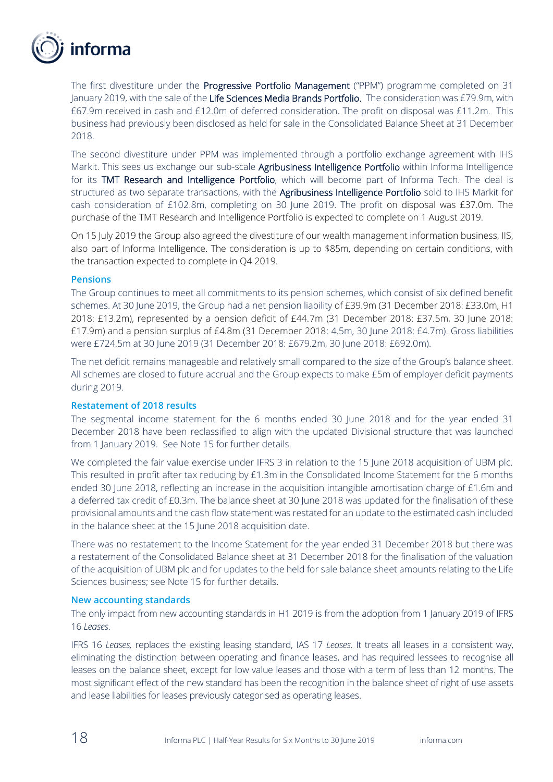

The first divestiture under the Progressive Portfolio Management ("PPM") programme completed on 31 January 2019, with the sale of the Life Sciences Media Brands Portfolio. The consideration was £79.9m, with £67.9m received in cash and £12.0m of deferred consideration. The profit on disposal was £11.2m. This business had previously been disclosed as held for sale in the Consolidated Balance Sheet at 31 December 2018.

The second divestiture under PPM was implemented through a portfolio exchange agreement with IHS Markit. This sees us exchange our sub-scale Agribusiness Intelligence Portfolio within Informa Intelligence for its TMT Research and Intelligence Portfolio, which will become part of Informa Tech. The deal is structured as two separate transactions, with the **Agribusiness Intelligence Portfolio** sold to IHS Markit for cash consideration of £102.8m, completing on 30 June 2019. The profit on disposal was £37.0m. The purchase of the TMT Research and Intelligence Portfolio is expected to complete on 1 August 2019.

On 15 July 2019 the Group also agreed the divestiture of our wealth management information business, IIS, also part of Informa Intelligence. The consideration is up to \$85m, depending on certain conditions, with the transaction expected to complete in Q4 2019.

## **Pensions**

The Group continues to meet all commitments to its pension schemes, which consist of six defined benefit schemes. At 30 June 2019, the Group had a net pension liability of £39.9m (31 December 2018: £33.0m, H1 2018: £13.2m), represented by a pension deficit of £44.7m (31 December 2018: £37.5m, 30 June 2018: £17.9m) and a pension surplus of £4.8m (31 December 2018: 4.5m, 30 June 2018: £4.7m). Gross liabilities were £724.5m at 30 June 2019 (31 December 2018: £679.2m, 30 June 2018: £692.0m).

The net deficit remains manageable and relatively small compared to the size of the Group's balance sheet. All schemes are closed to future accrual and the Group expects to make £5m of employer deficit payments during 2019.

#### **Restatement of 2018 results**

The segmental income statement for the 6 months ended 30 June 2018 and for the year ended 31 December 2018 have been reclassified to align with the updated Divisional structure that was launched from 1 January 2019. See Note 15 for further details.

We completed the fair value exercise under IFRS 3 in relation to the 15 June 2018 acquisition of UBM plc. This resulted in profit after tax reducing by £1.3m in the Consolidated Income Statement for the 6 months ended 30 June 2018, reflecting an increase in the acquisition intangible amortisation charge of £1.6m and a deferred tax credit of £0.3m. The balance sheet at 30 June 2018 was updated for the finalisation of these provisional amounts and the cash flow statement was restated for an update to the estimated cash included in the balance sheet at the 15 June 2018 acquisition date.

There was no restatement to the Income Statement for the year ended 31 December 2018 but there was a restatement of the Consolidated Balance sheet at 31 December 2018 for the finalisation of the valuation of the acquisition of UBM plc and for updates to the held for sale balance sheet amounts relating to the Life Sciences business; see Note 15 for further details.

#### **New accounting standards**

The only impact from new accounting standards in H1 2019 is from the adoption from 1 January 2019 of IFRS 16 *Leases*.

IFRS 16 *Leases,* replaces the existing leasing standard, IAS 17 *Leases*. It treats all leases in a consistent way, eliminating the distinction between operating and finance leases, and has required lessees to recognise all leases on the balance sheet, except for low value leases and those with a term of less than 12 months. The most significant effect of the new standard has been the recognition in the balance sheet of right of use assets and lease liabilities for leases previously categorised as operating leases.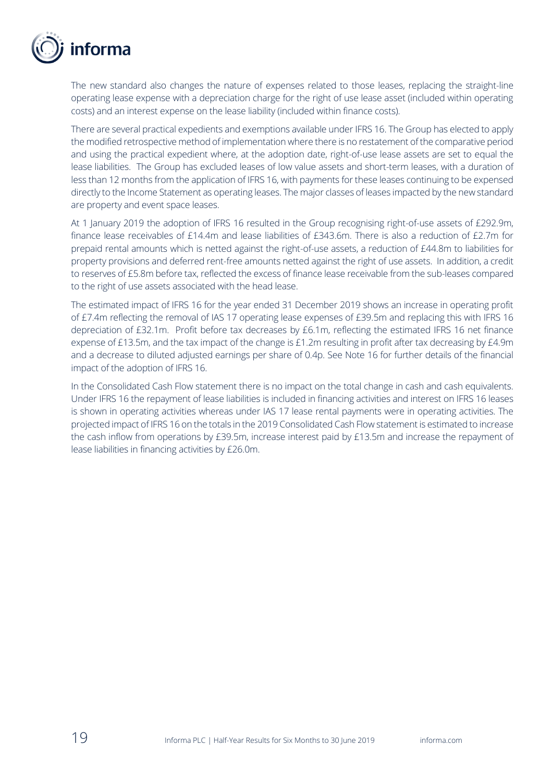

The new standard also changes the nature of expenses related to those leases, replacing the straight-line operating lease expense with a depreciation charge for the right of use lease asset (included within operating costs) and an interest expense on the lease liability (included within finance costs).

There are several practical expedients and exemptions available under IFRS 16. The Group has elected to apply the modified retrospective method of implementation where there is no restatement of the comparative period and using the practical expedient where, at the adoption date, right-of-use lease assets are set to equal the lease liabilities. The Group has excluded leases of low value assets and short-term leases, with a duration of less than 12 months from the application of IFRS 16, with payments for these leases continuing to be expensed directly to the Income Statement as operating leases. The major classes of leases impacted by the new standard are property and event space leases.

At 1 January 2019 the adoption of IFRS 16 resulted in the Group recognising right-of-use assets of £292.9m, finance lease receivables of £14.4m and lease liabilities of £343.6m. There is also a reduction of £2.7m for prepaid rental amounts which is netted against the right-of-use assets, a reduction of £44.8m to liabilities for property provisions and deferred rent-free amounts netted against the right of use assets. In addition, a credit to reserves of £5.8m before tax, reflected the excess of finance lease receivable from the sub-leases compared to the right of use assets associated with the head lease.

The estimated impact of IFRS 16 for the year ended 31 December 2019 shows an increase in operating profit of £7.4m reflecting the removal of IAS 17 operating lease expenses of £39.5m and replacing this with IFRS 16 depreciation of £32.1m. Profit before tax decreases by £6.1m, reflecting the estimated IFRS 16 net finance expense of £13.5m, and the tax impact of the change is £1.2m resulting in profit after tax decreasing by £4.9m and a decrease to diluted adjusted earnings per share of 0.4p. See Note 16 for further details of the financial impact of the adoption of IFRS 16.

In the Consolidated Cash Flow statement there is no impact on the total change in cash and cash equivalents. Under IFRS 16 the repayment of lease liabilities is included in financing activities and interest on IFRS 16 leases is shown in operating activities whereas under IAS 17 lease rental payments were in operating activities. The projected impact of IFRS 16 on the totals in the 2019 Consolidated Cash Flow statement is estimated to increase the cash inflow from operations by £39.5m, increase interest paid by £13.5m and increase the repayment of lease liabilities in financing activities by £26.0m.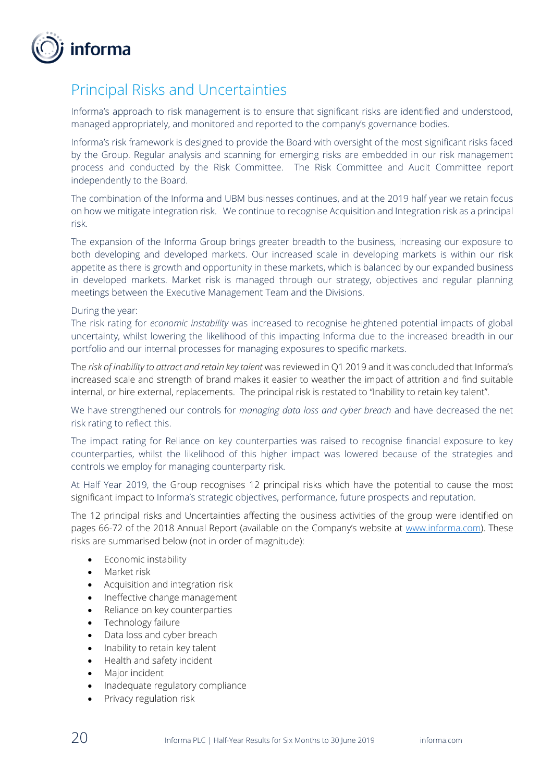

# Principal Risks and Uncertainties

Informa's approach to risk management is to ensure that significant risks are identified and understood, managed appropriately, and monitored and reported to the company's governance bodies.

Informa's risk framework is designed to provide the Board with oversight of the most significant risks faced by the Group. Regular analysis and scanning for emerging risks are embedded in our risk management process and conducted by the Risk Committee. The Risk Committee and Audit Committee report independently to the Board.

The combination of the Informa and UBM businesses continues, and at the 2019 half year we retain focus on how we mitigate integration risk. We continue to recognise Acquisition and Integration risk as a principal risk.

The expansion of the Informa Group brings greater breadth to the business, increasing our exposure to both developing and developed markets. Our increased scale in developing markets is within our risk appetite as there is growth and opportunity in these markets, which is balanced by our expanded business in developed markets. Market risk is managed through our strategy, objectives and regular planning meetings between the Executive Management Team and the Divisions.

#### During the year:

The risk rating for *economic instability* was increased to recognise heightened potential impacts of global uncertainty, whilst lowering the likelihood of this impacting Informa due to the increased breadth in our portfolio and our internal processes for managing exposures to specific markets.

The *risk of inability to attract and retain key talent* was reviewed in Q1 2019 and it was concluded that Informa's increased scale and strength of brand makes it easier to weather the impact of attrition and find suitable internal, or hire external, replacements. The principal risk is restated to "Inability to retain key talent".

We have strengthened our controls for *managing data loss and cyber breach* and have decreased the net risk rating to reflect this.

The impact rating for Reliance on key counterparties was raised to recognise financial exposure to key counterparties, whilst the likelihood of this higher impact was lowered because of the strategies and controls we employ for managing counterparty risk.

At Half Year 2019, the Group recognises 12 principal risks which have the potential to cause the most significant impact to Informa's strategic objectives, performance, future prospects and reputation.

The 12 principal risks and Uncertainties affecting the business activities of the group were identified on pages 66-72 of the 2018 Annual Report (available on the Company's website at [www.informa.com\)](http://www.informa.com/). These risks are summarised below (not in order of magnitude):

- Economic instability
- Market risk
- Acquisition and integration risk
- Ineffective change management
- Reliance on key counterparties
- Technology failure
- Data loss and cyber breach
- Inability to retain key talent
- Health and safety incident
- Major incident
- Inadequate regulatory compliance
- Privacy regulation risk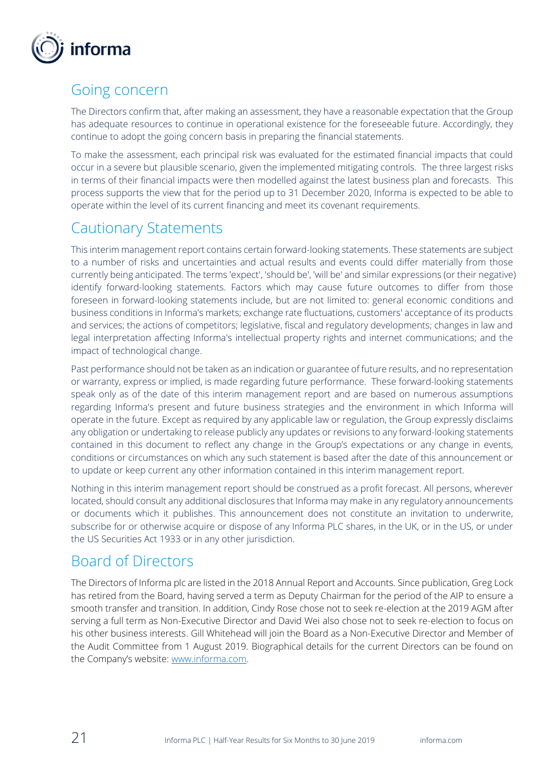

# Going concern

The Directors confirm that, after making an assessment, they have a reasonable expectation that the Group has adequate resources to continue in operational existence for the foreseeable future. Accordingly, they continue to adopt the going concern basis in preparing the financial statements.

To make the assessment, each principal risk was evaluated for the estimated financial impacts that could occur in a severe but plausible scenario, given the implemented mitigating controls. The three largest risks in terms of their financial impacts were then modelled against the latest business plan and forecasts. This process supports the view that for the period up to 31 December 2020, Informa is expected to be able to operate within the level of its current financing and meet its covenant requirements.

# Cautionary Statements

This interim management report contains certain forward-looking statements. These statements are subject to a number of risks and uncertainties and actual results and events could differ materially from those currently being anticipated. The terms 'expect', 'should be', 'will be' and similar expressions (or their negative) identify forward-looking statements. Factors which may cause future outcomes to differ from those foreseen in forward-looking statements include, but are not limited to: general economic conditions and business conditions in Informa's markets; exchange rate fluctuations, customers' acceptance of its products and services; the actions of competitors; legislative, fiscal and regulatory developments; changes in law and legal interpretation affecting Informa's intellectual property rights and internet communications; and the impact of technological change.

Past performance should not be taken as an indication or guarantee of future results, and no representation or warranty, express or implied, is made regarding future performance. These forward-looking statements speak only as of the date of this interim management report and are based on numerous assumptions regarding Informa's present and future business strategies and the environment in which Informa will operate in the future. Except as required by any applicable law or regulation, the Group expressly disclaims any obligation or undertaking to release publicly any updates or revisions to any forward-looking statements contained in this document to reflect any change in the Group's expectations or any change in events, conditions or circumstances on which any such statement is based after the date of this announcement or to update or keep current any other information contained in this interim management report.

Nothing in this interim management report should be construed as a profit forecast. All persons, wherever located, should consult any additional disclosures that Informa may make in any regulatory announcements or documents which it publishes. This announcement does not constitute an invitation to underwrite, subscribe for or otherwise acquire or dispose of any Informa PLC shares, in the UK, or in the US, or under the US Securities Act 1933 or in any other jurisdiction.

# Board of Directors

The Directors of Informa plc are listed in the 2018 Annual Report and Accounts. Since publication, Greg Lock has retired from the Board, having served a term as Deputy Chairman for the period of the AIP to ensure a smooth transfer and transition. In addition, Cindy Rose chose not to seek re-election at the 2019 AGM after serving a full term as Non-Executive Director and David Wei also chose not to seek re-election to focus on his other business interests. Gill Whitehead will join the Board as a Non-Executive Director and Member of the Audit Committee from 1 August 2019. Biographical details for the current Directors can be found on the Company's website: [www.informa.com.](http://www.informa.com/)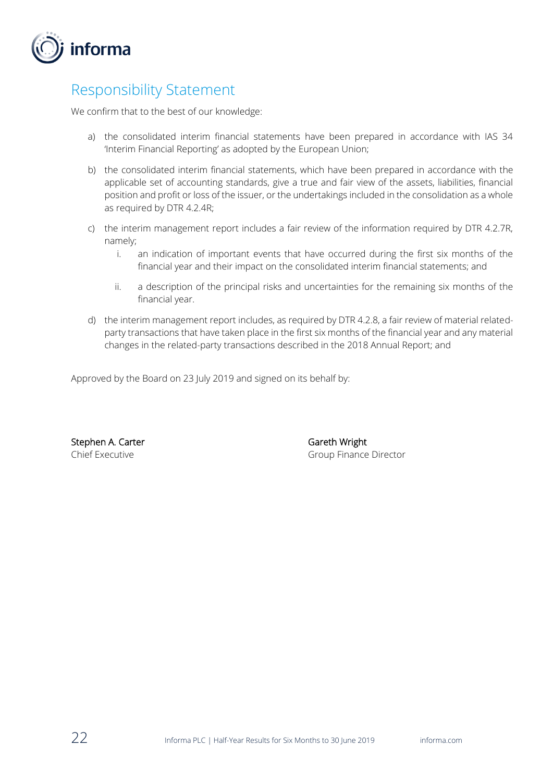

# Responsibility Statement

We confirm that to the best of our knowledge:

- a) the consolidated interim financial statements have been prepared in accordance with IAS 34 'Interim Financial Reporting' as adopted by the European Union;
- b) the consolidated interim financial statements, which have been prepared in accordance with the applicable set of accounting standards, give a true and fair view of the assets, liabilities, financial position and profit or loss of the issuer, or the undertakings included in the consolidation as a whole as required by DTR 4.2.4R;
- c) the interim management report includes a fair review of the information required by DTR 4.2.7R, namely;
	- i. an indication of important events that have occurred during the first six months of the financial year and their impact on the consolidated interim financial statements; and
	- ii. a description of the principal risks and uncertainties for the remaining six months of the financial year.
- d) the interim management report includes, as required by DTR 4.2.8, a fair review of material relatedparty transactions that have taken place in the first six months of the financial year and any material changes in the related-party transactions described in the 2018 Annual Report; and

Approved by the Board on 23 July 2019 and signed on its behalf by:

Stephen A. Carter Gareth Wright

Chief Executive Chief Executive Chief Executive Group Finance Director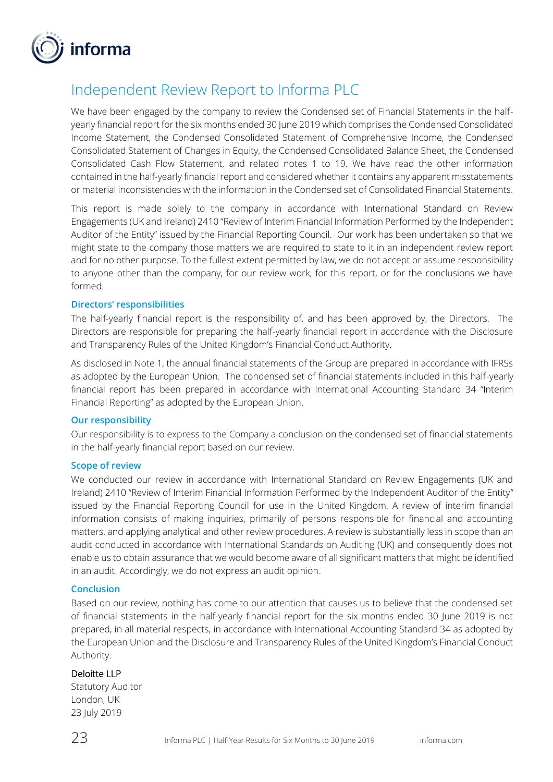

# Independent Review Report to Informa PLC

We have been engaged by the company to review the Condensed set of Financial Statements in the halfyearly financial report for the six months ended 30 June 2019 which comprises the Condensed Consolidated Income Statement, the Condensed Consolidated Statement of Comprehensive Income, the Condensed Consolidated Statement of Changes in Equity, the Condensed Consolidated Balance Sheet, the Condensed Consolidated Cash Flow Statement, and related notes 1 to 19. We have read the other information contained in the half-yearly financial report and considered whether it contains any apparent misstatements or material inconsistencies with the information in the Condensed set of Consolidated Financial Statements.

This report is made solely to the company in accordance with International Standard on Review Engagements (UK and Ireland) 2410 "Review of Interim Financial Information Performed by the Independent Auditor of the Entity" issued by the Financial Reporting Council. Our work has been undertaken so that we might state to the company those matters we are required to state to it in an independent review report and for no other purpose. To the fullest extent permitted by law, we do not accept or assume responsibility to anyone other than the company, for our review work, for this report, or for the conclusions we have formed.

## **Directors' responsibilities**

The half-yearly financial report is the responsibility of, and has been approved by, the Directors. The Directors are responsible for preparing the half-yearly financial report in accordance with the Disclosure and Transparency Rules of the United Kingdom's Financial Conduct Authority.

As disclosed in Note 1, the annual financial statements of the Group are prepared in accordance with IFRSs as adopted by the European Union. The condensed set of financial statements included in this half-yearly financial report has been prepared in accordance with International Accounting Standard 34 "Interim Financial Reporting" as adopted by the European Union.

#### **Our responsibility**

Our responsibility is to express to the Company a conclusion on the condensed set of financial statements in the half-yearly financial report based on our review.

#### **Scope of review**

We conducted our review in accordance with International Standard on Review Engagements (UK and Ireland) 2410 "Review of Interim Financial Information Performed by the Independent Auditor of the Entity" issued by the Financial Reporting Council for use in the United Kingdom. A review of interim financial information consists of making inquiries, primarily of persons responsible for financial and accounting matters, and applying analytical and other review procedures. A review is substantially less in scope than an audit conducted in accordance with International Standards on Auditing (UK) and consequently does not enable us to obtain assurance that we would become aware of all significant matters that might be identified in an audit. Accordingly, we do not express an audit opinion.

#### **Conclusion**

Based on our review, nothing has come to our attention that causes us to believe that the condensed set of financial statements in the half-yearly financial report for the six months ended 30 June 2019 is not prepared, in all material respects, in accordance with International Accounting Standard 34 as adopted by the European Union and the Disclosure and Transparency Rules of the United Kingdom's Financial Conduct Authority.

# Deloitte LLP

Statutory Auditor London, UK 23 July 2019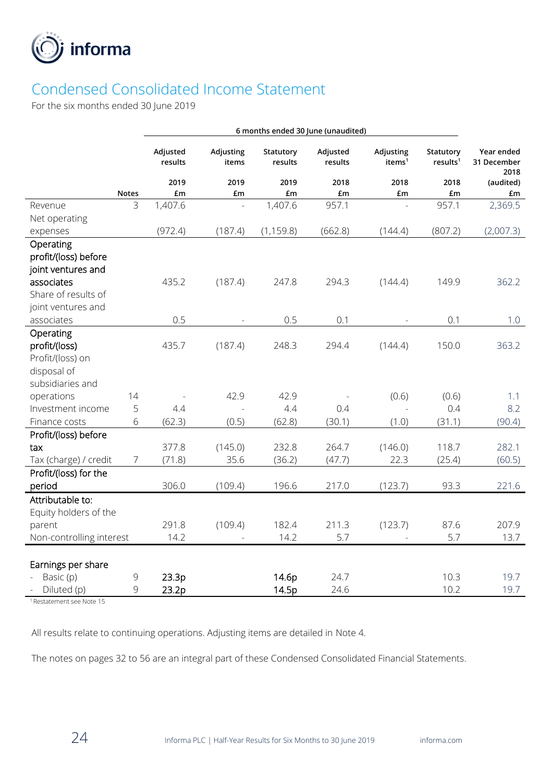

# Condensed Consolidated Income Statement

For the six months ended 30 June 2019

<sup>1</sup>Restatement see Note 15

All results relate to continuing operations. Adjusting items are detailed in Note 4.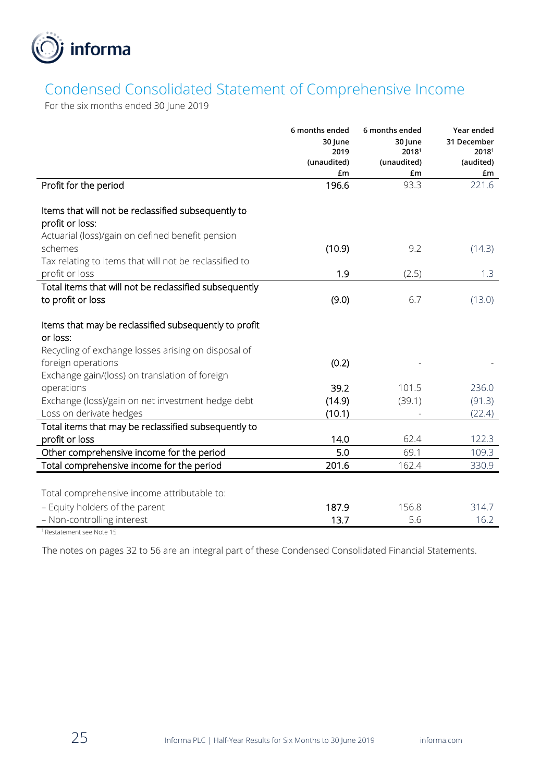

# Condensed Consolidated Statement of Comprehensive Income

For the six months ended 30 June 2019

|                                                        | 6 months ended | 6 months ended | Year ended        |
|--------------------------------------------------------|----------------|----------------|-------------------|
|                                                        | 30 June        | 30 June        | 31 December       |
|                                                        | 2019           | 20181          | 2018 <sup>1</sup> |
|                                                        | (unaudited)    | (unaudited)    | (audited)         |
|                                                        | £m             | £m             | £m                |
| Profit for the period                                  | 196.6          | 93.3           | 221.6             |
| Items that will not be reclassified subsequently to    |                |                |                   |
| profit or loss:                                        |                |                |                   |
| Actuarial (loss)/gain on defined benefit pension       |                |                |                   |
| schemes                                                | (10.9)         | 9.2            | (14.3)            |
| Tax relating to items that will not be reclassified to |                |                |                   |
| profit or loss                                         | 1.9            | (2.5)          | 1.3               |
| Total items that will not be reclassified subsequently |                |                |                   |
| to profit or loss                                      | (9.0)          | 6.7            | (13.0)            |
| Items that may be reclassified subsequently to profit  |                |                |                   |
| or loss:                                               |                |                |                   |
| Recycling of exchange losses arising on disposal of    |                |                |                   |
| foreign operations                                     | (0.2)          |                |                   |
| Exchange gain/(loss) on translation of foreign         |                |                |                   |
| operations                                             | 39.2           | 101.5          | 236.0             |
| Exchange (loss)/gain on net investment hedge debt      | (14.9)         | (39.1)         | (91.3)            |
| Loss on derivate hedges                                | (10.1)         |                | (22.4)            |
| Total items that may be reclassified subsequently to   |                |                |                   |
| profit or loss                                         | 14.0           | 62.4           | 122.3             |
| Other comprehensive income for the period              | 5.0            | 69.1           | 109.3             |
| Total comprehensive income for the period              | 201.6          | 162.4          | 330.9             |
|                                                        |                |                |                   |
| Total comprehensive income attributable to:            |                |                |                   |
| - Equity holders of the parent                         | 187.9          | 156.8          | 314.7             |
| - Non-controlling interest                             | 13.7           | 5.6            | 16.2              |

1Restatement see Note 15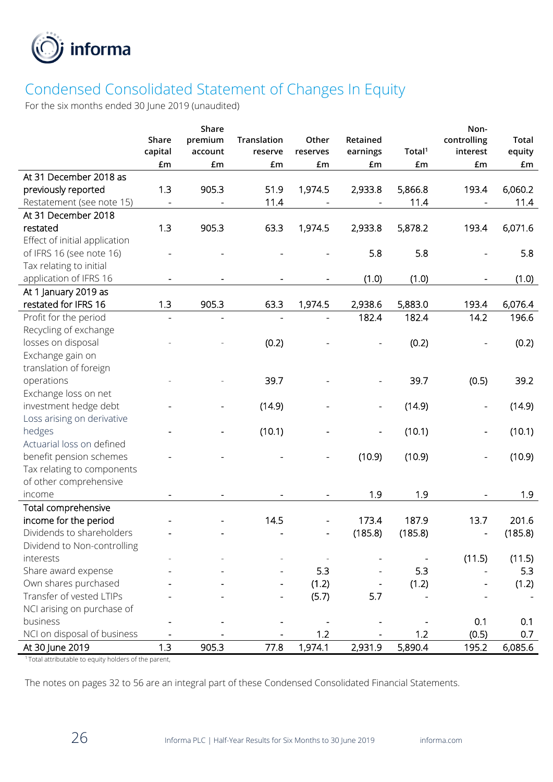

# Condensed Consolidated Statement of Changes In Equity

For the six months ended 30 June 2019 (unaudited)

|                               |                          | Share              |                        |                   |                      |                    | Non-                    |                 |
|-------------------------------|--------------------------|--------------------|------------------------|-------------------|----------------------|--------------------|-------------------------|-----------------|
|                               | Share<br>capital         | premium<br>account | Translation<br>reserve | Other<br>reserves | Retained<br>earnings | Total <sup>1</sup> | controlling<br>interest | Total<br>equity |
|                               | £m                       | £m                 | £m                     | £m                | £m                   | £m                 | £m                      | £m              |
| At 31 December 2018 as        |                          |                    |                        |                   |                      |                    |                         |                 |
| previously reported           | 1.3                      | 905.3              | 51.9                   | 1,974.5           | 2,933.8              | 5,866.8            | 193.4                   | 6,060.2         |
| Restatement (see note 15)     |                          |                    | 11.4                   |                   |                      | 11.4               |                         | 11.4            |
| At 31 December 2018           |                          |                    |                        |                   |                      |                    |                         |                 |
| restated                      | 1.3                      | 905.3              | 63.3                   | 1,974.5           | 2,933.8              | 5,878.2            | 193.4                   | 6,071.6         |
| Effect of initial application |                          |                    |                        |                   |                      |                    |                         |                 |
| of IFRS 16 (see note 16)      |                          |                    |                        |                   | 5.8                  | 5.8                |                         | 5.8             |
| Tax relating to initial       |                          |                    |                        |                   |                      |                    |                         |                 |
| application of IFRS 16        | $\overline{\phantom{a}}$ |                    |                        |                   | (1.0)                | (1.0)              |                         | (1.0)           |
| At 1 January 2019 as          |                          |                    |                        |                   |                      |                    |                         |                 |
| restated for IFRS 16          | 1.3                      | 905.3              | 63.3                   | 1,974.5           | 2,938.6              | 5,883.0            | 193.4                   | 6,076.4         |
| Profit for the period         |                          |                    |                        |                   | 182.4                | 182.4              | 14.2                    | 196.6           |
| Recycling of exchange         |                          |                    |                        |                   |                      |                    |                         |                 |
| losses on disposal            |                          |                    | (0.2)                  |                   |                      | (0.2)              |                         | (0.2)           |
| Exchange gain on              |                          |                    |                        |                   |                      |                    |                         |                 |
| translation of foreign        |                          |                    |                        |                   |                      |                    |                         |                 |
| operations                    |                          |                    | 39.7                   |                   |                      | 39.7               | (0.5)                   | 39.2            |
| Exchange loss on net          |                          |                    |                        |                   |                      |                    |                         |                 |
| investment hedge debt         |                          |                    | (14.9)                 |                   |                      | (14.9)             |                         | (14.9)          |
| Loss arising on derivative    |                          |                    |                        |                   |                      |                    |                         |                 |
| hedges                        |                          |                    | (10.1)                 |                   |                      | (10.1)             |                         | (10.1)          |
| Actuarial loss on defined     |                          |                    |                        |                   |                      |                    |                         |                 |
| benefit pension schemes       |                          |                    |                        |                   | (10.9)               | (10.9)             |                         | (10.9)          |
| Tax relating to components    |                          |                    |                        |                   |                      |                    |                         |                 |
| of other comprehensive        |                          |                    |                        |                   |                      |                    |                         |                 |
| income                        |                          |                    |                        |                   | 1.9                  | 1.9                |                         | 1.9             |
| Total comprehensive           |                          |                    |                        |                   |                      |                    |                         |                 |
| income for the period         |                          |                    | 14.5                   |                   | 173.4                | 187.9              | 13.7                    | 201.6           |
| Dividends to shareholders     |                          |                    |                        |                   | (185.8)              | (185.8)            |                         | (185.8)         |
| Dividend to Non-controlling   |                          |                    |                        |                   |                      |                    |                         |                 |
| interests                     |                          |                    |                        |                   |                      |                    | (11.5)                  | (11.5)          |
| Share award expense           |                          |                    |                        | 5.3               |                      | 5.3                |                         | 5.3             |
| Own shares purchased          |                          |                    |                        | (1.2)             |                      | (1.2)              |                         | (1.2)           |
| Transfer of vested LTIPs      |                          |                    |                        | (5.7)             | 5.7                  |                    |                         |                 |
| NCI arising on purchase of    |                          |                    |                        |                   |                      |                    |                         |                 |
| business                      |                          |                    |                        |                   |                      |                    | 0.1                     | 0.1             |
| NCI on disposal of business   |                          |                    |                        | 1.2               |                      | 1.2                | (0.5)                   | 0.7             |
| At 30 June 2019               | 1.3                      | 905.3              | 77.8                   | 1,974.1           | 2,931.9              | 5,890.4            | 195.2                   | 6,085.6         |

<sup>1</sup>Total attributable to equity holders of the parent,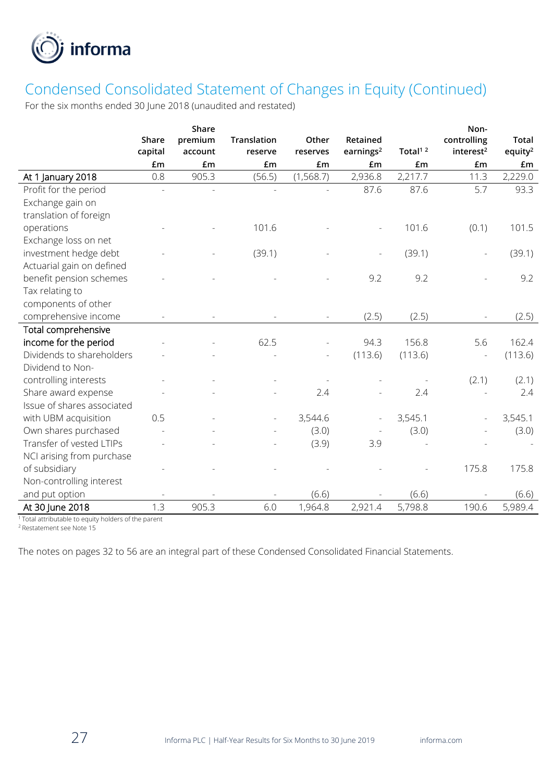

# Condensed Consolidated Statement of Changes in Equity (Continued)

For the six months ended 30 June 2018 (unaudited and restated)

|                            |         | Share   |                    |            |                       |                     | Non-                  |                     |
|----------------------------|---------|---------|--------------------|------------|-----------------------|---------------------|-----------------------|---------------------|
|                            | Share   | premium | <b>Translation</b> | Other      | Retained              |                     | controlling           | <b>Total</b>        |
|                            | capital | account | reserve            | reserves   | earnings <sup>2</sup> | Total <sup>12</sup> | interest <sup>2</sup> | equity <sup>2</sup> |
|                            | £m      | £m      | £m                 | £m         | £m                    | £m                  | £m                    | £m                  |
| At 1 January 2018          | 0.8     | 905.3   | (56.5)             | (1, 568.7) | 2,936.8               | 2,217.7             | 11.3                  | 2,229.0             |
| Profit for the period      |         |         |                    |            | 87.6                  | 87.6                | 5.7                   | 93.3                |
| Exchange gain on           |         |         |                    |            |                       |                     |                       |                     |
| translation of foreign     |         |         |                    |            |                       |                     |                       |                     |
| operations                 |         |         | 101.6              |            |                       | 101.6               | (0.1)                 | 101.5               |
| Exchange loss on net       |         |         |                    |            |                       |                     |                       |                     |
| investment hedge debt      |         |         | (39.1)             |            |                       | (39.1)              |                       | (39.1)              |
| Actuarial gain on defined  |         |         |                    |            |                       |                     |                       |                     |
| benefit pension schemes    |         |         |                    |            | 9.2                   | 9.2                 |                       | 9.2                 |
| Tax relating to            |         |         |                    |            |                       |                     |                       |                     |
| components of other        |         |         |                    |            |                       |                     |                       |                     |
| comprehensive income       |         |         |                    |            | (2.5)                 | (2.5)               |                       | (2.5)               |
| Total comprehensive        |         |         |                    |            |                       |                     |                       |                     |
| income for the period      |         |         | 62.5               |            | 94.3                  | 156.8               | 5.6                   | 162.4               |
| Dividends to shareholders  |         |         |                    |            | (113.6)               | (113.6)             |                       | (113.6)             |
| Dividend to Non-           |         |         |                    |            |                       |                     |                       |                     |
| controlling interests      |         |         |                    |            |                       |                     | (2.1)                 | (2.1)               |
| Share award expense        |         |         |                    | 2.4        |                       | 2.4                 |                       | 2.4                 |
| Issue of shares associated |         |         |                    |            |                       |                     |                       |                     |
| with UBM acquisition       | 0.5     |         |                    | 3,544.6    |                       | 3,545.1             |                       | 3,545.1             |
| Own shares purchased       |         |         |                    | (3.0)      |                       | (3.0)               |                       | (3.0)               |
| Transfer of vested LTIPs   |         |         |                    | (3.9)      | 3.9                   |                     |                       |                     |
| NCI arising from purchase  |         |         |                    |            |                       |                     |                       |                     |
| of subsidiary              |         |         |                    |            |                       |                     | 175.8                 | 175.8               |
| Non-controlling interest   |         |         |                    |            |                       |                     |                       |                     |
| and put option             |         |         |                    | (6.6)      |                       | (6.6)               |                       | (6.6)               |
| At 30 June 2018            | 1.3     | 905.3   | 6.0                | 1,964.8    | 2,921.4               | 5,798.8             | 190.6                 | 5,989.4             |

<sup>1</sup> Total attributable to equity holders of the parent

<sup>2</sup> Restatement see Note 15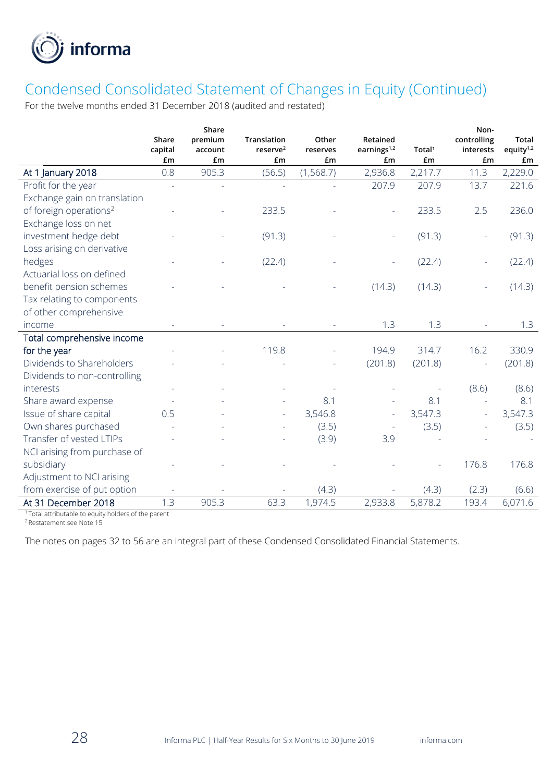

# Condensed Consolidated Statement of Changes in Equity (Continued)

For the twelve months ended 31 December 2018 (audited and restated)

|                                                                 | Share   |         |                      |            |                | Non-               |             |                       |
|-----------------------------------------------------------------|---------|---------|----------------------|------------|----------------|--------------------|-------------|-----------------------|
|                                                                 | Share   | premium | <b>Translation</b>   | Other      | Retained       |                    | controlling | <b>Total</b>          |
|                                                                 | capital | account | reserve <sup>2</sup> | reserves   | earnings $1,2$ | Total <sup>1</sup> | interests   | equity <sup>1,2</sup> |
|                                                                 | £m      | £m      | £m                   | £m         | £m             | £m                 | £m          | £m                    |
| At 1 January 2018                                               | 0.8     | 905.3   | (56.5)               | (1, 568.7) | 2,936.8        | 2,217.7            | 11.3        | 2,229.0               |
| Profit for the year                                             |         |         |                      |            | 207.9          | 207.9              | 13.7        | 221.6                 |
| Exchange gain on translation                                    |         |         |                      |            |                |                    |             |                       |
| of foreign operations <sup>2</sup>                              |         |         | 233.5                |            |                | 233.5              | 2.5         | 236.0                 |
| Exchange loss on net                                            |         |         |                      |            |                |                    |             |                       |
| investment hedge debt                                           |         |         | (91.3)               |            |                | (91.3)             |             | (91.3)                |
| Loss arising on derivative                                      |         |         |                      |            |                |                    |             |                       |
| hedges                                                          |         |         | (22.4)               |            |                | (22.4)             |             | (22.4)                |
| Actuarial loss on defined                                       |         |         |                      |            |                |                    |             |                       |
| benefit pension schemes                                         |         |         |                      |            | (14.3)         | (14.3)             |             | (14.3)                |
| Tax relating to components                                      |         |         |                      |            |                |                    |             |                       |
| of other comprehensive                                          |         |         |                      |            |                |                    |             |                       |
| income                                                          |         |         |                      |            | 1.3            | 1.3                |             | 1.3                   |
| Total comprehensive income                                      |         |         |                      |            |                |                    |             |                       |
| for the year                                                    |         |         | 119.8                |            | 194.9          | 314.7              | 16.2        | 330.9                 |
| Dividends to Shareholders                                       |         |         |                      |            | (201.8)        | (201.8)            |             | (201.8)               |
| Dividends to non-controlling                                    |         |         |                      |            |                |                    |             |                       |
| interests                                                       |         |         |                      |            |                |                    | (8.6)       | (8.6)                 |
| Share award expense                                             |         |         |                      | 8.1        |                | 8.1                |             | 8.1                   |
| Issue of share capital                                          | 0.5     |         |                      | 3,546.8    |                | 3,547.3            |             | 3,547.3               |
| Own shares purchased                                            |         |         |                      | (3.5)      |                | (3.5)              |             | (3.5)                 |
| Transfer of vested LTIPs                                        |         |         |                      | (3.9)      | 3.9            |                    |             |                       |
| NCI arising from purchase of                                    |         |         |                      |            |                |                    |             |                       |
| subsidiary                                                      |         |         |                      |            |                |                    | 176.8       | 176.8                 |
| Adjustment to NCI arising                                       |         |         |                      |            |                |                    |             |                       |
| from exercise of put option                                     |         |         |                      | (4.3)      |                | (4.3)              | (2.3)       | (6.6)                 |
| At 31 December 2018                                             | 1.3     | 905.3   | 63.3                 | 1,974.5    | 2,933.8        | 5,878.2            | 193.4       | 6,071.6               |
| <sup>1</sup> Total attributable to equity holders of the parent |         |         |                      |            |                |                    |             |                       |

<sup>2</sup> Restatement see Note 15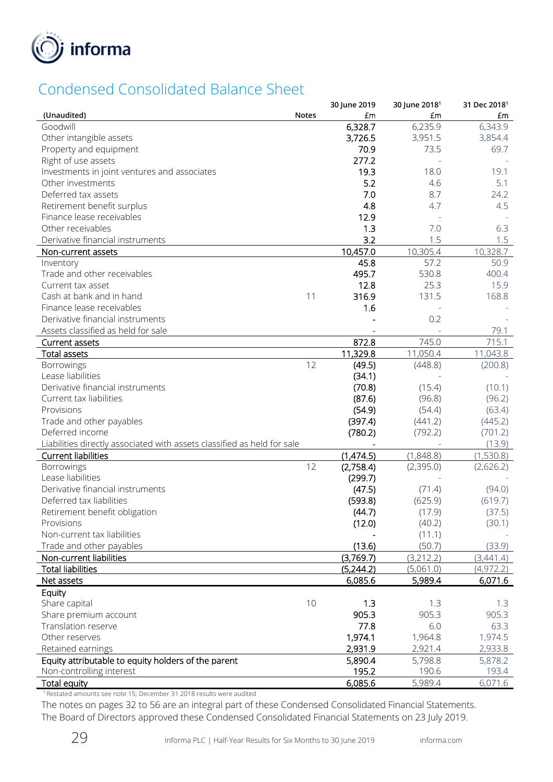

# Condensed Consolidated Balance Sheet

|                                                                         |              | 30 June 2019 | 30 June 2018 <sup>1</sup> | 31 Dec 2018 <sup>1</sup> |
|-------------------------------------------------------------------------|--------------|--------------|---------------------------|--------------------------|
| (Unaudited)                                                             | <b>Notes</b> | £m           | £m                        | £m                       |
| Goodwill                                                                |              | 6,328.7      | 6,235.9                   | 6,343.9                  |
| Other intangible assets                                                 |              | 3,726.5      | 3,951.5                   | 3,854.4                  |
| Property and equipment                                                  |              | 70.9         | 73.5                      | 69.7                     |
| Right of use assets                                                     |              | 277.2        |                           |                          |
| Investments in joint ventures and associates                            |              | 19.3         | 18.0                      | 19.1                     |
| Other investments                                                       |              | 5.2          | 4.6                       | 5.1                      |
| Deferred tax assets                                                     |              | 7.0          | 8.7                       | 24.2                     |
| Retirement benefit surplus                                              |              | 4.8          | 4.7                       | 4.5                      |
| Finance lease receivables                                               |              | 12.9         |                           |                          |
| Other receivables                                                       |              | 1.3          | 7.0                       | 6.3                      |
| Derivative financial instruments                                        |              | 3.2          | 1.5                       | 1.5                      |
| Non-current assets                                                      |              | 10,457.0     | 10,305.4                  | 10,328.7                 |
| Inventory                                                               |              | 45.8         | 57.2                      | 50.9                     |
| Trade and other receivables                                             |              | 495.7        | 530.8                     | 400.4                    |
| Current tax asset                                                       |              | 12.8         | 25.3                      | 15.9                     |
| Cash at bank and in hand                                                | 11           | 316.9        | 131.5                     | 168.8                    |
| Finance lease receivables                                               |              | 1.6          |                           |                          |
| Derivative financial instruments                                        |              |              | 0.2                       |                          |
| Assets classified as held for sale                                      |              |              |                           | 79.1                     |
| Current assets                                                          |              | 872.8        | 745.0                     | 715.1                    |
| <b>Total assets</b>                                                     |              | 11,329.8     | 11,050.4                  | 11,043.8                 |
| <b>Borrowings</b>                                                       | 12           | (49.5)       | (448.8)                   | (200.8)                  |
| Lease liabilities                                                       |              | (34.1)       |                           |                          |
| Derivative financial instruments                                        |              | (70.8)       | (15.4)                    | (10.1)                   |
| Current tax liabilities                                                 |              | (87.6)       | (96.8)                    | (96.2)                   |
| Provisions                                                              |              | (54.9)       | (54.4)                    | (63.4)                   |
| Trade and other payables                                                |              | (397.4)      | (441.2)                   | (445.2)                  |
| Deferred income                                                         |              | (780.2)      | (792.2)                   | (701.2)                  |
| Liabilities directly associated with assets classified as held for sale |              |              |                           | (13.9)                   |
| <b>Current liabilities</b>                                              |              | (1,474.5)    | (1,848.8)                 | (1,530.8)                |
| Borrowings                                                              | 12           | (2,758.4)    | (2,395.0)                 | (2,626.2)                |
| Lease liabilities                                                       |              | (299.7)      |                           |                          |
| Derivative financial instruments                                        |              | (47.5)       | (71.4)                    | (94.0)                   |
| Deferred tax liabilities                                                |              | (593.8)      | (625.9)                   | (619.7)                  |
| Retirement benefit obligation                                           |              | (44.7)       | (17.9)                    | (37.5)                   |
| Provisions                                                              |              | (12.0)       | (40.2)                    | (30.1)                   |
| Non-current tax liabilities                                             |              |              | (11.1)                    |                          |
| Trade and other payables                                                |              | (13.6)       | (50.7)                    | (33.9)                   |
| Non-current liabilities                                                 |              | (3,769.7)    | (3, 212.2)                | (3,441.4)                |
| <b>Total liabilities</b>                                                |              | (5,244.2)    | (5,061.0)                 | (4,972.2)                |
| Net assets                                                              |              | 6,085.6      | 5,989.4                   | 6,071.6                  |
| Equity                                                                  |              |              |                           |                          |
| Share capital                                                           | 10           | 1.3          | 1.3                       | 1.3                      |
| Share premium account                                                   |              | 905.3        | 905.3                     | 905.3                    |
| Translation reserve                                                     |              | 77.8         | 6.0                       | 63.3                     |
| Other reserves                                                          |              | 1,974.1      | 1,964.8                   | 1,974.5                  |
| Retained earnings                                                       |              | 2,931.9      | 2,921.4                   | 2,933.8                  |
| Equity attributable to equity holders of the parent                     |              | 5,890.4      | 5,798.8                   | 5,878.2                  |
| Non-controlling interest                                                |              | 195.2        | 190.6                     | 193.4                    |
| <b>Total equity</b>                                                     |              | 6,085.6      | 5,989.4                   | 6,071.6                  |

<sup>1</sup>Restated amounts see note 15; December 31 2018 results were audited

The notes on pages 32 to 56 are an integral part of these Condensed Consolidated Financial Statements. The Board of Directors approved these Condensed Consolidated Financial Statements on 23 July 2019.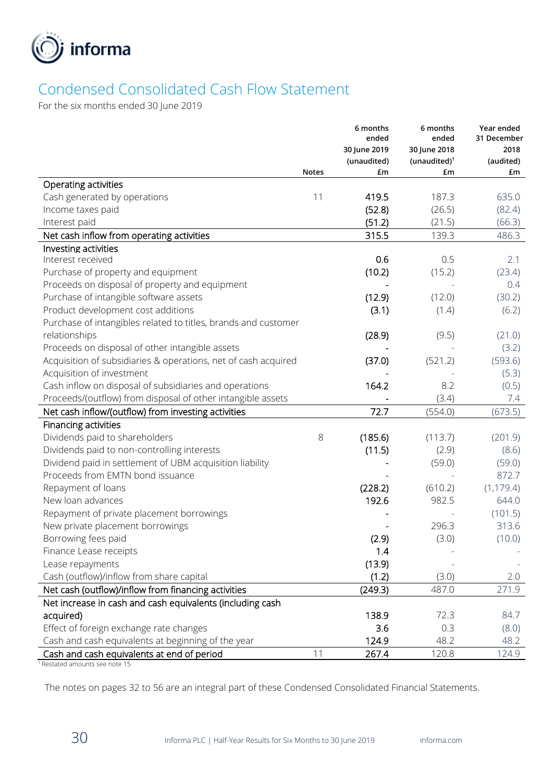

# Condensed Consolidated Cash Flow Statement

For the six months ended 30 June 2019

|                                                                |              | 6 months<br>ended | 6 months<br>ended        | Year ended<br>31 December |
|----------------------------------------------------------------|--------------|-------------------|--------------------------|---------------------------|
|                                                                |              | 30 June 2019      | 30 June 2018             | 2018                      |
|                                                                |              | (unaudited)       | (unaudited) <sup>1</sup> | (audited)                 |
|                                                                | <b>Notes</b> | £m                | £m                       | £m                        |
| Operating activities                                           |              |                   |                          |                           |
| Cash generated by operations                                   | 11           | 419.5             | 187.3                    | 635.0                     |
| Income taxes paid                                              |              | (52.8)            | (26.5)                   | (82.4)                    |
| Interest paid                                                  |              | (51.2)            | (21.5)                   | (66.3)                    |
| Net cash inflow from operating activities                      |              | 315.5             | 139.3                    | 486.3                     |
| Investing activities                                           |              |                   |                          |                           |
| Interest received                                              |              | 0.6               | 0.5                      | 2.1                       |
| Purchase of property and equipment                             |              | (10.2)            | (15.2)                   | (23.4)                    |
| Proceeds on disposal of property and equipment                 |              |                   |                          | 0.4                       |
| Purchase of intangible software assets                         |              | (12.9)            | (12.0)                   | (30.2)                    |
| Product development cost additions                             |              | (3.1)             | (1.4)                    | (6.2)                     |
| Purchase of intangibles related to titles, brands and customer |              |                   |                          |                           |
| relationships                                                  |              | (28.9)            | (9.5)                    | (21.0)                    |
| Proceeds on disposal of other intangible assets                |              |                   |                          | (3.2)                     |
| Acquisition of subsidiaries & operations, net of cash acquired |              | (37.0)            | (521.2)                  | (593.6)                   |
| Acquisition of investment                                      |              |                   |                          | (5.3)                     |
| Cash inflow on disposal of subsidiaries and operations         |              | 164.2             | 8.2                      | (0.5)                     |
| Proceeds/(outflow) from disposal of other intangible assets    |              |                   | (3.4)                    | 7.4                       |
| Net cash inflow/(outflow) from investing activities            |              | 72.7              | (554.0)                  | (673.5)                   |
| Financing activities                                           |              |                   |                          |                           |
| Dividends paid to shareholders                                 | 8            | (185.6)           | (113.7)                  | (201.9)                   |
| Dividends paid to non-controlling interests                    |              | (11.5)            | (2.9)                    | (8.6)                     |
| Dividend paid in settlement of UBM acquisition liability       |              |                   | (59.0)                   | (59.0)                    |
| Proceeds from EMTN bond issuance                               |              |                   |                          | 872.7                     |
| Repayment of loans                                             |              | (228.2)           | (610.2)                  | (1, 179.4)                |
| New loan advances                                              |              | 192.6             | 982.5                    | 644.0                     |
| Repayment of private placement borrowings                      |              |                   |                          | (101.5)                   |
| New private placement borrowings                               |              |                   | 296.3                    | 313.6                     |
| Borrowing fees paid                                            |              | (2.9)             | (3.0)                    | (10.0)                    |
| Finance Lease receipts                                         |              | 1.4               |                          |                           |
| Lease repayments                                               |              | (13.9)            |                          |                           |
| Cash (outflow)/inflow from share capital                       |              | (1.2)             | (3.0)                    | 2.0                       |
| Net cash (outflow)/inflow from financing activities            |              | (249.3)           | 487.0                    | 271.9                     |
| Net increase in cash and cash equivalents (including cash      |              |                   |                          |                           |
| acquired)                                                      |              | 138.9             | 72.3                     | 84.7                      |
| Effect of foreign exchange rate changes                        |              | 3.6               | 0.3                      | (8.0)                     |
| Cash and cash equivalents at beginning of the year             |              | 124.9             | 48.2                     | 48.2                      |
| Cash and cash equivalents at end of period                     | 11           | 267.4             | 120.8                    | 124.9                     |

<sup>1</sup>Restated amounts see note 15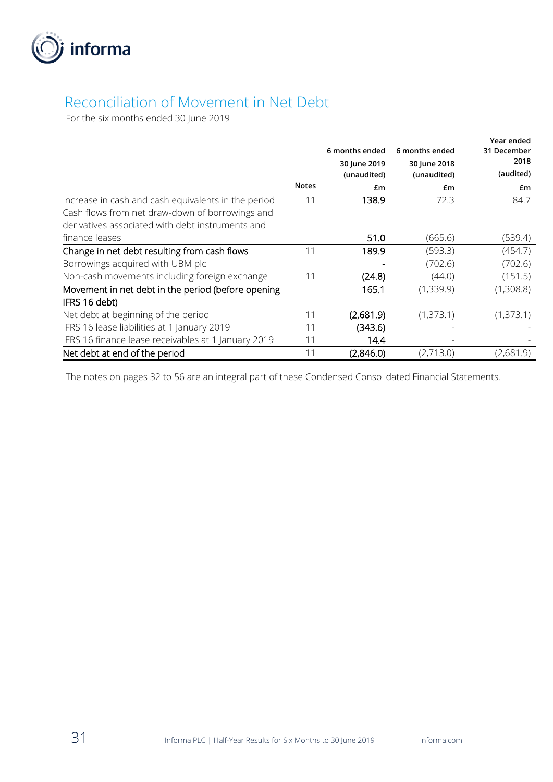

# Reconciliation of Movement in Net Debt

For the six months ended 30 June 2019

|                                                     |              | 6 months ended<br>30 June 2019<br>(unaudited) | 6 months ended<br>30 June 2018<br>(unaudited) | Year ended<br>31 December<br>2018<br>(audited) |
|-----------------------------------------------------|--------------|-----------------------------------------------|-----------------------------------------------|------------------------------------------------|
|                                                     | <b>Notes</b> | £m                                            | £m                                            | £m                                             |
| Increase in cash and cash equivalents in the period | 11           | 138.9                                         | 72.3                                          | 84.7                                           |
| Cash flows from net draw-down of borrowings and     |              |                                               |                                               |                                                |
| derivatives associated with debt instruments and    |              |                                               |                                               |                                                |
| finance leases                                      |              | 51.0                                          | (665.6)                                       | (539.4)                                        |
| Change in net debt resulting from cash flows        | 11           | 189.9                                         | (593.3)                                       | (454.7)                                        |
| Borrowings acquired with UBM plc                    |              |                                               | (702.6)                                       | (702.6)                                        |
| Non-cash movements including foreign exchange       | 11           | (24.8)                                        | (44.0)                                        | (151.5)                                        |
| Movement in net debt in the period (before opening  |              | 165.1                                         | (1, 339.9)                                    | (1,308.8)                                      |
| IFRS 16 debt)                                       |              |                                               |                                               |                                                |
| Net debt at beginning of the period                 | 11           | (2,681.9)                                     | (1, 373.1)                                    | (1, 373.1)                                     |
| IFRS 16 lease liabilities at 1 January 2019         | 11           | (343.6)                                       |                                               |                                                |
| IFRS 16 finance lease receivables at 1 January 2019 | 11           | 14.4                                          |                                               |                                                |
| Net debt at end of the period                       | 11           | (2,846.0)                                     | (2,713.0)                                     | (2,681.9)                                      |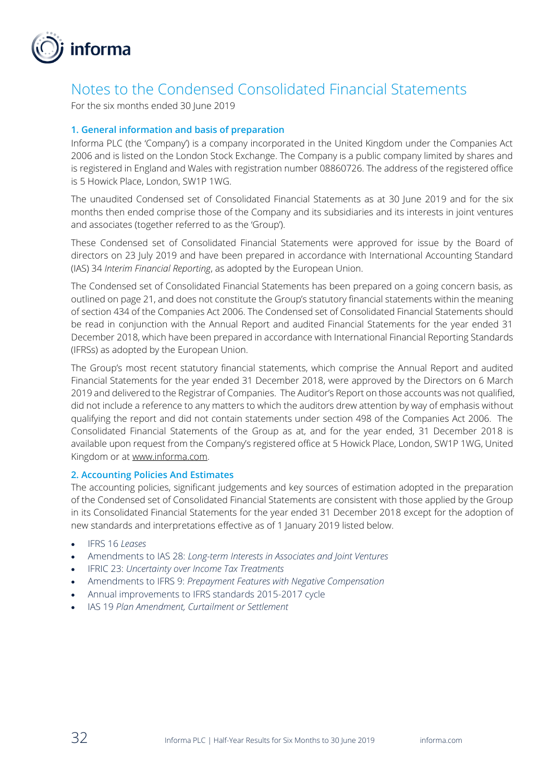

# Notes to the Condensed Consolidated Financial Statements

For the six months ended 30 June 2019

# **1. General information and basis of preparation**

Informa PLC (the 'Company') is a company incorporated in the United Kingdom under the Companies Act 2006 and is listed on the London Stock Exchange. The Company is a public company limited by shares and is registered in England and Wales with registration number 08860726. The address of the registered office is 5 Howick Place, London, SW1P 1WG.

The unaudited Condensed set of Consolidated Financial Statements as at 30 June 2019 and for the six months then ended comprise those of the Company and its subsidiaries and its interests in joint ventures and associates (together referred to as the 'Group').

These Condensed set of Consolidated Financial Statements were approved for issue by the Board of directors on 23 July 2019 and have been prepared in accordance with International Accounting Standard (IAS) 34 *Interim Financial Reporting*, as adopted by the European Union.

The Condensed set of Consolidated Financial Statements has been prepared on a going concern basis, as outlined on page 21, and does not constitute the Group's statutory financial statements within the meaning of section 434 of the Companies Act 2006. The Condensed set of Consolidated Financial Statements should be read in conjunction with the Annual Report and audited Financial Statements for the year ended 31 December 2018, which have been prepared in accordance with International Financial Reporting Standards (IFRSs) as adopted by the European Union.

The Group's most recent statutory financial statements, which comprise the Annual Report and audited Financial Statements for the year ended 31 December 2018, were approved by the Directors on 6 March 2019 and delivered to the Registrar of Companies. The Auditor's Report on those accounts was not qualified, did not include a reference to any matters to which the auditors drew attention by way of emphasis without qualifying the report and did not contain statements under section 498 of the Companies Act 2006. The Consolidated Financial Statements of the Group as at, and for the year ended, 31 December 2018 is available upon request from the Company's registered office at 5 Howick Place, London, SW1P 1WG, United Kingdom or at [www.informa.com.](http://www.informa.com/)

#### **2. Accounting Policies And Estimates**

The accounting policies, significant judgements and key sources of estimation adopted in the preparation of the Condensed set of Consolidated Financial Statements are consistent with those applied by the Group in its Consolidated Financial Statements for the year ended 31 December 2018 except for the adoption of new standards and interpretations effective as of 1 January 2019 listed below.

- IFRS 16 *Leases*
- Amendments to IAS 28: *Long-term Interests in Associates and Joint Ventures*
- IFRIC 23: *Uncertainty over Income Tax Treatments*
- Amendments to IFRS 9: *Prepayment Features with Negative Compensation*
- Annual improvements to IFRS standards 2015-2017 cycle
- IAS 19 *Plan Amendment, Curtailment or Settlement*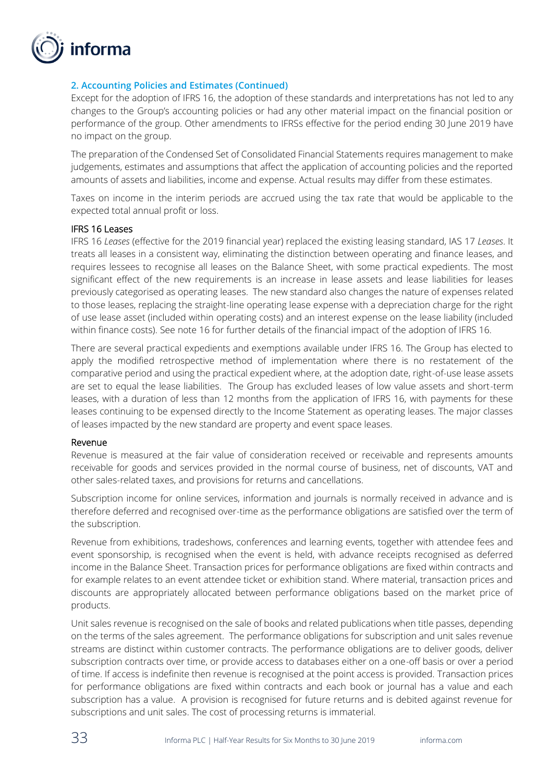

## **2. Accounting Policies and Estimates (Continued)**

Except for the adoption of IFRS 16, the adoption of these standards and interpretations has not led to any changes to the Group's accounting policies or had any other material impact on the financial position or performance of the group. Other amendments to IFRSs effective for the period ending 30 June 2019 have no impact on the group.

The preparation of the Condensed Set of Consolidated Financial Statements requires management to make judgements, estimates and assumptions that affect the application of accounting policies and the reported amounts of assets and liabilities, income and expense. Actual results may differ from these estimates.

Taxes on income in the interim periods are accrued using the tax rate that would be applicable to the expected total annual profit or loss.

#### IFRS 16 Leases

IFRS 16 *Leases* (effective for the 2019 financial year) replaced the existing leasing standard, IAS 17 *Leases*. It treats all leases in a consistent way, eliminating the distinction between operating and finance leases, and requires lessees to recognise all leases on the Balance Sheet, with some practical expedients. The most significant effect of the new requirements is an increase in lease assets and lease liabilities for leases previously categorised as operating leases. The new standard also changes the nature of expenses related to those leases, replacing the straight-line operating lease expense with a depreciation charge for the right of use lease asset (included within operating costs) and an interest expense on the lease liability (included within finance costs). See note 16 for further details of the financial impact of the adoption of IFRS 16.

There are several practical expedients and exemptions available under IFRS 16. The Group has elected to apply the modified retrospective method of implementation where there is no restatement of the comparative period and using the practical expedient where, at the adoption date, right-of-use lease assets are set to equal the lease liabilities. The Group has excluded leases of low value assets and short-term leases, with a duration of less than 12 months from the application of IFRS 16, with payments for these leases continuing to be expensed directly to the Income Statement as operating leases. The major classes of leases impacted by the new standard are property and event space leases.

#### Revenue

Revenue is measured at the fair value of consideration received or receivable and represents amounts receivable for goods and services provided in the normal course of business, net of discounts, VAT and other sales-related taxes, and provisions for returns and cancellations.

Subscription income for online services, information and journals is normally received in advance and is therefore deferred and recognised over-time as the performance obligations are satisfied over the term of the subscription.

Revenue from exhibitions, tradeshows, conferences and learning events, together with attendee fees and event sponsorship, is recognised when the event is held, with advance receipts recognised as deferred income in the Balance Sheet. Transaction prices for performance obligations are fixed within contracts and for example relates to an event attendee ticket or exhibition stand. Where material, transaction prices and discounts are appropriately allocated between performance obligations based on the market price of products.

Unit sales revenue is recognised on the sale of books and related publications when title passes, depending on the terms of the sales agreement. The performance obligations for subscription and unit sales revenue streams are distinct within customer contracts. The performance obligations are to deliver goods, deliver subscription contracts over time, or provide access to databases either on a one-off basis or over a period of time. If access is indefinite then revenue is recognised at the point access is provided. Transaction prices for performance obligations are fixed within contracts and each book or journal has a value and each subscription has a value. A provision is recognised for future returns and is debited against revenue for subscriptions and unit sales. The cost of processing returns is immaterial.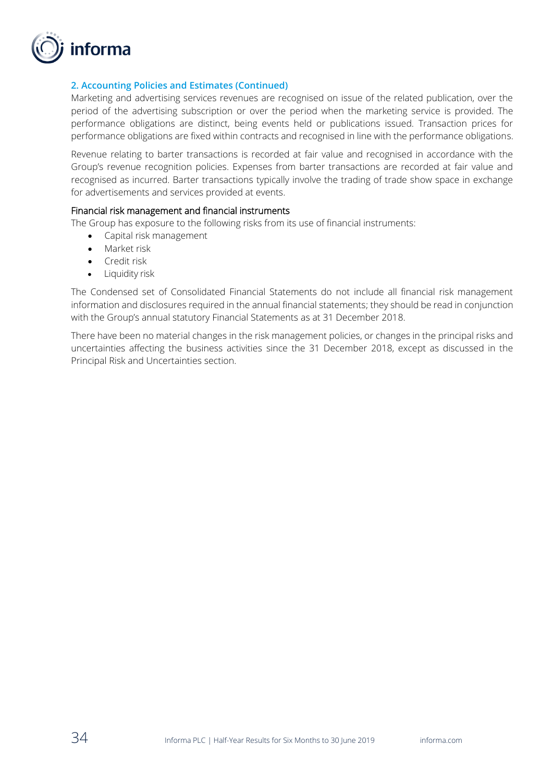

# **2. Accounting Policies and Estimates (Continued)**

Marketing and advertising services revenues are recognised on issue of the related publication, over the period of the advertising subscription or over the period when the marketing service is provided. The performance obligations are distinct, being events held or publications issued. Transaction prices for performance obligations are fixed within contracts and recognised in line with the performance obligations.

Revenue relating to barter transactions is recorded at fair value and recognised in accordance with the Group's revenue recognition policies. Expenses from barter transactions are recorded at fair value and recognised as incurred. Barter transactions typically involve the trading of trade show space in exchange for advertisements and services provided at events.

#### Financial risk management and financial instruments

The Group has exposure to the following risks from its use of financial instruments:

- Capital risk management
- Market risk
- Credit risk
- Liquidity risk

The Condensed set of Consolidated Financial Statements do not include all financial risk management information and disclosures required in the annual financial statements; they should be read in conjunction with the Group's annual statutory Financial Statements as at 31 December 2018.

There have been no material changes in the risk management policies, or changes in the principal risks and uncertainties affecting the business activities since the 31 December 2018, except as discussed in the Principal Risk and Uncertainties section.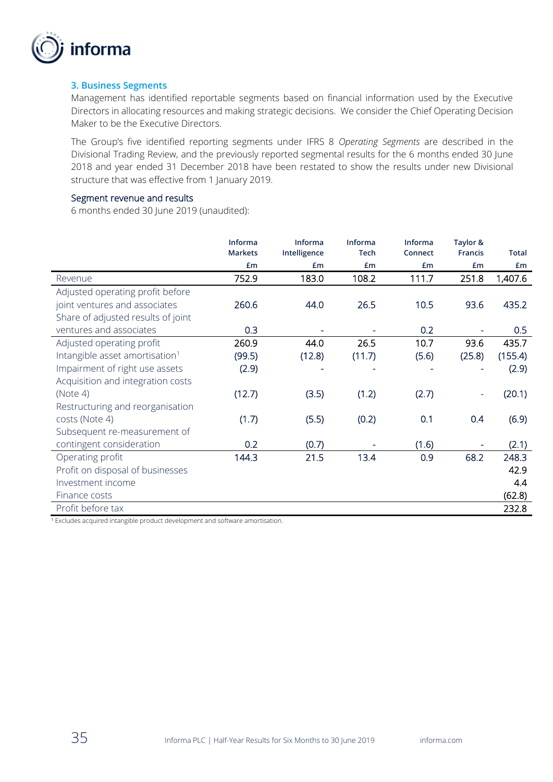

### **3. Business Segments**

Management has identified reportable segments based on financial information used by the Executive Directors in allocating resources and making strategic decisions. We consider the Chief Operating Decision Maker to be the Executive Directors.

The Group's five identified reporting segments under IFRS 8 *Operating Segments* are described in the Divisional Trading Review, and the previously reported segmental results for the 6 months ended 30 June 2018 and year ended 31 December 2018 have been restated to show the results under new Divisional structure that was effective from 1 January 2019.

### Segment revenue and results

6 months ended 30 June 2019 (unaudited):

|                                            | Informa<br><b>Markets</b> | Informa<br>Intelligence | <b>Informa</b><br>Tech | Informa<br>Connect | Taylor &<br>Francis | <b>Total</b> |
|--------------------------------------------|---------------------------|-------------------------|------------------------|--------------------|---------------------|--------------|
|                                            | £m                        | £m                      | £m                     | £m                 | £m                  | Em           |
| Revenue                                    | 752.9                     | 183.0                   | 108.2                  | 111.7              | 251.8               | 1,407.6      |
| Adjusted operating profit before           |                           |                         |                        |                    |                     |              |
| joint ventures and associates              | 260.6                     | 44.0                    | 26.5                   | 10.5               | 93.6                | 435.2        |
| Share of adjusted results of joint         |                           |                         |                        |                    |                     |              |
| ventures and associates                    | 0.3                       |                         |                        | 0.2                |                     | 0.5          |
| Adjusted operating profit                  | 260.9                     | 44.0                    | 26.5                   | 10.7               | 93.6                | 435.7        |
| Intangible asset amortisation <sup>1</sup> | (99.5)                    | (12.8)                  | (11.7)                 | (5.6)              | (25.8)              | (155.4)      |
| Impairment of right use assets             | (2.9)                     |                         |                        |                    |                     | (2.9)        |
| Acquisition and integration costs          |                           |                         |                        |                    |                     |              |
| (Note 4)                                   | (12.7)                    | (3.5)                   | (1.2)                  | (2.7)              |                     | (20.1)       |
| Restructuring and reorganisation           |                           |                         |                        |                    |                     |              |
| costs (Note 4)                             | (1.7)                     | (5.5)                   | (0.2)                  | 0.1                | 0.4                 | (6.9)        |
| Subsequent re-measurement of               |                           |                         |                        |                    |                     |              |
| contingent consideration                   | 0.2                       | (0.7)                   |                        | (1.6)              |                     | (2.1)        |
| Operating profit                           | 144.3                     | 21.5                    | 13.4                   | 0.9                | 68.2                | 248.3        |
| Profit on disposal of businesses           |                           |                         |                        |                    |                     | 42.9         |
| Investment income                          |                           |                         |                        |                    |                     | 4.4          |
| Finance costs                              |                           |                         |                        |                    |                     | (62.8)       |
| Profit before tax                          |                           |                         |                        |                    |                     | 232.8        |

<sup>1</sup> Excludes acquired intangible product development and software amortisation.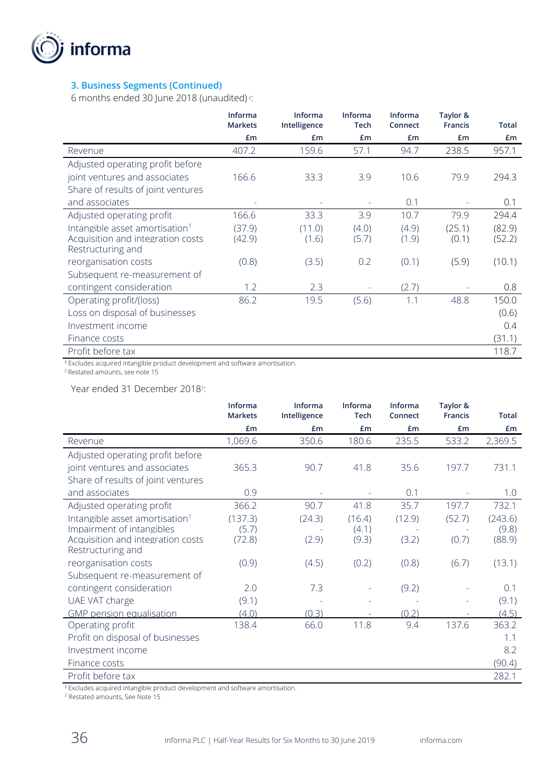

# **3. Business Segments (Continued)**

6 months ended 30 June 2018 (unaudited) <sup>2</sup> :

|                                                        | <b>Informa</b><br><b>Markets</b> | Informa<br>Intelligence | Informa<br>Tech | Informa<br>Connect | Taylor &<br><b>Francis</b> | Total  |
|--------------------------------------------------------|----------------------------------|-------------------------|-----------------|--------------------|----------------------------|--------|
|                                                        | £m                               | £m                      | £m              | £m                 | £m                         | £m     |
| Revenue                                                | 407.2                            | 159.6                   | 57.1            | 94.7               | 238.5                      | 957.1  |
| Adjusted operating profit before                       |                                  |                         |                 |                    |                            |        |
| joint ventures and associates                          | 166.6                            | 33.3                    | 3.9             | 10.6               | 79.9                       | 294.3  |
| Share of results of joint ventures                     |                                  |                         |                 |                    |                            |        |
| and associates                                         |                                  |                         |                 | 0.1                |                            | 0.1    |
| Adjusted operating profit                              | 166.6                            | 33.3                    | 3.9             | 10.7               | 79.9                       | 294.4  |
| Intangible asset amortisation <sup>1</sup>             | (37.9)                           | (11.0)                  | (4.0)           | (4.9)              | (25.1)                     | (82.9) |
| Acquisition and integration costs<br>Restructuring and | (42.9)                           | (1.6)                   | (5.7)           | (1.9)              | (0.1)                      | (52.2) |
| reorganisation costs                                   | (0.8)                            | (3.5)                   | 0.2             | (0.1)              | (5.9)                      | (10.1) |
| Subsequent re-measurement of                           |                                  |                         |                 |                    |                            |        |
| contingent consideration                               | 1.2                              | 2.3                     |                 | (2.7)              |                            | 0.8    |
| Operating profit/(loss)                                | 86.2                             | 19.5                    | (5.6)           | 1.1                | 48.8                       | 150.0  |
| Loss on disposal of businesses                         |                                  |                         |                 |                    |                            | (0.6)  |
| Investment income                                      |                                  |                         |                 |                    |                            | 0.4    |
| Finance costs                                          |                                  |                         |                 |                    |                            | (31.1) |
| Profit before tax                                      |                                  |                         |                 |                    |                            | 118.7  |

<sup>1</sup> Excludes acquired intangible product development and software amortisation.

<sup>2</sup>Restated amounts, see note 15

Year ended 31 December 2018<sup>2</sup> :

|                                                        | <b>Informa</b><br><b>Markets</b> | Informa<br>Intelligence | Informa<br>Tech | Informa<br>Connect | Taylor &<br><b>Francis</b> | <b>Total</b> |
|--------------------------------------------------------|----------------------------------|-------------------------|-----------------|--------------------|----------------------------|--------------|
|                                                        | £m                               | £m                      | Em              | £m                 | £m                         | £m           |
| Revenue                                                | 1,069.6                          | 350.6                   | 180.6           | 235.5              | 533.2                      | 2,369.5      |
| Adjusted operating profit before                       |                                  |                         |                 |                    |                            |              |
| joint ventures and associates                          | 365.3                            | 90.7                    | 41.8            | 35.6               | 197.7                      | 731.1        |
| Share of results of joint ventures                     |                                  |                         |                 |                    |                            |              |
| and associates                                         | 0.9                              |                         |                 | 0.1                |                            | 1.0          |
| Adjusted operating profit                              | 366.2                            | 90.7                    | 41.8            | 35.7               | 197.7                      | 732.1        |
| Intangible asset amortisation <sup>1</sup>             | (137.3)                          | (24.3)                  | (16.4)          | (12.9)             | (52.7)                     | (243.6)      |
| Impairment of intangibles                              | (5.7)                            |                         | (4.1)           |                    |                            | (9.8)        |
| Acquisition and integration costs<br>Restructuring and | (72.8)                           | (2.9)                   | (9.3)           | (3.2)              | (0.7)                      | (88.9)       |
| reorganisation costs                                   | (0.9)                            | (4.5)                   | (0.2)           | (0.8)              | (6.7)                      | (13.1)       |
| Subsequent re-measurement of                           |                                  |                         |                 |                    |                            |              |
| contingent consideration                               | 2.0                              | 7.3                     |                 | (9.2)              |                            | 0.1          |
| UAE VAT charge                                         | (9.1)                            |                         |                 |                    |                            | (9.1)        |
| GMP pension equalisation                               | (4.0)                            | (0.3)                   |                 | (0.2)              |                            | (4.5)        |
| Operating profit                                       | 138.4                            | 66.0                    | 11.8            | 9.4                | 137.6                      | 363.2        |
| Profit on disposal of businesses                       |                                  |                         |                 |                    |                            | 1.1          |
| Investment income                                      |                                  |                         |                 |                    |                            | 8.2          |
| Finance costs                                          |                                  |                         |                 |                    |                            | (90.4)       |
| Profit before tax                                      |                                  |                         |                 |                    |                            | 282.1        |

<sup>1</sup> Excludes acquired intangible product development and software amortisation.

<sup>2</sup> Restated amounts, See Note 15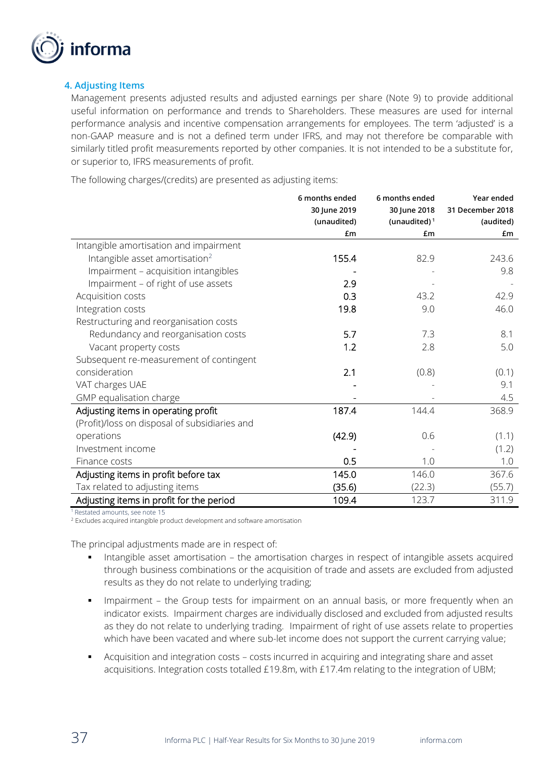

## **4. Adjusting Items**

Management presents adjusted results and adjusted earnings per share (Note 9) to provide additional useful information on performance and trends to Shareholders. These measures are used for internal performance analysis and incentive compensation arrangements for employees. The term 'adjusted' is a non-GAAP measure and is not a defined term under IFRS, and may not therefore be comparable with similarly titled profit measurements reported by other companies. It is not intended to be a substitute for, or superior to, IFRS measurements of profit.

The following charges/(credits) are presented as adjusting items:

|                                               | 6 months ended | 6 months ended  | Year ended       |
|-----------------------------------------------|----------------|-----------------|------------------|
|                                               | 30 June 2019   | 30 June 2018    | 31 December 2018 |
|                                               | (unaudited)    | (unaudited) $1$ | (audited)        |
|                                               | £m             | £m              | £m               |
| Intangible amortisation and impairment        |                |                 |                  |
| Intangible asset amortisation <sup>2</sup>    | 155.4          | 82.9            | 243.6            |
| Impairment - acquisition intangibles          |                |                 | 9.8              |
| Impairment - of right of use assets           | 2.9            |                 |                  |
| Acquisition costs                             | 0.3            | 43.2            | 42.9             |
| Integration costs                             | 19.8           | 9.0             | 46.0             |
| Restructuring and reorganisation costs        |                |                 |                  |
| Redundancy and reorganisation costs           | 5.7            | 7.3             | 8.1              |
| Vacant property costs                         | 1.2            | 2.8             | 5.0              |
| Subsequent re-measurement of contingent       |                |                 |                  |
| consideration                                 | 2.1            | (0.8)           | (0.1)            |
| VAT charges UAE                               |                |                 | 9.1              |
| GMP equalisation charge                       |                |                 | 4.5              |
| Adjusting items in operating profit           | 187.4          | 144.4           | 368.9            |
| (Profit)/loss on disposal of subsidiaries and |                |                 |                  |
| operations                                    | (42.9)         | 0.6             | (1.1)            |
| Investment income                             |                |                 | (1.2)            |
| Finance costs                                 | 0.5            | 1.0             | 1.0              |
| Adjusting items in profit before tax          | 145.0          | 146.0           | 367.6            |
| Tax related to adjusting items                | (35.6)         | (22.3)          | (55.7)           |
| Adjusting items in profit for the period      | 109.4          | 123.7           | 311.9            |

<sup>1</sup> Restated amounts, see note 15

<sup>2</sup> Excludes acquired intangible product development and software amortisation

The principal adjustments made are in respect of:

- Intangible asset amortisation the amortisation charges in respect of intangible assets acquired through business combinations or the acquisition of trade and assets are excluded from adjusted results as they do not relate to underlying trading;
- Impairment the Group tests for impairment on an annual basis, or more frequently when an indicator exists. Impairment charges are individually disclosed and excluded from adjusted results as they do not relate to underlying trading. Impairment of right of use assets relate to properties which have been vacated and where sub-let income does not support the current carrying value;
- Acquisition and integration costs costs incurred in acquiring and integrating share and asset acquisitions. Integration costs totalled £19.8m, with £17.4m relating to the integration of UBM;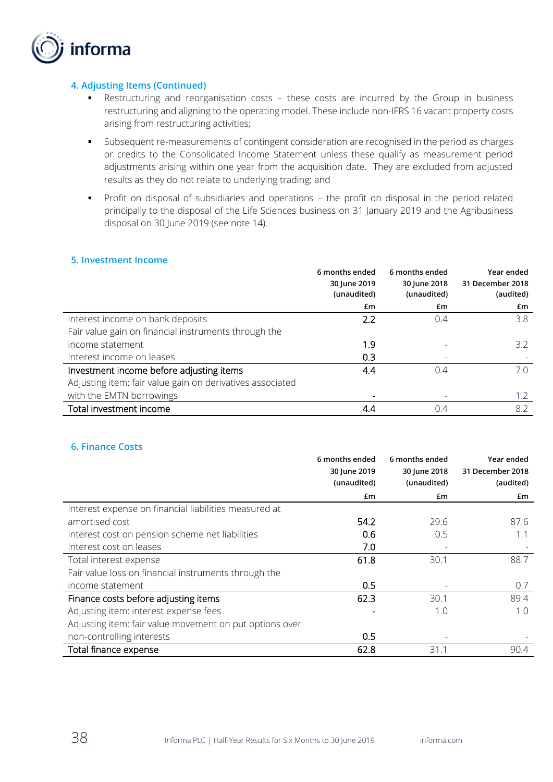

# **4. Adjusting Items (Continued)**

- Restructuring and reorganisation costs these costs are incurred by the Group in business restructuring and aligning to the operating model. These include non-IFRS 16 vacant property costs arising from restructuring activities;
- Subsequent re-measurements of contingent consideration are recognised in the period as charges or credits to the Consolidated Income Statement unless these qualify as measurement period adjustments arising within one year from the acquisition date. They are excluded from adjusted results as they do not relate to underlying trading; and
- Profit on disposal of subsidiaries and operations the profit on disposal in the period related principally to the disposal of the Life Sciences business on 31 January 2019 and the Agribusiness disposal on 30 June 2019 (see note 14).

# **5. Investment Income**

|                                                           | 6 months ended<br>30 June 2019<br>(unaudited) | 6 months ended<br>30 June 2018<br>(unaudited) | Year ended<br>31 December 2018<br>(audited) |
|-----------------------------------------------------------|-----------------------------------------------|-----------------------------------------------|---------------------------------------------|
|                                                           | £m                                            | £m                                            | £m                                          |
| Interest income on bank deposits                          | 2.2                                           | 0.4                                           | 3.8                                         |
| Fair value gain on financial instruments through the      |                                               |                                               |                                             |
| income statement                                          | 1.9                                           |                                               | 3.2                                         |
| Interest income on leases                                 | 0.3                                           |                                               |                                             |
| Investment income before adjusting items                  | 4.4                                           | 0.4                                           | 7.O                                         |
| Adjusting item: fair value gain on derivatives associated |                                               |                                               |                                             |
| with the EMTN borrowings                                  |                                               |                                               | 1.2                                         |
| Total investment income                                   | 4.4                                           | 0.4                                           | 8.2                                         |

# **6. Finance Costs**

|                                                         | 6 months ended | 6 months ended | Year ended       |
|---------------------------------------------------------|----------------|----------------|------------------|
|                                                         | 30 June 2019   | 30 June 2018   | 31 December 2018 |
|                                                         | (unaudited)    | (unaudited)    | (audited)        |
|                                                         | £m             | £m             | £m               |
| Interest expense on financial liabilities measured at   |                |                |                  |
| amortised cost                                          | 54.2           | 29.6           | 87.6             |
| Interest cost on pension scheme net liabilities         | 0.6            | 0.5            | 1.1              |
| Interest cost on leases                                 | 7.0            |                |                  |
| Total interest expense                                  | 61.8           | 30.1           | 88.7             |
| Fair value loss on financial instruments through the    |                |                |                  |
| income statement                                        | 0.5            |                | 0.7              |
| Finance costs before adjusting items                    | 62.3           | 30.1           | 89.4             |
| Adjusting item: interest expense fees                   |                | 1.0            | 1.0              |
| Adjusting item: fair value movement on put options over |                |                |                  |
| non-controlling interests                               | 0.5            |                |                  |
| Total finance expense                                   | 62.8           | 31.1           | 90.4             |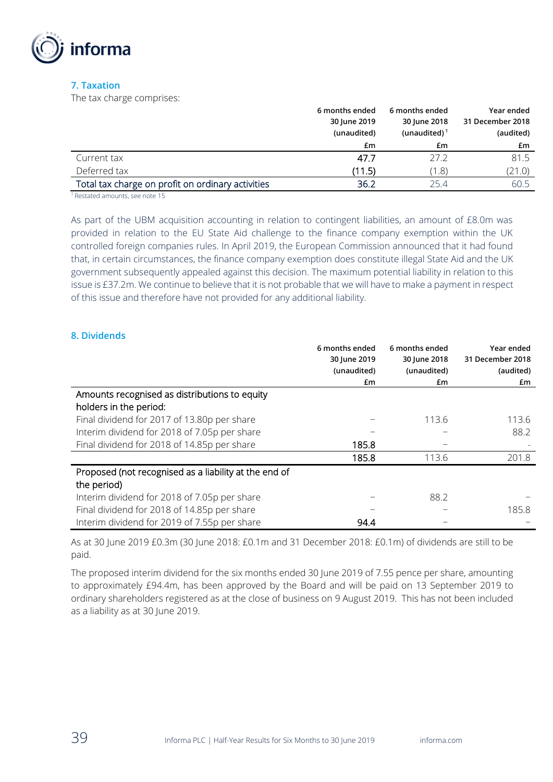

# **7. Taxation**

The tax charge comprises:

|                                                   | 6 months ended | 6 months ended  | Year ended       |
|---------------------------------------------------|----------------|-----------------|------------------|
|                                                   | 30 June 2019   | 30 June 2018    | 31 December 2018 |
|                                                   | (unaudited)    | (unaudited) $1$ | (audited)        |
|                                                   | £m             | £m              | £m               |
| Current tax                                       | 47.7           | 27.2            | 81.5             |
| Deferred tax                                      | (11.5)         | (1.8)           | (21.0)           |
| Total tax charge on profit on ordinary activities | 36.2           | 254             | 60.5             |

<sup>1</sup> Restated amounts, see note 15

As part of the UBM acquisition accounting in relation to contingent liabilities, an amount of £8.0m was provided in relation to the EU State Aid challenge to the finance company exemption within the UK controlled foreign companies rules. In April 2019, the European Commission announced that it had found that, in certain circumstances, the finance company exemption does constitute illegal State Aid and the UK government subsequently appealed against this decision. The maximum potential liability in relation to this issue is £37.2m. We continue to believe that it is not probable that we will have to make a payment in respect of this issue and therefore have not provided for any additional liability.

## **8. Dividends**

|                                                       | 6 months ended | 6 months ended | Year ended       |
|-------------------------------------------------------|----------------|----------------|------------------|
|                                                       | 30 June 2019   | 30 June 2018   | 31 December 2018 |
|                                                       | (unaudited)    | (unaudited)    | (audited)        |
|                                                       | £m             | £m             | £m               |
| Amounts recognised as distributions to equity         |                |                |                  |
| holders in the period:                                |                |                |                  |
| Final dividend for 2017 of 13.80p per share           |                | 113.6          | 113.6            |
| Interim dividend for 2018 of 7.05p per share          |                |                | 88.2             |
| Final dividend for 2018 of 14.85p per share           | 185.8          |                |                  |
|                                                       | 185.8          | 113.6          | 201.8            |
| Proposed (not recognised as a liability at the end of |                |                |                  |
| the period)                                           |                |                |                  |
| Interim dividend for 2018 of 7.05p per share          |                | 88.2           |                  |
| Final dividend for 2018 of 14.85p per share           |                |                | 185.8            |
| Interim dividend for 2019 of 7.55p per share          | 94.4           |                |                  |

As at 30 June 2019 £0.3m (30 June 2018: £0.1m and 31 December 2018: £0.1m) of dividends are still to be paid.

The proposed interim dividend for the six months ended 30 June 2019 of 7.55 pence per share, amounting to approximately £94.4m, has been approved by the Board and will be paid on 13 September 2019 to ordinary shareholders registered as at the close of business on 9 August 2019. This has not been included as a liability as at 30 June 2019.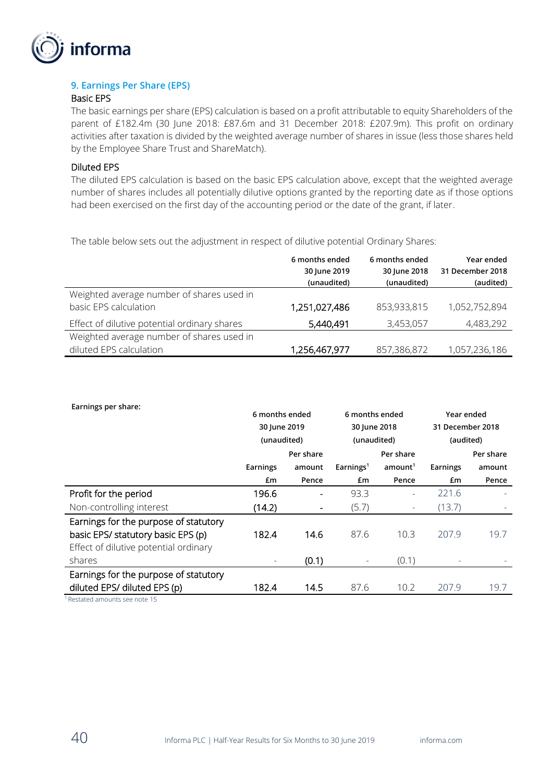

# **9. Earnings Per Share (EPS)**

### Basic EPS

The basic earnings per share (EPS) calculation is based on a profit attributable to equity Shareholders of the parent of £182.4m (30 June 2018: £87.6m and 31 December 2018: £207.9m). This profit on ordinary activities after taxation is divided by the weighted average number of shares in issue (less those shares held by the Employee Share Trust and ShareMatch).

## Diluted EPS

The diluted EPS calculation is based on the basic EPS calculation above, except that the weighted average number of shares includes all potentially dilutive options granted by the reporting date as if those options had been exercised on the first day of the accounting period or the date of the grant, if later.

The table below sets out the adjustment in respect of dilutive potential Ordinary Shares:

|                                              | 6 months ended | 6 months ended | Year ended       |
|----------------------------------------------|----------------|----------------|------------------|
|                                              | 30 June 2019   | 30 June 2018   | 31 December 2018 |
|                                              | (unaudited)    | (unaudited)    | (audited)        |
| Weighted average number of shares used in    |                |                |                  |
| basic EPS calculation                        | 1,251,027,486  | 853,933,815    | 1,052,752,894    |
| Effect of dilutive potential ordinary shares | 5,440,491      | 3,453,057      | 4,483,292        |
| Weighted average number of shares used in    |                |                |                  |
| diluted EPS calculation                      | 1,256,467,977  | 857,386,872    | 1,057,236,186    |

| 31 December 2018 |
|------------------|
| Per share        |
| amount           |
| Pence            |
|                  |
|                  |
|                  |
| 19.7             |
|                  |
|                  |
|                  |
| 19.7             |
| (audited)        |

<sup>1</sup>Restated amounts see note 15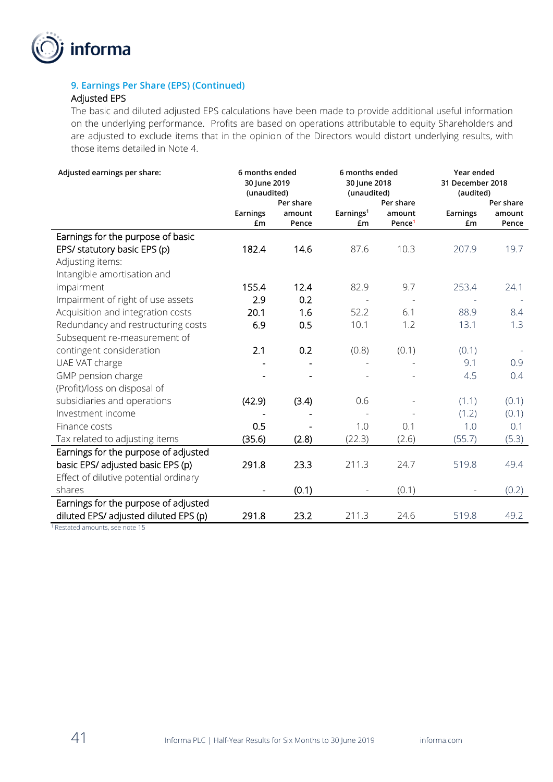

# **9. Earnings Per Share (EPS) (Continued)**

# Adjusted EPS

The basic and diluted adjusted EPS calculations have been made to provide additional useful information on the underlying performance. Profits are based on operations attributable to equity Shareholders and are adjusted to exclude items that in the opinion of the Directors would distort underlying results, with those items detailed in Note 4.

| Adjusted earnings per share:          | 6 months ended<br>30 June 2019<br>(unaudited)<br>Per share |                 | 6 months ended<br>30 June 2018<br>(unaudited) |                                           | Year ended<br>31 December 2018<br>(audited) |                              |
|---------------------------------------|------------------------------------------------------------|-----------------|-----------------------------------------------|-------------------------------------------|---------------------------------------------|------------------------------|
|                                       | Earnings<br>£m                                             | amount<br>Pence | Earnings <sup>1</sup><br>£m                   | Per share<br>amount<br>Pence <sup>1</sup> | Earnings<br>£m                              | Per share<br>amount<br>Pence |
| Earnings for the purpose of basic     |                                                            |                 |                                               |                                           |                                             |                              |
| EPS/ statutory basic EPS (p)          | 182.4                                                      | 14.6            | 87.6                                          | 10.3                                      | 207.9                                       | 19.7                         |
| Adjusting items:                      |                                                            |                 |                                               |                                           |                                             |                              |
| Intangible amortisation and           |                                                            |                 |                                               |                                           |                                             |                              |
| impairment                            | 155.4                                                      | 12.4            | 82.9                                          | 9.7                                       | 253.4                                       | 24.1                         |
| Impairment of right of use assets     | 2.9                                                        | 0.2             |                                               |                                           |                                             |                              |
| Acquisition and integration costs     | 20.1                                                       | 1.6             | 52.2                                          | 6.1                                       | 88.9                                        | 8.4                          |
| Redundancy and restructuring costs    | 6.9                                                        | 0.5             | 10.1                                          | 1.2                                       | 13.1                                        | 1.3                          |
| Subsequent re-measurement of          |                                                            |                 |                                               |                                           |                                             |                              |
| contingent consideration              | 2.1                                                        | 0.2             | (0.8)                                         | (0.1)                                     | (0.1)                                       |                              |
| UAE VAT charge                        |                                                            |                 |                                               |                                           | 9.1                                         | 0.9                          |
| GMP pension charge                    |                                                            |                 |                                               |                                           | 4.5                                         | 0.4                          |
| (Profit)/loss on disposal of          |                                                            |                 |                                               |                                           |                                             |                              |
| subsidiaries and operations           | (42.9)                                                     | (3.4)           | 0.6                                           |                                           | (1.1)                                       | (0.1)                        |
| Investment income                     |                                                            |                 |                                               |                                           | (1.2)                                       | (0.1)                        |
| Finance costs                         | 0.5                                                        |                 | 1.0                                           | 0.1                                       | 1.0                                         | 0.1                          |
| Tax related to adjusting items        | (35.6)                                                     | (2.8)           | (22.3)                                        | (2.6)                                     | (55.7)                                      | (5.3)                        |
| Earnings for the purpose of adjusted  |                                                            |                 |                                               |                                           |                                             |                              |
| basic EPS/ adjusted basic EPS (p)     | 291.8                                                      | 23.3            | 211.3                                         | 24.7                                      | 519.8                                       | 49.4                         |
| Effect of dilutive potential ordinary |                                                            |                 |                                               |                                           |                                             |                              |
| shares                                |                                                            | (0.1)           |                                               | (0.1)                                     |                                             | (0.2)                        |
| Earnings for the purpose of adjusted  |                                                            |                 |                                               |                                           |                                             |                              |
| diluted EPS/ adjusted diluted EPS (p) | 291.8                                                      | 23.2            | 211.3                                         | 24.6                                      | 519.8                                       | 49.2                         |

<sup>1</sup>Restated amounts, see note 15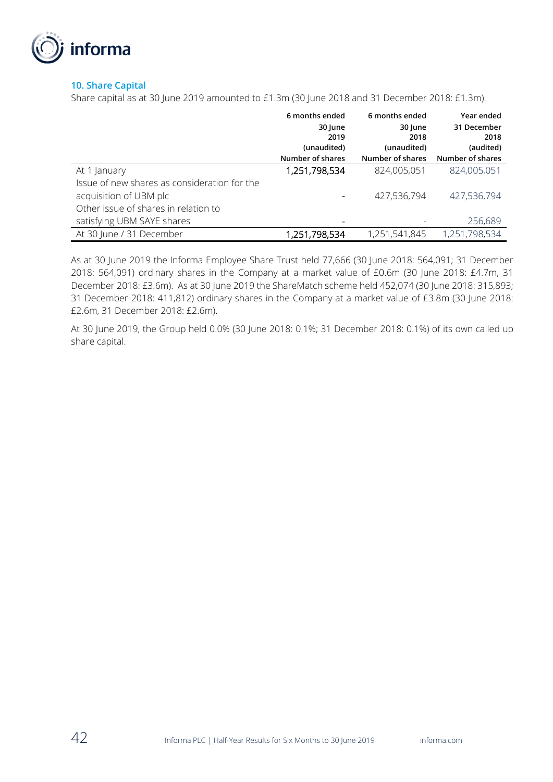

# **10. Share Capital**

Share capital as at 30 June 2019 amounted to £1.3m (30 June 2018 and 31 December 2018: £1.3m).

|                                              | 6 months ended   | 6 months ended   | Year ended       |
|----------------------------------------------|------------------|------------------|------------------|
|                                              | 30 June          | 30 June          | 31 December      |
|                                              | 2019             | 2018             | 2018             |
|                                              | (unaudited)      | (unaudited)      | (audited)        |
|                                              | Number of shares | Number of shares | Number of shares |
| At 1 January                                 | 1,251,798,534    | 824,005,051      | 824,005,051      |
| Issue of new shares as consideration for the |                  |                  |                  |
| acquisition of UBM plc                       |                  | 427,536,794      | 427,536,794      |
| Other issue of shares in relation to         |                  |                  |                  |
| satisfying UBM SAYE shares                   |                  |                  | 256,689          |
| At 30 June / 31 December                     | 1,251,798,534    | 1,251,541,845    | 1,251,798,534    |

As at 30 June 2019 the Informa Employee Share Trust held 77,666 (30 June 2018: 564,091; 31 December 2018: 564,091) ordinary shares in the Company at a market value of £0.6m (30 June 2018: £4.7m, 31 December 2018: £3.6m). As at 30 June 2019 the ShareMatch scheme held 452,074 (30 June 2018: 315,893; 31 December 2018: 411,812) ordinary shares in the Company at a market value of £3.8m (30 June 2018: £2.6m, 31 December 2018: £2.6m).

At 30 June 2019, the Group held 0.0% (30 June 2018: 0.1%; 31 December 2018: 0.1%) of its own called up share capital.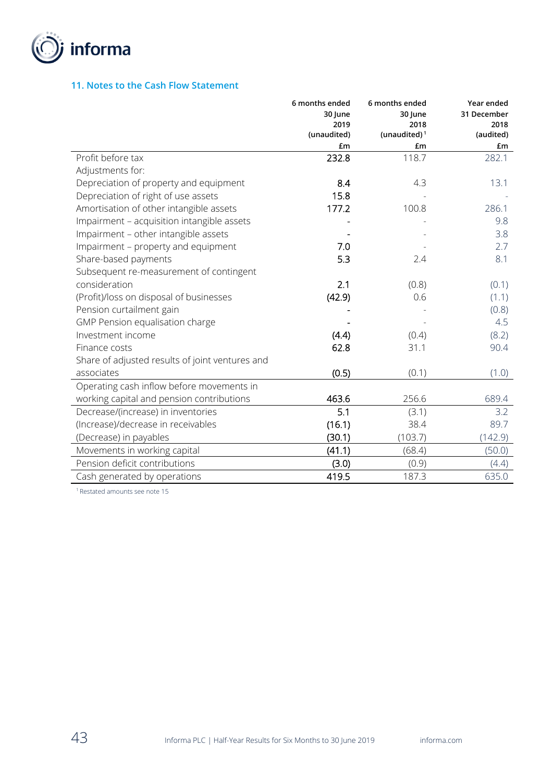

# **11. Notes to the Cash Flow Statement**

|                                                 | 6 months ended | 6 months ended  | Year ended  |
|-------------------------------------------------|----------------|-----------------|-------------|
|                                                 | 30 June        | 30 June         | 31 December |
|                                                 | 2019           | 2018            | 2018        |
|                                                 | (unaudited)    | (unaudited) $1$ | (audited)   |
| Profit before tax                               | £m<br>232.8    | £m<br>118.7     | £m<br>282.1 |
| Adjustments for:                                |                |                 |             |
| Depreciation of property and equipment          | 8.4            | 4.3             | 13.1        |
| Depreciation of right of use assets             | 15.8           |                 |             |
| Amortisation of other intangible assets         | 177.2          | 100.8           | 286.1       |
| Impairment - acquisition intangible assets      |                |                 | 9.8         |
| Impairment - other intangible assets            |                |                 | 3.8         |
| Impairment - property and equipment             | 7.0            |                 | 2.7         |
| Share-based payments                            | 5.3            | 2.4             | 8.1         |
| Subsequent re-measurement of contingent         |                |                 |             |
| consideration                                   | 2.1            | (0.8)           | (0.1)       |
| (Profit)/loss on disposal of businesses         | (42.9)         | 0.6             | (1.1)       |
| Pension curtailment gain                        |                |                 | (0.8)       |
| GMP Pension equalisation charge                 |                |                 | 4.5         |
| Investment income                               | (4.4)          | (0.4)           | (8.2)       |
| Finance costs                                   | 62.8           | 31.1            | 90.4        |
| Share of adjusted results of joint ventures and |                |                 |             |
| associates                                      | (0.5)          | (0.1)           | (1.0)       |
| Operating cash inflow before movements in       |                |                 |             |
| working capital and pension contributions       | 463.6          | 256.6           | 689.4       |
| Decrease/(increase) in inventories              | 5.1            | (3.1)           | 3.2         |
| (Increase)/decrease in receivables              | (16.1)         | 38.4            | 89.7        |
| (Decrease) in payables                          | (30.1)         | (103.7)         | (142.9)     |
| Movements in working capital                    | (41.1)         | (68.4)          | (50.0)      |
| Pension deficit contributions                   | (3.0)          | (0.9)           | (4.4)       |
| Cash generated by operations                    | 419.5          | 187.3           | 635.0       |

1 Restated amounts see note 15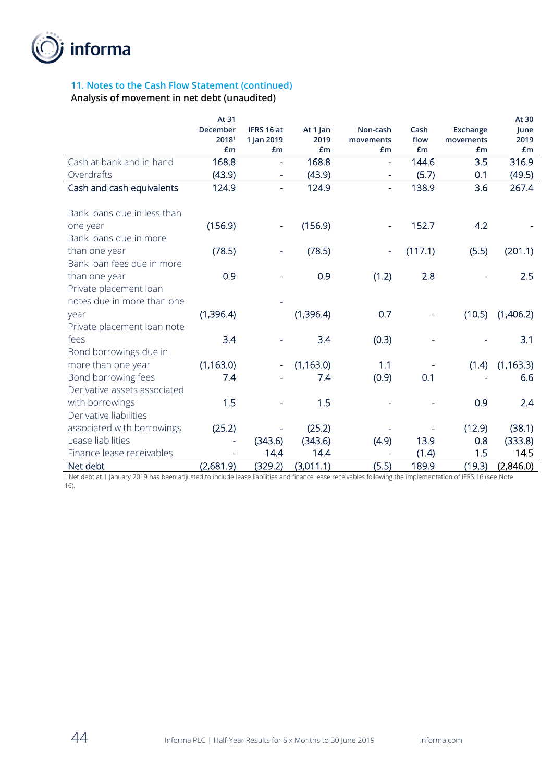

# **11. Notes to the Cash Flow Statement (continued)**

**Analysis of movement in net debt (unaudited)**

|                              | At 31      |                          |            |                          |         |                 | At 30      |
|------------------------------|------------|--------------------------|------------|--------------------------|---------|-----------------|------------|
|                              | December   | IFRS 16 at               | At 1 Jan   | Non-cash                 | Cash    | <b>Exchange</b> | June       |
|                              | 20181      | 1 Jan 2019               | 2019       | movements                | flow    | movements       | 2019       |
|                              | £m         | £m                       | £m         | £m                       | £m      | £m              | £m         |
| Cash at bank and in hand     | 168.8      | $\overline{\phantom{a}}$ | 168.8      |                          | 144.6   | 3.5             | 316.9      |
| Overdrafts                   | (43.9)     | $\overline{\phantom{a}}$ | (43.9)     | $\overline{\phantom{0}}$ | (5.7)   | 0.1             | (49.5)     |
| Cash and cash equivalents    | 124.9      | $\overline{\phantom{a}}$ | 124.9      | ÷                        | 138.9   | 3.6             | 267.4      |
|                              |            |                          |            |                          |         |                 |            |
| Bank loans due in less than  |            |                          |            |                          |         |                 |            |
| one year                     | (156.9)    | ÷                        | (156.9)    | $\overline{a}$           | 152.7   | 4.2             |            |
| Bank loans due in more       |            |                          |            |                          |         |                 |            |
| than one year                | (78.5)     |                          | (78.5)     | $\overline{\phantom{m}}$ | (117.1) | (5.5)           | (201.1)    |
| Bank loan fees due in more   |            |                          |            |                          |         |                 |            |
| than one year                | 0.9        |                          | 0.9        | (1.2)                    | 2.8     |                 | 2.5        |
| Private placement loan       |            |                          |            |                          |         |                 |            |
| notes due in more than one   |            |                          |            |                          |         |                 |            |
| year                         | (1,396.4)  |                          | (1,396.4)  | 0.7                      |         | (10.5)          | (1,406.2)  |
| Private placement loan note  |            |                          |            |                          |         |                 |            |
| fees                         | 3.4        |                          | 3.4        | (0.3)                    |         |                 | 3.1        |
| Bond borrowings due in       |            |                          |            |                          |         |                 |            |
| more than one year           | (1, 163.0) |                          | (1, 163.0) | 1.1                      |         | (1.4)           | (1, 163.3) |
| Bond borrowing fees          | 7.4        |                          | 7.4        | (0.9)                    | 0.1     |                 | 6.6        |
| Derivative assets associated |            |                          |            |                          |         |                 |            |
| with borrowings              | 1.5        |                          | 1.5        |                          |         | 0.9             | 2.4        |
| Derivative liabilities       |            |                          |            |                          |         |                 |            |
| associated with borrowings   | (25.2)     |                          | (25.2)     |                          |         | (12.9)          | (38.1)     |
| Lease liabilities            |            | (343.6)                  | (343.6)    | (4.9)                    | 13.9    | 0.8             | (333.8)    |
| Finance lease receivables    |            | 14.4                     | 14.4       |                          | (1.4)   | 1.5             | 14.5       |
| Net debt                     | (2,681.9)  | (329.2)                  | (3,011.1)  | (5.5)                    | 189.9   | (19.3)          | (2,846.0)  |

<sup>1</sup> Net debt at 1 January 2019 has been adjusted to include lease liabilities and finance lease receivables following the implementation of IFRS 16 (see Note 16).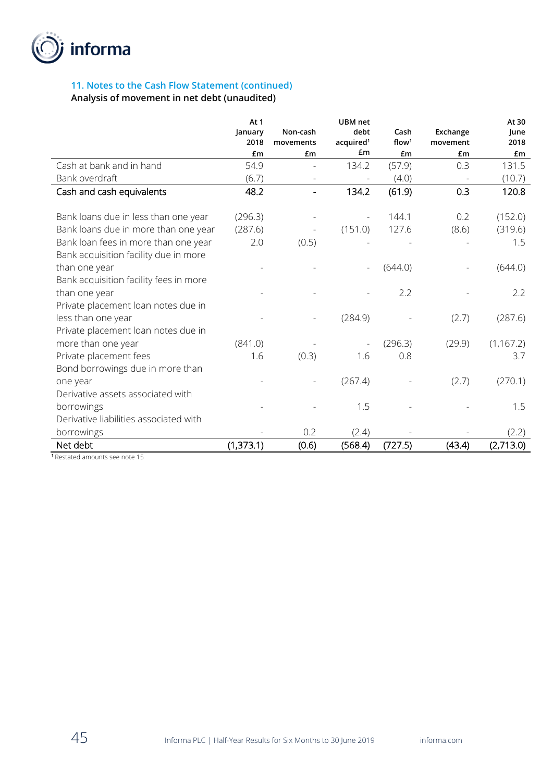

# **11. Notes to the Cash Flow Statement (continued)**

**Analysis of movement in net debt (unaudited)**

|                                        | At 1<br>January | Non-cash        | <b>UBM</b> net<br>debt      | Cash                    | Exchange       | At 30<br>June |
|----------------------------------------|-----------------|-----------------|-----------------------------|-------------------------|----------------|---------------|
|                                        | 2018<br>£m      | movements<br>£m | acquired <sup>1</sup><br>£m | flow <sup>1</sup><br>£m | movement<br>£m | 2018<br>£m    |
| Cash at bank and in hand               | 54.9            |                 | 134.2                       | (57.9)                  | 0.3            | 131.5         |
| Bank overdraft                         | (6.7)           |                 |                             | (4.0)                   |                | (10.7)        |
| Cash and cash equivalents              | 48.2            |                 | 134.2                       | (61.9)                  | 0.3            | 120.8         |
|                                        |                 |                 |                             |                         |                |               |
| Bank loans due in less than one year   | (296.3)         |                 |                             | 144.1                   | 0.2            | (152.0)       |
| Bank loans due in more than one year   | (287.6)         |                 | (151.0)                     | 127.6                   | (8.6)          | (319.6)       |
| Bank loan fees in more than one year   | 2.0             | (0.5)           |                             |                         |                | 1.5           |
| Bank acquisition facility due in more  |                 |                 |                             |                         |                |               |
| than one year                          |                 |                 |                             | (644.0)                 |                | (644.0)       |
| Bank acquisition facility fees in more |                 |                 |                             |                         |                |               |
| than one year                          |                 |                 |                             | 2.2                     |                | 2.2           |
| Private placement loan notes due in    |                 |                 |                             |                         |                |               |
| less than one year                     |                 |                 | (284.9)                     |                         | (2.7)          | (287.6)       |
| Private placement loan notes due in    |                 |                 |                             |                         |                |               |
| more than one year                     | (841.0)         |                 |                             | (296.3)                 | (29.9)         | (1, 167.2)    |
| Private placement fees                 | 1.6             | (0.3)           | 1.6                         | 0.8                     |                | 3.7           |
| Bond borrowings due in more than       |                 |                 |                             |                         |                |               |
| one year                               |                 |                 | (267.4)                     |                         | (2.7)          | (270.1)       |
| Derivative assets associated with      |                 |                 |                             |                         |                |               |
| borrowings                             |                 |                 | 1.5                         |                         |                | 1.5           |
| Derivative liabilities associated with |                 |                 |                             |                         |                |               |
| borrowings                             |                 | 0.2             | (2.4)                       |                         |                | (2.2)         |
| Net debt                               | (1,373.1)       | (0.6)           | (568.4)                     | (727.5)                 | (43.4)         | (2,713.0)     |

1 Restated amounts see note 15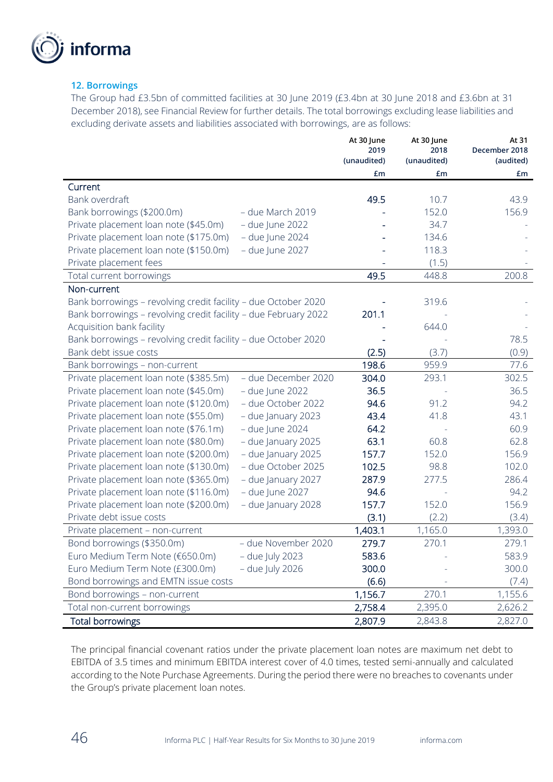

### **12. Borrowings**

The Group had £3.5bn of committed facilities at 30 June 2019 (£3.4bn at 30 June 2018 and £3.6bn at 31 December 2018), see Financial Review for further details. The total borrowings excluding lease liabilities and excluding derivate assets and liabilities associated with borrowings, are as follows:

|                                                                 |                     | At 30 June<br>2019 | At 30 June<br>2018 | At 31<br>December 2018 |
|-----------------------------------------------------------------|---------------------|--------------------|--------------------|------------------------|
|                                                                 |                     | (unaudited)        | (unaudited)        | (audited)              |
|                                                                 |                     | £m                 | £m                 | £m                     |
| Current                                                         |                     |                    |                    |                        |
| Bank overdraft                                                  |                     | 49.5               | 10.7               | 43.9                   |
| Bank borrowings (\$200.0m)                                      | - due March 2019    |                    | 152.0              | 156.9                  |
| Private placement loan note (\$45.0m)                           | - due June 2022     |                    | 34.7               |                        |
| Private placement loan note (\$175.0m)                          | - due June 2024     |                    | 134.6              |                        |
| Private placement loan note (\$150.0m)                          | - due June 2027     |                    | 118.3              |                        |
| Private placement fees                                          |                     |                    | (1.5)              |                        |
| Total current borrowings                                        |                     | 49.5               | 448.8              | 200.8                  |
| Non-current                                                     |                     |                    |                    |                        |
| Bank borrowings - revolving credit facility - due October 2020  |                     |                    | 319.6              |                        |
| Bank borrowings - revolving credit facility - due February 2022 |                     | 201.1              |                    |                        |
| Acquisition bank facility                                       |                     |                    | 644.0              |                        |
| Bank borrowings - revolving credit facility - due October 2020  |                     |                    |                    | 78.5                   |
| Bank debt issue costs                                           |                     | (2.5)              | (3.7)              | (0.9)                  |
| Bank borrowings - non-current                                   |                     | 198.6              | 959.9              | 77.6                   |
| Private placement loan note (\$385.5m)                          | - due December 2020 | 304.0              | 293.1              | 302.5                  |
| Private placement loan note (\$45.0m)                           | - due June 2022     | 36.5               |                    | 36.5                   |
| Private placement loan note (\$120.0m)                          | - due October 2022  | 94.6               | 91.2               | 94.2                   |
| Private placement loan note (\$55.0m)                           | - due January 2023  | 43.4               | 41.8               | 43.1                   |
| Private placement loan note (\$76.1m)                           | - due June 2024     | 64.2               |                    | 60.9                   |
| Private placement loan note (\$80.0m)                           | - due January 2025  | 63.1               | 60.8               | 62.8                   |
| Private placement loan note (\$200.0m)                          | - due January 2025  | 157.7              | 152.0              | 156.9                  |
| Private placement loan note (\$130.0m)                          | - due October 2025  | 102.5              | 98.8               | 102.0                  |
| Private placement loan note (\$365.0m)                          | - due January 2027  | 287.9              | 277.5              | 286.4                  |
| Private placement loan note (\$116.0m)                          | - due June 2027     | 94.6               |                    | 94.2                   |
| Private placement loan note (\$200.0m)                          | - due January 2028  | 157.7              | 152.0              | 156.9                  |
| Private debt issue costs                                        |                     | (3.1)              | (2.2)              | (3.4)                  |
| Private placement - non-current                                 |                     | 1,403.1            | 1,165.0            | 1,393.0                |
| Bond borrowings (\$350.0m)                                      | - due November 2020 | 279.7              | 270.1              | 279.1                  |
| Euro Medium Term Note (€650.0m)                                 | $-$ due July 2023   | 583.6              |                    | 583.9                  |
| Euro Medium Term Note (£300.0m)                                 | $-$ due July 2026   | 300.0              |                    | 300.0                  |
| Bond borrowings and EMTN issue costs                            |                     | (6.6)              |                    | (7.4)                  |
| Bond borrowings - non-current                                   |                     | 1,156.7            | 270.1              | 1,155.6                |
| Total non-current borrowings                                    |                     | 2,758.4            | 2,395.0            | 2,626.2                |
| <b>Total borrowings</b>                                         |                     | 2,807.9            | 2,843.8            | 2,827.0                |

The principal financial covenant ratios under the private placement loan notes are maximum net debt to EBITDA of 3.5 times and minimum EBITDA interest cover of 4.0 times, tested semi-annually and calculated according to the Note Purchase Agreements. During the period there were no breaches to covenants under the Group's private placement loan notes.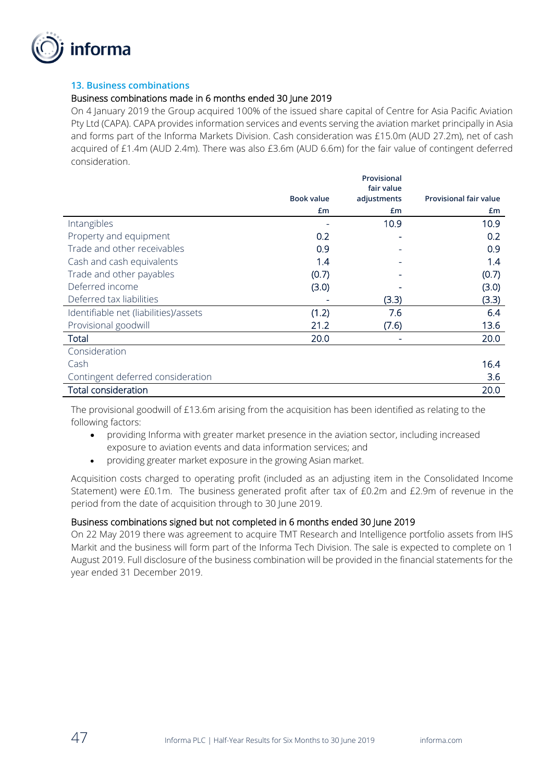

# **13. Business combinations**

# Business combinations made in 6 months ended 30 June 2019

On 4 January 2019 the Group acquired 100% of the issued share capital of Centre for Asia Pacific Aviation Pty Ltd (CAPA). CAPA provides information services and events serving the aviation market principally in Asia and forms part of the Informa Markets Division. Cash consideration was £15.0m (AUD 27.2m), net of cash acquired of £1.4m (AUD 2.4m). There was also £3.6m (AUD 6.6m) for the fair value of contingent deferred consideration.

|                                       |                   | Provisional<br>fair value |                               |
|---------------------------------------|-------------------|---------------------------|-------------------------------|
|                                       | <b>Book value</b> | adjustments               | <b>Provisional fair value</b> |
|                                       | £m                | £m                        | £m                            |
| Intangibles                           |                   | 10.9                      | 10.9                          |
| Property and equipment                | 0.2               |                           | 0.2                           |
| Trade and other receivables           | 0.9               |                           | 0.9                           |
| Cash and cash equivalents             | 1.4               |                           | 1.4                           |
| Trade and other payables              | (0.7)             |                           | (0.7)                         |
| Deferred income                       | (3.0)             |                           | (3.0)                         |
| Deferred tax liabilities              |                   | (3.3)                     | (3.3)                         |
| Identifiable net (liabilities)/assets | (1.2)             | 7.6                       | 6.4                           |
| Provisional goodwill                  | 21.2              | (7.6)                     | 13.6                          |
| Total                                 | 20.0              |                           | 20.0                          |
| Consideration                         |                   |                           |                               |
| Cash                                  |                   |                           | 16.4                          |
| Contingent deferred consideration     |                   |                           | 3.6                           |
| <b>Total consideration</b>            |                   |                           | 20.0                          |

The provisional goodwill of £13.6m arising from the acquisition has been identified as relating to the following factors:

- providing Informa with greater market presence in the aviation sector, including increased exposure to aviation events and data information services; and
- providing greater market exposure in the growing Asian market.

Acquisition costs charged to operating profit (included as an adjusting item in the Consolidated Income Statement) were £0.1m. The business generated profit after tax of £0.2m and £2.9m of revenue in the period from the date of acquisition through to 30 June 2019.

# Business combinations signed but not completed in 6 months ended 30 June 2019

On 22 May 2019 there was agreement to acquire TMT Research and Intelligence portfolio assets from IHS Markit and the business will form part of the Informa Tech Division. The sale is expected to complete on 1 August 2019. Full disclosure of the business combination will be provided in the financial statements for the year ended 31 December 2019.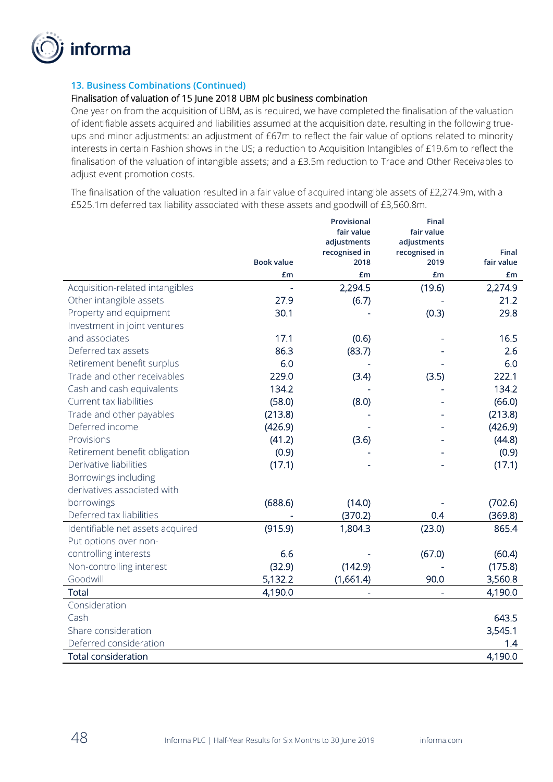

# **13. Business Combinations (Continued)**

# Finalisation of valuation of 15 June 2018 UBM plc business combination

One year on from the acquisition of UBM, as is required, we have completed the finalisation of the valuation of identifiable assets acquired and liabilities assumed at the acquisition date, resulting in the following trueups and minor adjustments: an adjustment of £67m to reflect the fair value of options related to minority interests in certain Fashion shows in the US; a reduction to Acquisition Intangibles of £19.6m to reflect the finalisation of the valuation of intangible assets; and a £3.5m reduction to Trade and Other Receivables to adjust event promotion costs.

The finalisation of the valuation resulted in a fair value of acquired intangible assets of £2,274.9m, with a £525.1m deferred tax liability associated with these assets and goodwill of £3,560.8m.

|                                  |                   | Provisional<br>fair value | <b>Final</b><br>fair value |                     |
|----------------------------------|-------------------|---------------------------|----------------------------|---------------------|
|                                  |                   | adjustments               | adjustments                |                     |
|                                  | <b>Book value</b> | recognised in<br>2018     | recognised in<br>2019      | Final<br>fair value |
|                                  | £m                | £m                        | £m                         | £m                  |
| Acquisition-related intangibles  | L,                | 2,294.5                   | (19.6)                     | 2,274.9             |
| Other intangible assets          | 27.9              | (6.7)                     |                            | 21.2                |
| Property and equipment           | 30.1              |                           | (0.3)                      | 29.8                |
| Investment in joint ventures     |                   |                           |                            |                     |
| and associates                   | 17.1              | (0.6)                     |                            | 16.5                |
| Deferred tax assets              | 86.3              | (83.7)                    |                            | 2.6                 |
| Retirement benefit surplus       | 6.0               |                           |                            | 6.0                 |
| Trade and other receivables      | 229.0             | (3.4)                     | (3.5)                      | 222.1               |
| Cash and cash equivalents        | 134.2             |                           |                            | 134.2               |
| Current tax liabilities          | (58.0)            | (8.0)                     |                            | (66.0)              |
| Trade and other payables         | (213.8)           |                           |                            | (213.8)             |
| Deferred income                  | (426.9)           |                           |                            | (426.9)             |
| Provisions                       | (41.2)            | (3.6)                     |                            | (44.8)              |
| Retirement benefit obligation    | (0.9)             |                           |                            | (0.9)               |
| Derivative liabilities           | (17.1)            |                           |                            | (17.1)              |
| Borrowings including             |                   |                           |                            |                     |
| derivatives associated with      |                   |                           |                            |                     |
| borrowings                       | (688.6)           | (14.0)                    |                            | (702.6)             |
| Deferred tax liabilities         |                   | (370.2)                   | 0.4                        | (369.8)             |
| Identifiable net assets acquired | (915.9)           | 1,804.3                   | (23.0)                     | 865.4               |
| Put options over non-            |                   |                           |                            |                     |
| controlling interests            | 6.6               |                           | (67.0)                     | (60.4)              |
| Non-controlling interest         | (32.9)            | (142.9)                   |                            | (175.8)             |
| Goodwill                         | 5,132.2           | (1,661.4)                 | 90.0                       | 3,560.8             |
| Total                            | 4,190.0           |                           |                            | 4,190.0             |
| Consideration                    |                   |                           |                            |                     |
| Cash                             |                   |                           |                            | 643.5               |
| Share consideration              |                   |                           |                            | 3,545.1             |
| Deferred consideration           |                   |                           |                            | 1.4                 |
| <b>Total consideration</b>       |                   |                           |                            | 4,190.0             |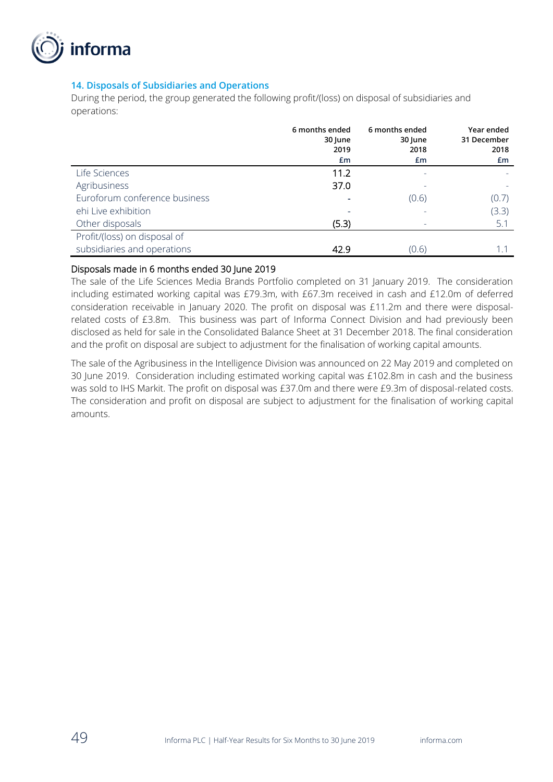

# **14. Disposals of Subsidiaries and Operations**

During the period, the group generated the following profit/(loss) on disposal of subsidiaries and operations:

|                               | 6 months ended<br>30 June | 6 months ended<br>30 June | Year ended<br>31 December |
|-------------------------------|---------------------------|---------------------------|---------------------------|
|                               | 2019                      | 2018                      | 2018                      |
|                               | £m                        | £m                        | £m                        |
| Life Sciences                 | 11.2                      |                           |                           |
| Agribusiness                  | 37.0                      |                           |                           |
| Euroforum conference business |                           | (0.6)                     | (0.7)                     |
| ehi Live exhibition           |                           |                           | (3.3)                     |
| Other disposals               | (5.3)                     |                           | 5.1                       |
| Profit/(loss) on disposal of  |                           |                           |                           |
| subsidiaries and operations   | 42.9                      | (0.6)                     |                           |

## Disposals made in 6 months ended 30 June 2019

The sale of the Life Sciences Media Brands Portfolio completed on 31 January 2019. The consideration including estimated working capital was £79.3m, with £67.3m received in cash and £12.0m of deferred consideration receivable in January 2020. The profit on disposal was £11.2m and there were disposalrelated costs of £3.8m. This business was part of Informa Connect Division and had previously been disclosed as held for sale in the Consolidated Balance Sheet at 31 December 2018. The final consideration and the profit on disposal are subject to adjustment for the finalisation of working capital amounts.

The sale of the Agribusiness in the Intelligence Division was announced on 22 May 2019 and completed on 30 June 2019. Consideration including estimated working capital was £102.8m in cash and the business was sold to IHS Markit. The profit on disposal was £37.0m and there were £9.3m of disposal-related costs. The consideration and profit on disposal are subject to adjustment for the finalisation of working capital amounts.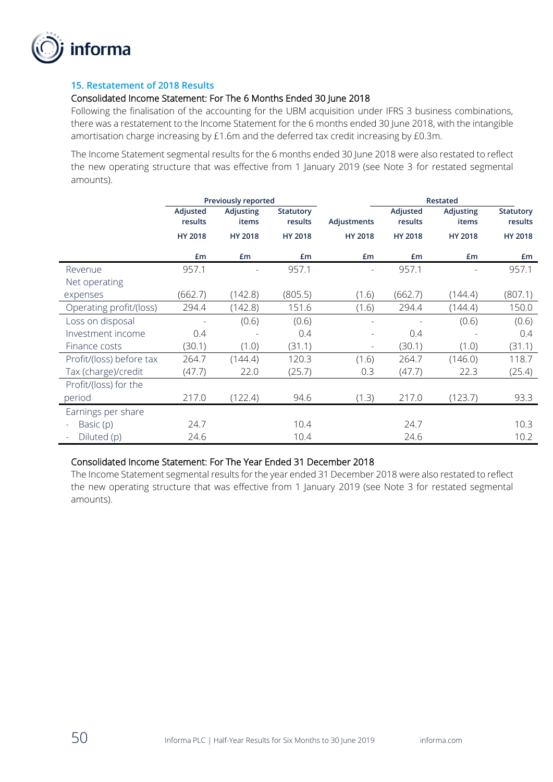

# **15. Restatement of 2018 Results**

# Consolidated Income Statement: For The 6 Months Ended 30 June 2018

Following the finalisation of the accounting for the UBM acquisition under IFRS 3 business combinations, there was a restatement to the Income Statement for the 6 months ended 30 June 2018, with the intangible amortisation charge increasing by £1.6m and the deferred tax credit increasing by £0.3m.

The Income Statement segmental results for the 6 months ended 30 June 2018 were also restated to reflect the new operating structure that was effective from 1 January 2019 (see Note 3 for restated segmental amounts).

|                          |                     | Previously reported       |                      | Restated                 |                     |                    |                             |
|--------------------------|---------------------|---------------------------|----------------------|--------------------------|---------------------|--------------------|-----------------------------|
|                          | Adjusted<br>results | <b>Adjusting</b><br>items | Statutory<br>results | Adjustments              | Adjusted<br>results | Adjusting<br>items | <b>Statutory</b><br>results |
|                          | <b>HY 2018</b>      | <b>HY 2018</b>            | <b>HY 2018</b>       | <b>HY 2018</b>           | <b>HY 2018</b>      | <b>HY 2018</b>     | <b>HY 2018</b>              |
|                          | £m                  | £m                        | £m                   | £m                       | £m                  | £m                 | £m                          |
| Revenue                  | 957.1               |                           | 957.1                |                          | 957.1               |                    | 957.1                       |
| Net operating            |                     |                           |                      |                          |                     |                    |                             |
| expenses                 | (662.7)             | (142.8)                   | (805.5)              | (1.6)                    | (662.7)             | (144.4)            | (807.1)                     |
| Operating profit/(loss)  | 294.4               | (142.8)                   | 151.6                | (1.6)                    | 294.4               | (144.4)            | 150.0                       |
| Loss on disposal         |                     | (0.6)                     | (0.6)                |                          |                     | (0.6)              | (0.6)                       |
| Investment income        | 0.4                 |                           | 0.4                  |                          | 0.4                 |                    | 0.4                         |
| Finance costs            | (30.1)              | (1.0)                     | (31.1)               | $\overline{\phantom{a}}$ | (30.1)              | (1.0)              | (31.1)                      |
| Profit/(loss) before tax | 264.7               | (144.4)                   | 120.3                | (1.6)                    | 264.7               | (146.0)            | 118.7                       |
| Tax (charge)/credit      | (47.7)              | 22.0                      | (25.7)               | 0.3                      | (47.7)              | 22.3               | (25.4)                      |
| Profit/(loss) for the    |                     |                           |                      |                          |                     |                    |                             |
| period                   | 217.0               | (122.4)                   | 94.6                 | (1.3)                    | 217.0               | (123.7)            | 93.3                        |
| Earnings per share       |                     |                           |                      |                          |                     |                    |                             |
| Basic (p)                | 24.7                |                           | 10.4                 |                          | 24.7                |                    | 10.3                        |
| Diluted (p)              | 24.6                |                           | 10.4                 |                          | 24.6                |                    | 10.2                        |

# Consolidated Income Statement: For The Year Ended 31 December 2018

The Income Statement segmental results for the year ended 31 December 2018 were also restated to reflect the new operating structure that was effective from 1 January 2019 (see Note 3 for restated segmental amounts).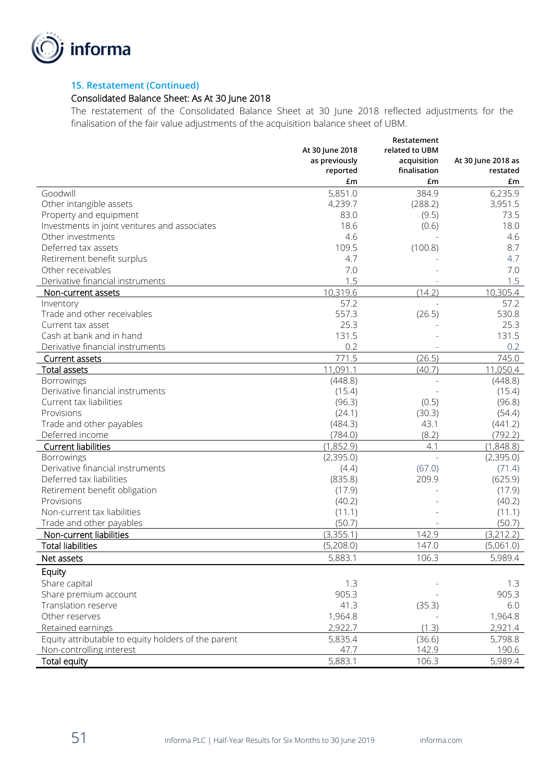

### **15. Restatement (Continued)**

# Consolidated Balance Sheet: As At 30 June 2018

The restatement of the Consolidated Balance Sheet at 30 June 2018 reflected adjustments for the finalisation of the fair value adjustments of the acquisition balance sheet of UBM.

| £m<br>£m<br>£m<br>5,851.0<br>384.9<br>6,235.9<br>Goodwill<br>3,951.5<br>4,239.7<br>Other intangible assets<br>(288.2)<br>83.0<br>73.5<br>Property and equipment<br>(9.5)<br>18.6<br>18.0<br>Investments in joint ventures and associates<br>(0.6)<br>Other investments<br>4.6<br>4.6<br>109.5<br>(100.8)<br>Deferred tax assets<br>8.7<br>Retirement benefit surplus<br>4.7<br>4.7<br>Other receivables<br>7.0<br>7.0<br>Derivative financial instruments<br>1.5<br>1.5<br>10,319.6<br>(14.2)<br>10,305.4<br>Non-current assets<br>57.2<br>57.2<br>Inventory<br>÷,<br>Trade and other receivables<br>557.3<br>(26.5)<br>530.8<br>25.3<br>25.3<br>Current tax asset<br>131.5<br>Cash at bank and in hand<br>131.5<br>0.2<br>Derivative financial instruments<br>0.2<br>771.5<br>745.0<br>Current assets<br>(26.5)<br>11,091.1<br>(40.7)<br>11,050.4<br><b>Total assets</b><br>(448.8)<br><b>Borrowings</b><br>(448.8)<br>Derivative financial instruments<br>(15.4)<br>(15.4)<br>Current tax liabilities<br>(96.3)<br>(0.5)<br>(96.8)<br>Provisions<br>(30.3)<br>(54.4)<br>(24.1)<br>Trade and other payables<br>(484.3)<br>43.1<br>(441.2)<br>(8.2)<br>(792.2)<br>Deferred income<br>(784.0)<br><b>Current liabilities</b><br>(1,852.9)<br>4.1<br>(1,848.8)<br>(2,395.0)<br>(2,395.0)<br><b>Borrowings</b><br>Derivative financial instruments<br>(67.0)<br>(71.4)<br>(4.4) |
|-----------------------------------------------------------------------------------------------------------------------------------------------------------------------------------------------------------------------------------------------------------------------------------------------------------------------------------------------------------------------------------------------------------------------------------------------------------------------------------------------------------------------------------------------------------------------------------------------------------------------------------------------------------------------------------------------------------------------------------------------------------------------------------------------------------------------------------------------------------------------------------------------------------------------------------------------------------------------------------------------------------------------------------------------------------------------------------------------------------------------------------------------------------------------------------------------------------------------------------------------------------------------------------------------------------------------------------------------------------------------------|
|                                                                                                                                                                                                                                                                                                                                                                                                                                                                                                                                                                                                                                                                                                                                                                                                                                                                                                                                                                                                                                                                                                                                                                                                                                                                                                                                                                             |
|                                                                                                                                                                                                                                                                                                                                                                                                                                                                                                                                                                                                                                                                                                                                                                                                                                                                                                                                                                                                                                                                                                                                                                                                                                                                                                                                                                             |
|                                                                                                                                                                                                                                                                                                                                                                                                                                                                                                                                                                                                                                                                                                                                                                                                                                                                                                                                                                                                                                                                                                                                                                                                                                                                                                                                                                             |
|                                                                                                                                                                                                                                                                                                                                                                                                                                                                                                                                                                                                                                                                                                                                                                                                                                                                                                                                                                                                                                                                                                                                                                                                                                                                                                                                                                             |
|                                                                                                                                                                                                                                                                                                                                                                                                                                                                                                                                                                                                                                                                                                                                                                                                                                                                                                                                                                                                                                                                                                                                                                                                                                                                                                                                                                             |
|                                                                                                                                                                                                                                                                                                                                                                                                                                                                                                                                                                                                                                                                                                                                                                                                                                                                                                                                                                                                                                                                                                                                                                                                                                                                                                                                                                             |
|                                                                                                                                                                                                                                                                                                                                                                                                                                                                                                                                                                                                                                                                                                                                                                                                                                                                                                                                                                                                                                                                                                                                                                                                                                                                                                                                                                             |
|                                                                                                                                                                                                                                                                                                                                                                                                                                                                                                                                                                                                                                                                                                                                                                                                                                                                                                                                                                                                                                                                                                                                                                                                                                                                                                                                                                             |
|                                                                                                                                                                                                                                                                                                                                                                                                                                                                                                                                                                                                                                                                                                                                                                                                                                                                                                                                                                                                                                                                                                                                                                                                                                                                                                                                                                             |
|                                                                                                                                                                                                                                                                                                                                                                                                                                                                                                                                                                                                                                                                                                                                                                                                                                                                                                                                                                                                                                                                                                                                                                                                                                                                                                                                                                             |
|                                                                                                                                                                                                                                                                                                                                                                                                                                                                                                                                                                                                                                                                                                                                                                                                                                                                                                                                                                                                                                                                                                                                                                                                                                                                                                                                                                             |
|                                                                                                                                                                                                                                                                                                                                                                                                                                                                                                                                                                                                                                                                                                                                                                                                                                                                                                                                                                                                                                                                                                                                                                                                                                                                                                                                                                             |
|                                                                                                                                                                                                                                                                                                                                                                                                                                                                                                                                                                                                                                                                                                                                                                                                                                                                                                                                                                                                                                                                                                                                                                                                                                                                                                                                                                             |
|                                                                                                                                                                                                                                                                                                                                                                                                                                                                                                                                                                                                                                                                                                                                                                                                                                                                                                                                                                                                                                                                                                                                                                                                                                                                                                                                                                             |
|                                                                                                                                                                                                                                                                                                                                                                                                                                                                                                                                                                                                                                                                                                                                                                                                                                                                                                                                                                                                                                                                                                                                                                                                                                                                                                                                                                             |
|                                                                                                                                                                                                                                                                                                                                                                                                                                                                                                                                                                                                                                                                                                                                                                                                                                                                                                                                                                                                                                                                                                                                                                                                                                                                                                                                                                             |
|                                                                                                                                                                                                                                                                                                                                                                                                                                                                                                                                                                                                                                                                                                                                                                                                                                                                                                                                                                                                                                                                                                                                                                                                                                                                                                                                                                             |
|                                                                                                                                                                                                                                                                                                                                                                                                                                                                                                                                                                                                                                                                                                                                                                                                                                                                                                                                                                                                                                                                                                                                                                                                                                                                                                                                                                             |
|                                                                                                                                                                                                                                                                                                                                                                                                                                                                                                                                                                                                                                                                                                                                                                                                                                                                                                                                                                                                                                                                                                                                                                                                                                                                                                                                                                             |
|                                                                                                                                                                                                                                                                                                                                                                                                                                                                                                                                                                                                                                                                                                                                                                                                                                                                                                                                                                                                                                                                                                                                                                                                                                                                                                                                                                             |
|                                                                                                                                                                                                                                                                                                                                                                                                                                                                                                                                                                                                                                                                                                                                                                                                                                                                                                                                                                                                                                                                                                                                                                                                                                                                                                                                                                             |
|                                                                                                                                                                                                                                                                                                                                                                                                                                                                                                                                                                                                                                                                                                                                                                                                                                                                                                                                                                                                                                                                                                                                                                                                                                                                                                                                                                             |
|                                                                                                                                                                                                                                                                                                                                                                                                                                                                                                                                                                                                                                                                                                                                                                                                                                                                                                                                                                                                                                                                                                                                                                                                                                                                                                                                                                             |
|                                                                                                                                                                                                                                                                                                                                                                                                                                                                                                                                                                                                                                                                                                                                                                                                                                                                                                                                                                                                                                                                                                                                                                                                                                                                                                                                                                             |
|                                                                                                                                                                                                                                                                                                                                                                                                                                                                                                                                                                                                                                                                                                                                                                                                                                                                                                                                                                                                                                                                                                                                                                                                                                                                                                                                                                             |
|                                                                                                                                                                                                                                                                                                                                                                                                                                                                                                                                                                                                                                                                                                                                                                                                                                                                                                                                                                                                                                                                                                                                                                                                                                                                                                                                                                             |
| Deferred tax liabilities<br>(835.8)<br>209.9<br>(625.9)                                                                                                                                                                                                                                                                                                                                                                                                                                                                                                                                                                                                                                                                                                                                                                                                                                                                                                                                                                                                                                                                                                                                                                                                                                                                                                                     |
| (17.9)<br>(17.9)<br>Retirement benefit obligation                                                                                                                                                                                                                                                                                                                                                                                                                                                                                                                                                                                                                                                                                                                                                                                                                                                                                                                                                                                                                                                                                                                                                                                                                                                                                                                           |
| Provisions<br>(40.2)<br>(40.2)                                                                                                                                                                                                                                                                                                                                                                                                                                                                                                                                                                                                                                                                                                                                                                                                                                                                                                                                                                                                                                                                                                                                                                                                                                                                                                                                              |
| Non-current tax liabilities<br>(11.1)<br>(11.1)                                                                                                                                                                                                                                                                                                                                                                                                                                                                                                                                                                                                                                                                                                                                                                                                                                                                                                                                                                                                                                                                                                                                                                                                                                                                                                                             |
| (50.7)<br>(50.7)<br>Trade and other payables                                                                                                                                                                                                                                                                                                                                                                                                                                                                                                                                                                                                                                                                                                                                                                                                                                                                                                                                                                                                                                                                                                                                                                                                                                                                                                                                |
| (3,355.1)<br>142.9<br>Non-current liabilities<br>(3,212.2)                                                                                                                                                                                                                                                                                                                                                                                                                                                                                                                                                                                                                                                                                                                                                                                                                                                                                                                                                                                                                                                                                                                                                                                                                                                                                                                  |
| <b>Total liabilities</b><br>147.0<br>(5,208.0)<br>(5,061.0)                                                                                                                                                                                                                                                                                                                                                                                                                                                                                                                                                                                                                                                                                                                                                                                                                                                                                                                                                                                                                                                                                                                                                                                                                                                                                                                 |
| 5,883.1<br>106.3<br>5,989.4<br>Net assets                                                                                                                                                                                                                                                                                                                                                                                                                                                                                                                                                                                                                                                                                                                                                                                                                                                                                                                                                                                                                                                                                                                                                                                                                                                                                                                                   |
| Equity                                                                                                                                                                                                                                                                                                                                                                                                                                                                                                                                                                                                                                                                                                                                                                                                                                                                                                                                                                                                                                                                                                                                                                                                                                                                                                                                                                      |
| Share capital<br>1.3<br>1.3                                                                                                                                                                                                                                                                                                                                                                                                                                                                                                                                                                                                                                                                                                                                                                                                                                                                                                                                                                                                                                                                                                                                                                                                                                                                                                                                                 |
| 905.3<br>Share premium account<br>905.3                                                                                                                                                                                                                                                                                                                                                                                                                                                                                                                                                                                                                                                                                                                                                                                                                                                                                                                                                                                                                                                                                                                                                                                                                                                                                                                                     |
| Translation reserve<br>41.3<br>(35.3)<br>6.0                                                                                                                                                                                                                                                                                                                                                                                                                                                                                                                                                                                                                                                                                                                                                                                                                                                                                                                                                                                                                                                                                                                                                                                                                                                                                                                                |
| Other reserves<br>1,964.8<br>1,964.8                                                                                                                                                                                                                                                                                                                                                                                                                                                                                                                                                                                                                                                                                                                                                                                                                                                                                                                                                                                                                                                                                                                                                                                                                                                                                                                                        |
| Retained earnings<br>2,922.7<br>(1.3)<br>2,921.4                                                                                                                                                                                                                                                                                                                                                                                                                                                                                                                                                                                                                                                                                                                                                                                                                                                                                                                                                                                                                                                                                                                                                                                                                                                                                                                            |
| Equity attributable to equity holders of the parent<br>5,835.4<br>5,798.8<br>(36.6)                                                                                                                                                                                                                                                                                                                                                                                                                                                                                                                                                                                                                                                                                                                                                                                                                                                                                                                                                                                                                                                                                                                                                                                                                                                                                         |
| 142.9<br>190.6<br>Non-controlling interest<br>47.7                                                                                                                                                                                                                                                                                                                                                                                                                                                                                                                                                                                                                                                                                                                                                                                                                                                                                                                                                                                                                                                                                                                                                                                                                                                                                                                          |
| 5,989.4<br>5,883.1<br>106.3<br>Total equity                                                                                                                                                                                                                                                                                                                                                                                                                                                                                                                                                                                                                                                                                                                                                                                                                                                                                                                                                                                                                                                                                                                                                                                                                                                                                                                                 |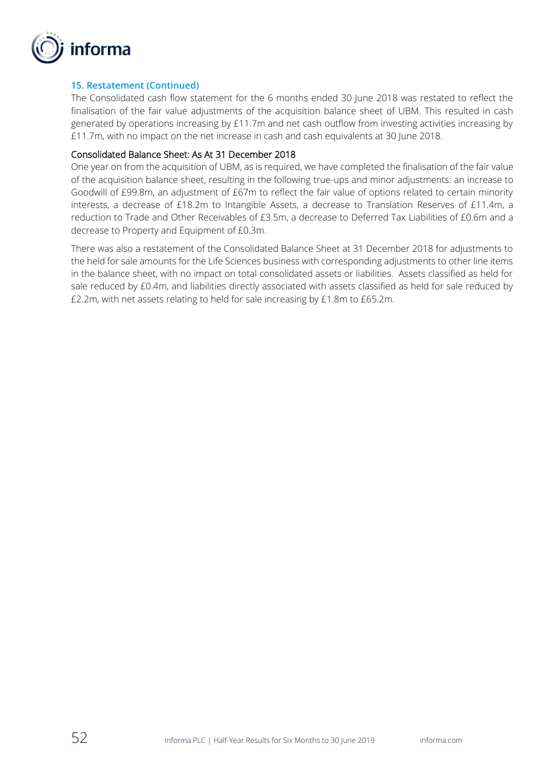

## **15. Restatement (Continued)**

The Consolidated cash flow statement for the 6 months ended 30 June 2018 was restated to reflect the finalisation of the fair value adjustments of the acquisition balance sheet of UBM. This resulted in cash generated by operations increasing by £11.7m and net cash outflow from investing activities increasing by £11.7m, with no impact on the net increase in cash and cash equivalents at 30 June 2018.

### Consolidated Balance Sheet: As At 31 December 2018

One year on from the acquisition of UBM, as is required, we have completed the finalisation of the fair value of the acquisition balance sheet, resulting in the following true-ups and minor adjustments: an increase to Goodwill of £99.8m, an adjustment of £67m to reflect the fair value of options related to certain minority interests, a decrease of £18.2m to Intangible Assets, a decrease to Translation Reserves of £11.4m, a reduction to Trade and Other Receivables of £3.5m, a decrease to Deferred Tax Liabilities of £0.6m and a decrease to Property and Equipment of £0.3m.

There was also a restatement of the Consolidated Balance Sheet at 31 December 2018 for adjustments to the held for sale amounts for the Life Sciences business with corresponding adjustments to other line items in the balance sheet, with no impact on total consolidated assets or liabilities. Assets classified as held for sale reduced by £0.4m, and liabilities directly associated with assets classified as held for sale reduced by £2.2m, with net assets relating to held for sale increasing by £1.8m to £65.2m.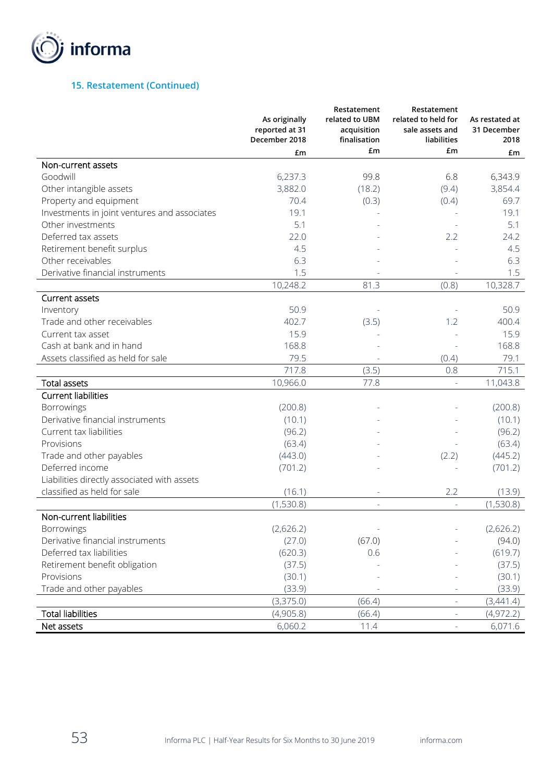

# **15. Restatement (Continued)**

|                                              | As originally<br>reported at 31<br>December 2018 | Restatement<br>related to UBM<br>acquisition<br>finalisation | Restatement<br>related to held for<br>sale assets and<br>liabilities | As restated at<br>31 December<br>2018 |
|----------------------------------------------|--------------------------------------------------|--------------------------------------------------------------|----------------------------------------------------------------------|---------------------------------------|
|                                              | £m                                               | £m                                                           | £m                                                                   | £m                                    |
| Non-current assets                           |                                                  |                                                              |                                                                      |                                       |
| Goodwill                                     | 6,237.3                                          | 99.8                                                         | 6.8                                                                  | 6,343.9                               |
| Other intangible assets                      | 3,882.0                                          | (18.2)                                                       | (9.4)                                                                | 3,854.4                               |
| Property and equipment                       | 70.4                                             | (0.3)                                                        | (0.4)                                                                | 69.7                                  |
| Investments in joint ventures and associates | 19.1                                             |                                                              |                                                                      | 19.1                                  |
| Other investments                            | 5.1                                              |                                                              |                                                                      | 5.1                                   |
| Deferred tax assets                          | 22.0                                             |                                                              | 2.2                                                                  | 24.2                                  |
| Retirement benefit surplus                   | 4.5                                              |                                                              |                                                                      | 4.5                                   |
| Other receivables                            | 6.3                                              |                                                              |                                                                      | 6.3                                   |
| Derivative financial instruments             | 1.5                                              |                                                              |                                                                      | 1.5                                   |
|                                              | 10,248.2                                         | 81.3                                                         | (0.8)                                                                | 10,328.7                              |
| Current assets                               |                                                  |                                                              |                                                                      |                                       |
| Inventory                                    | 50.9                                             |                                                              |                                                                      | 50.9                                  |
| Trade and other receivables                  | 402.7                                            | (3.5)                                                        | 1.2                                                                  | 400.4                                 |
| Current tax asset                            | 15.9                                             |                                                              |                                                                      | 15.9                                  |
| Cash at bank and in hand                     | 168.8                                            |                                                              |                                                                      | 168.8                                 |
| Assets classified as held for sale           | 79.5                                             |                                                              | (0.4)                                                                | 79.1                                  |
|                                              | 717.8                                            | (3.5)                                                        | 0.8                                                                  | 715.1                                 |
| Total assets                                 | 10,966.0                                         | 77.8                                                         | $\overline{\phantom{a}}$                                             | 11,043.8                              |
| <b>Current liabilities</b>                   |                                                  |                                                              |                                                                      |                                       |
| <b>Borrowings</b>                            | (200.8)                                          |                                                              |                                                                      | (200.8)                               |
| Derivative financial instruments             | (10.1)                                           |                                                              |                                                                      | (10.1)                                |
| Current tax liabilities                      | (96.2)                                           |                                                              |                                                                      | (96.2)                                |
| Provisions                                   | (63.4)                                           |                                                              |                                                                      | (63.4)                                |
| Trade and other payables                     | (443.0)                                          |                                                              | (2.2)                                                                | (445.2)                               |
| Deferred income                              | (701.2)                                          |                                                              |                                                                      | (701.2)                               |
| Liabilities directly associated with assets  |                                                  |                                                              |                                                                      |                                       |
| classified as held for sale                  | (16.1)                                           |                                                              | 2.2                                                                  | (13.9)                                |
|                                              | (1,530.8)                                        | L,                                                           |                                                                      | (1,530.8)                             |
| Non-current liabilities                      |                                                  |                                                              |                                                                      |                                       |
| <b>Borrowings</b>                            | (2,626.2)                                        |                                                              |                                                                      | (2,626.2)                             |
| Derivative financial instruments             | (27.0)                                           | (67.0)                                                       |                                                                      | (94.0)                                |
| Deferred tax liabilities                     | (620.3)                                          | 0.6                                                          |                                                                      | (619.7)                               |
| Retirement benefit obligation                | (37.5)                                           |                                                              |                                                                      | (37.5)                                |
| Provisions                                   | (30.1)                                           |                                                              |                                                                      | (30.1)                                |
| Trade and other payables                     | (33.9)                                           |                                                              |                                                                      | (33.9)                                |
|                                              | (3,375.0)                                        | (66.4)                                                       | ÷                                                                    | (3,441.4)                             |
| <b>Total liabilities</b>                     | (4,905.8)                                        | (66.4)                                                       |                                                                      | (4,972.2)                             |
| Net assets                                   | 6,060.2                                          | 11.4                                                         |                                                                      | 6,071.6                               |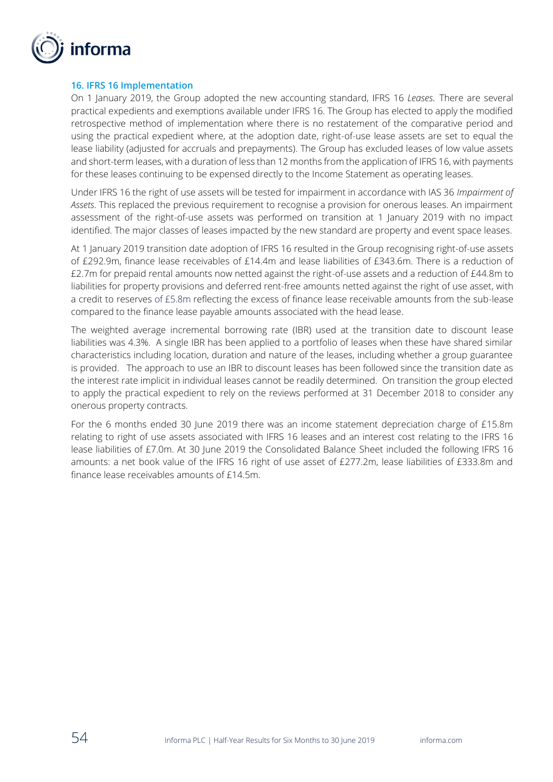

### **16. IFRS 16 Implementation**

On 1 January 2019, the Group adopted the new accounting standard, IFRS 16 *Leases*. There are several practical expedients and exemptions available under IFRS 16. The Group has elected to apply the modified retrospective method of implementation where there is no restatement of the comparative period and using the practical expedient where, at the adoption date, right-of-use lease assets are set to equal the lease liability (adjusted for accruals and prepayments). The Group has excluded leases of low value assets and short-term leases, with a duration of less than 12 months from the application of IFRS 16, with payments for these leases continuing to be expensed directly to the Income Statement as operating leases.

Under IFRS 16 the right of use assets will be tested for impairment in accordance with IAS 36 *Impairment of Assets*. This replaced the previous requirement to recognise a provision for onerous leases. An impairment assessment of the right-of-use assets was performed on transition at 1 January 2019 with no impact identified. The major classes of leases impacted by the new standard are property and event space leases.

At 1 January 2019 transition date adoption of IFRS 16 resulted in the Group recognising right-of-use assets of £292.9m, finance lease receivables of £14.4m and lease liabilities of £343.6m. There is a reduction of £2.7m for prepaid rental amounts now netted against the right-of-use assets and a reduction of £44.8m to liabilities for property provisions and deferred rent-free amounts netted against the right of use asset, with a credit to reserves of £5.8m reflecting the excess of finance lease receivable amounts from the sub-lease compared to the finance lease payable amounts associated with the head lease.

The weighted average incremental borrowing rate (IBR) used at the transition date to discount lease liabilities was 4.3%. A single IBR has been applied to a portfolio of leases when these have shared similar characteristics including location, duration and nature of the leases, including whether a group guarantee is provided. The approach to use an IBR to discount leases has been followed since the transition date as the interest rate implicit in individual leases cannot be readily determined. On transition the group elected to apply the practical expedient to rely on the reviews performed at 31 December 2018 to consider any onerous property contracts.

For the 6 months ended 30 June 2019 there was an income statement depreciation charge of £15.8m relating to right of use assets associated with IFRS 16 leases and an interest cost relating to the IFRS 16 lease liabilities of £7.0m. At 30 June 2019 the Consolidated Balance Sheet included the following IFRS 16 amounts: a net book value of the IFRS 16 right of use asset of £277.2m, lease liabilities of £333.8m and finance lease receivables amounts of £14.5m.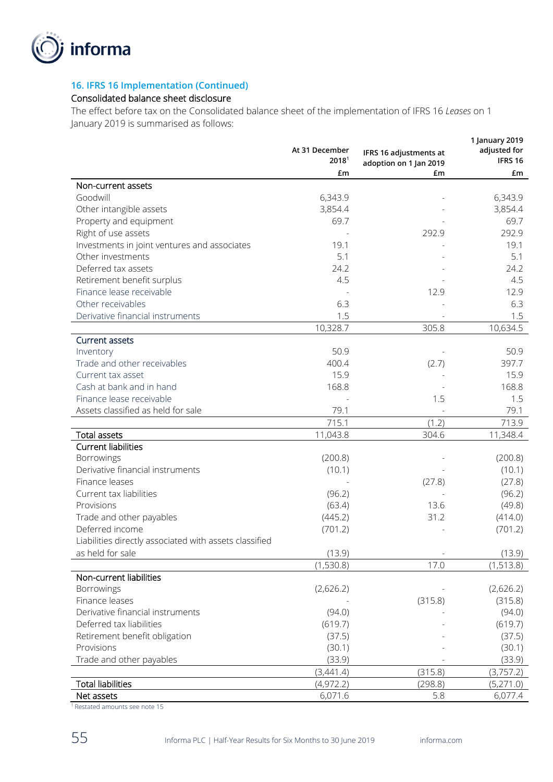

# **16. IFRS 16 Implementation (Continued)**

# Consolidated balance sheet disclosure

The effect before tax on the Consolidated balance sheet of the implementation of IFRS 16 *Leases* on 1 January 2019 is summarised as follows:

|                                                        | At 31 December<br>20181 | IFRS 16 adjustments at<br>adoption on 1 Jan 2019 | 1 January 2019<br>adjusted for<br>IFRS 16 |
|--------------------------------------------------------|-------------------------|--------------------------------------------------|-------------------------------------------|
|                                                        | £m                      | £m                                               | £m                                        |
| Non-current assets                                     |                         |                                                  |                                           |
| Goodwill                                               | 6,343.9                 |                                                  | 6,343.9                                   |
| Other intangible assets                                | 3,854.4                 |                                                  | 3,854.4                                   |
| Property and equipment                                 | 69.7                    |                                                  | 69.7                                      |
| Right of use assets                                    |                         | 292.9                                            | 292.9                                     |
| Investments in joint ventures and associates           | 19.1                    |                                                  | 19.1                                      |
| Other investments                                      | 5.1                     |                                                  | 5.1                                       |
| Deferred tax assets                                    | 24.2                    |                                                  | 24.2                                      |
| Retirement benefit surplus                             | 4.5                     |                                                  | 4.5                                       |
| Finance lease receivable                               |                         | 12.9                                             | 12.9                                      |
| Other receivables                                      | 6.3                     |                                                  | 6.3                                       |
| Derivative financial instruments                       | 1.5                     |                                                  | 1.5                                       |
|                                                        | 10,328.7                | 305.8                                            | 10,634.5                                  |
| <b>Current assets</b>                                  |                         |                                                  |                                           |
| Inventory                                              | 50.9                    |                                                  | 50.9                                      |
| Trade and other receivables                            | 400.4                   | (2.7)                                            | 397.7                                     |
| Current tax asset                                      | 15.9                    |                                                  | 15.9                                      |
| Cash at bank and in hand                               | 168.8                   |                                                  | 168.8                                     |
| Finance lease receivable                               |                         | 1.5                                              | 1.5                                       |
| Assets classified as held for sale                     | 79.1                    |                                                  | 79.1                                      |
|                                                        | 715.1                   | (1.2)                                            | 713.9                                     |
| <b>Total assets</b>                                    | 11,043.8                | 304.6                                            | 11,348.4                                  |
| <b>Current liabilities</b>                             |                         |                                                  |                                           |
| <b>Borrowings</b>                                      | (200.8)                 |                                                  | (200.8)                                   |
| Derivative financial instruments                       | (10.1)                  |                                                  | (10.1)                                    |
| Finance leases                                         |                         | (27.8)                                           | (27.8)                                    |
| Current tax liabilities                                | (96.2)                  |                                                  | (96.2)                                    |
| Provisions                                             | (63.4)                  | 13.6                                             | (49.8)                                    |
| Trade and other payables                               | (445.2)                 | 31.2                                             | (414.0)                                   |
| Deferred income                                        | (701.2)                 |                                                  | (701.2)                                   |
| Liabilities directly associated with assets classified |                         |                                                  |                                           |
| as held for sale                                       | (13.9)                  |                                                  | (13.9)                                    |
|                                                        | (1,530.8)               | 17.0                                             | (1, 513.8)                                |
| Non-current liabilities                                |                         |                                                  |                                           |
| Borrowings                                             | (2,626.2)               |                                                  | (2,626.2)                                 |
| Finance leases                                         |                         | (315.8)                                          | (315.8)                                   |
| Derivative financial instruments                       | (94.0)                  |                                                  | (94.0)                                    |
| Deferred tax liabilities                               | (619.7)                 |                                                  | (619.7)                                   |
| Retirement benefit obligation                          | (37.5)                  |                                                  | (37.5)                                    |
| Provisions                                             | (30.1)                  |                                                  | (30.1)                                    |
| Trade and other payables                               | (33.9)                  |                                                  | (33.9)                                    |
|                                                        | (3,441.4)               | (315.8)                                          | (3,757.2)                                 |
| <b>Total liabilities</b>                               | (4, 972.2)              | (298.8)                                          | (5,271.0)                                 |
| Net assets                                             | 6,071.6                 | 5.8                                              | 6,077.4                                   |

1 Restated amounts see note 15